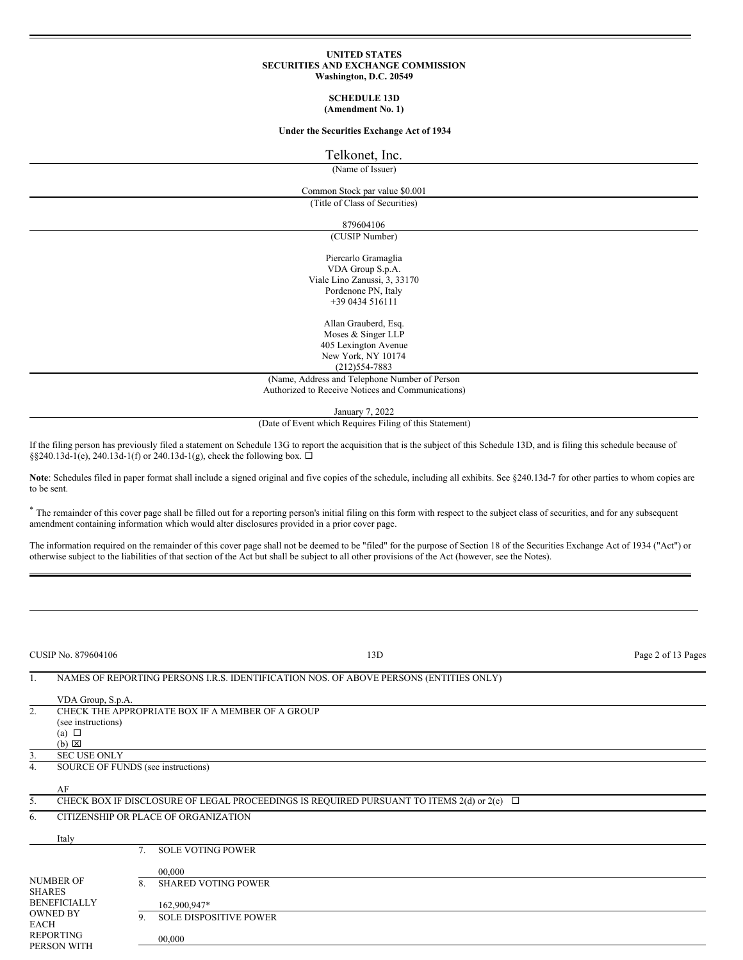#### **UNITED STATES SECURITIES AND EXCHANGE COMMISSION Washington, D.C. 20549**

#### **SCHEDULE 13D (Amendment No. 1)**

### **Under the Securities Exchange Act of 1934**

### Telkonet, Inc.

(Name of Issuer)

# Common Stock par value \$0.001

(Title of Class of Securities)

# 879604106

(CUSIP Number)

Piercarlo Gramaglia VDA Group S.p.A. Viale Lino Zanussi, 3, 33170 Pordenone PN, Italy +39 0434 516111

> Allan Grauberd, Esq. Moses & Singer LLP 405 Lexington Avenue New York, NY 10174

# (212)554-7883

(Name, Address and Telephone Number of Person Authorized to Receive Notices and Communications)

January 7, 2022

(Date of Event which Requires Filing of this Statement)

If the filing person has previously filed a statement on Schedule 13G to report the acquisition that is the subject of this Schedule 13D, and is filing this schedule because of §§240.13d-1(e), 240.13d-1(f) or 240.13d-1(g), check the following box.  $\Box$ 

Note: Schedules filed in paper format shall include a signed original and five copies of the schedule, including all exhibits. See §240.13d-7 for other parties to whom copies are to be sent.

\* The remainder of this cover page shall be filled out for a reporting person's initial filing on this form with respect to the subject class of securities, and for any subsequent amendment containing information which would alter disclosures provided in a prior cover page.

The information required on the remainder of this cover page shall not be deemed to be "filed" for the purpose of Section 18 of the Securities Exchange Act of 1934 ("Act") or otherwise subject to the liabilities of that section of the Act but shall be subject to all other provisions of the Act (however, see the Notes).

| <b>CUSIP No. 879604106</b>                                                                 |                                    | 13D | Page 2 of 13 Pages                                                                                 |  |  |
|--------------------------------------------------------------------------------------------|------------------------------------|-----|----------------------------------------------------------------------------------------------------|--|--|
| 1.                                                                                         |                                    |     | NAMES OF REPORTING PERSONS I.R.S. IDENTIFICATION NOS. OF ABOVE PERSONS (ENTITIES ONLY)             |  |  |
|                                                                                            | VDA Group, S.p.A.                  |     |                                                                                                    |  |  |
| 2.                                                                                         | (see instructions)                 |     | CHECK THE APPROPRIATE BOX IF A MEMBER OF A GROUP                                                   |  |  |
|                                                                                            | (a) $\Box$<br>$(b) \boxtimes$      |     |                                                                                                    |  |  |
| 3.                                                                                         | <b>SEC USE ONLY</b>                |     |                                                                                                    |  |  |
| 4.                                                                                         | SOURCE OF FUNDS (see instructions) |     |                                                                                                    |  |  |
|                                                                                            | AF                                 |     |                                                                                                    |  |  |
| 5.                                                                                         |                                    |     | CHECK BOX IF DISCLOSURE OF LEGAL PROCEEDINGS IS REQUIRED PURSUANT TO ITEMS $2(d)$ or $2(e)$ $\Box$ |  |  |
| 6.                                                                                         |                                    |     | CITIZENSHIP OR PLACE OF ORGANIZATION                                                               |  |  |
|                                                                                            | Italy                              |     |                                                                                                    |  |  |
|                                                                                            |                                    | 7.  | <b>SOLE VOTING POWER</b>                                                                           |  |  |
|                                                                                            |                                    |     | 00.000                                                                                             |  |  |
| <b>NUMBER OF</b><br><b>SHARES</b><br><b>BENEFICIALLY</b><br><b>OWNED BY</b><br><b>EACH</b> |                                    | 8.  | <b>SHARED VOTING POWER</b>                                                                         |  |  |
|                                                                                            |                                    |     | 162,900,947*                                                                                       |  |  |
|                                                                                            |                                    | 9.  | <b>SOLE DISPOSITIVE POWER</b>                                                                      |  |  |
| <b>REPORTING</b><br>PERSON WITH                                                            |                                    |     | 00.000                                                                                             |  |  |
|                                                                                            |                                    |     |                                                                                                    |  |  |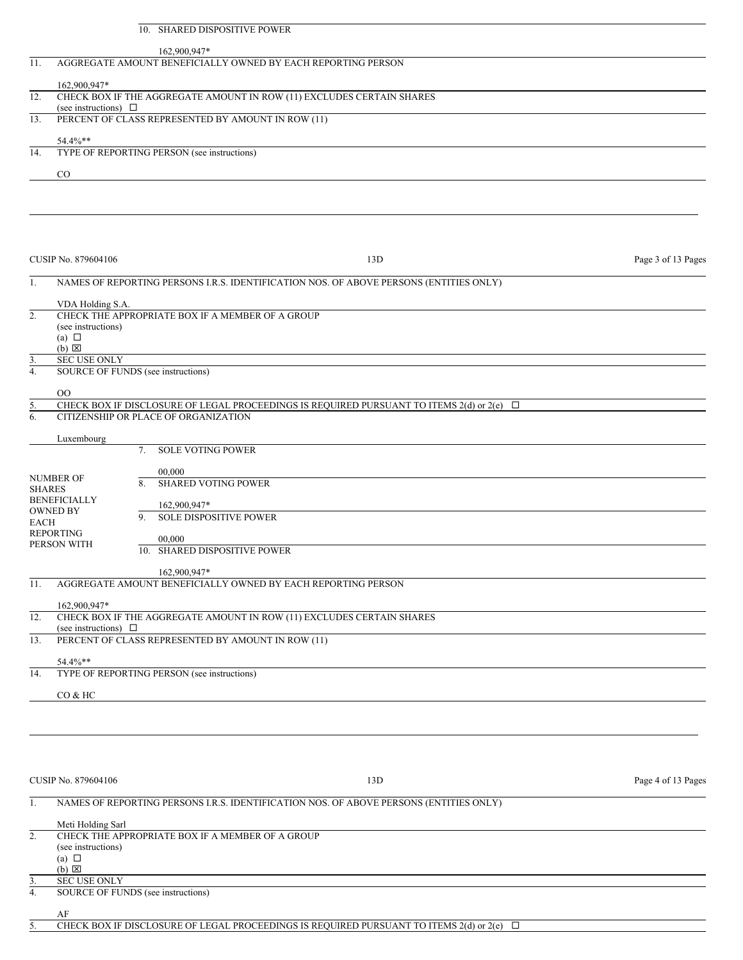|          | <b>SHARED DISPOSITIVE POWER</b><br>10.                                       |                                                                                                     |                    |
|----------|------------------------------------------------------------------------------|-----------------------------------------------------------------------------------------------------|--------------------|
|          |                                                                              |                                                                                                     |                    |
| 11.      | 162,900,947*<br>AGGREGATE AMOUNT BENEFICIALLY OWNED BY EACH REPORTING PERSON |                                                                                                     |                    |
|          |                                                                              |                                                                                                     |                    |
|          | 162,900,947*                                                                 |                                                                                                     |                    |
| 12.      | CHECK BOX IF THE AGGREGATE AMOUNT IN ROW (11) EXCLUDES CERTAIN SHARES        |                                                                                                     |                    |
|          | (see instructions) $\Box$                                                    |                                                                                                     |                    |
| 13.      | PERCENT OF CLASS REPRESENTED BY AMOUNT IN ROW (11)                           |                                                                                                     |                    |
|          | 54.4%**                                                                      |                                                                                                     |                    |
| 14.      | TYPE OF REPORTING PERSON (see instructions)                                  |                                                                                                     |                    |
|          | CO                                                                           |                                                                                                     |                    |
|          |                                                                              |                                                                                                     |                    |
|          |                                                                              |                                                                                                     |                    |
|          |                                                                              |                                                                                                     |                    |
|          |                                                                              |                                                                                                     |                    |
|          |                                                                              |                                                                                                     |                    |
|          | CUSIP No. 879604106                                                          | 13D                                                                                                 | Page 3 of 13 Pages |
|          |                                                                              |                                                                                                     |                    |
| 1.       |                                                                              | NAMES OF REPORTING PERSONS I.R.S. IDENTIFICATION NOS. OF ABOVE PERSONS (ENTITIES ONLY)              |                    |
|          |                                                                              |                                                                                                     |                    |
| 2.       | VDA Holding S.A.<br>CHECK THE APPROPRIATE BOX IF A MEMBER OF A GROUP         |                                                                                                     |                    |
|          | (see instructions)                                                           |                                                                                                     |                    |
|          | (a) $\Box$                                                                   |                                                                                                     |                    |
|          | $(b)$ $\Sigma$                                                               |                                                                                                     |                    |
| 3.       | <b>SEC USE ONLY</b>                                                          |                                                                                                     |                    |
| 4.       | SOURCE OF FUNDS (see instructions)                                           |                                                                                                     |                    |
|          |                                                                              |                                                                                                     |                    |
|          | 0 <sup>0</sup>                                                               | CHECK BOX IF DISCLOSURE OF LEGAL PROCEEDINGS IS REQUIRED PURSUANT TO ITEMS 2(d) or $2(e)$ $\square$ |                    |
| 5.<br>6. | CITIZENSHIP OR PLACE OF ORGANIZATION                                         |                                                                                                     |                    |
|          |                                                                              |                                                                                                     |                    |
|          | Luxembourg                                                                   |                                                                                                     |                    |
|          | <b>SOLE VOTING POWER</b><br>7 <sub>1</sub>                                   |                                                                                                     |                    |
|          |                                                                              |                                                                                                     |                    |

|                                        |     | 00.000                                                                |
|----------------------------------------|-----|-----------------------------------------------------------------------|
| <b>NUMBER OF</b><br><b>SHARES</b>      | 8.  | <b>SHARED VOTING POWER</b>                                            |
| <b>BENEFICIALLY</b><br><b>OWNED BY</b> |     | 162,900,947*                                                          |
| EACH                                   | 9.  | <b>SOLE DISPOSITIVE POWER</b>                                         |
| <b>REPORTING</b><br>PERSON WITH        |     | 00.000                                                                |
|                                        | 10. | <b>SHARED DISPOSITIVE POWER</b>                                       |
|                                        |     | 162,900,947*                                                          |
| 11.                                    |     | AGGREGATE AMOUNT BENEFICIALLY OWNED BY EACH REPORTING PERSON          |
| 162,900,947*                           |     |                                                                       |
| 12                                     |     | CHECK BOY IF THE AGGREGATE AMOUNT IN DOW (11) EVCLUDES CERTAIN SHARES |

| CHECK BOX IF THE AGGREGATE AMOUNT IN ROW (11) EXCLUDES CERTAIN SHARES |
|-----------------------------------------------------------------------|
| (see instructions)                                                    |
| PERCENT OF CLASS REPRESENTED BY AMOUNT IN ROW (11)                    |
|                                                                       |
| $54.4\%**$                                                            |
| TYPE OF REPORTING PERSON (see instructions)                           |
|                                                                       |
| CO & HC                                                               |
|                                                                       |

CUSIP No. 879604106 Page 4 of 13 Pages

# 1. NAMES OF REPORTING PERSONS I.R.S. IDENTIFICATION NOS. OF ABOVE PERSONS (ENTITIES ONLY) Meti Holding Sarl 2. CHECK THE APPROPRIATE BOX IF A MEMBER OF A GROUP (see instructions) (a)  $\Box$  $(b)$   $\Sigma$ 3. SEC USE ONLY<br>4. SOURCE OF FUI 4. SOURCE OF FUNDS (see instructions)

AF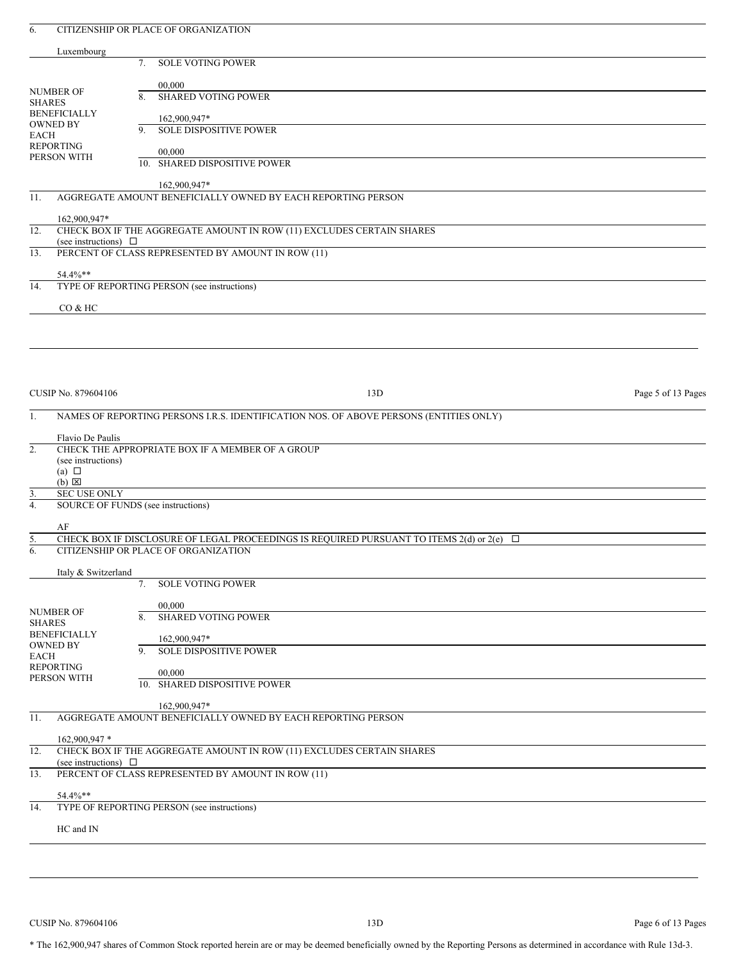| Luxembourg<br><b>SOLE VOTING POWER</b><br>7.<br>00,000<br>NUMBER OF<br><b>SHARED VOTING POWER</b><br>8.<br><b>SHARES</b><br><b>BENEFICIALLY</b><br>162,900,947*<br><b>OWNED BY</b><br><b>SOLE DISPOSITIVE POWER</b><br>9.<br><b>EACH</b><br><b>REPORTING</b><br>00,000<br>PERSON WITH<br>10. SHARED DISPOSITIVE POWER<br>162,900,947*<br>AGGREGATE AMOUNT BENEFICIALLY OWNED BY EACH REPORTING PERSON<br>11.<br>162,900,947*<br>CHECK BOX IF THE AGGREGATE AMOUNT IN ROW (11) EXCLUDES CERTAIN SHARES<br>12.<br>(see instructions) $\Box$<br>PERCENT OF CLASS REPRESENTED BY AMOUNT IN ROW (11)<br>13.<br>54.4%**<br>TYPE OF REPORTING PERSON (see instructions)<br>14.<br>CO & HC<br>CUSIP No. 879604106<br>13D<br>Page 5 of 13 Pages<br>NAMES OF REPORTING PERSONS I.R.S. IDENTIFICATION NOS. OF ABOVE PERSONS (ENTITIES ONLY)<br>1.<br>Flavio De Paulis<br>2.<br>CHECK THE APPROPRIATE BOX IF A MEMBER OF A GROUP<br>(see instructions)<br>(a) $\Box$<br>$(b)$ $\boxtimes$<br><b>SEC USE ONLY</b><br>3.<br>4.<br>SOURCE OF FUNDS (see instructions)<br>AF<br>CHECK BOX IF DISCLOSURE OF LEGAL PROCEEDINGS IS REQUIRED PURSUANT TO ITEMS 2(d) or 2(e)<br>$\Box$<br><u>5.</u><br>6.<br>CITIZENSHIP OR PLACE OF ORGANIZATION<br>Italy & Switzerland<br><b>SOLE VOTING POWER</b><br>7.<br>00,000<br><b>NUMBER OF</b><br>8.<br><b>SHARED VOTING POWER</b><br><b>SHARES</b><br><b>BENEFICIALLY</b><br>162,900,947*<br><b>OWNED BY</b><br>SOLE DISPOSITIVE POWER<br>9.<br><b>EACH</b><br><b>REPORTING</b><br>00,000<br>PERSON WITH<br>10. SHARED DISPOSITIVE POWER<br>162,900,947*<br>AGGREGATE AMOUNT BENEFICIALLY OWNED BY EACH REPORTING PERSON<br>11.<br>162,900,947 *<br>CHECK BOX IF THE AGGREGATE AMOUNT IN ROW (11) EXCLUDES CERTAIN SHARES<br>12.<br>(see instructions) $\Box$<br>PERCENT OF CLASS REPRESENTED BY AMOUNT IN ROW (11)<br>13.<br>54.4%**<br>TYPE OF REPORTING PERSON (see instructions)<br>14.<br>HC and IN | 6. | CITIZENSHIP OR PLACE OF ORGANIZATION |  |
|--------------------------------------------------------------------------------------------------------------------------------------------------------------------------------------------------------------------------------------------------------------------------------------------------------------------------------------------------------------------------------------------------------------------------------------------------------------------------------------------------------------------------------------------------------------------------------------------------------------------------------------------------------------------------------------------------------------------------------------------------------------------------------------------------------------------------------------------------------------------------------------------------------------------------------------------------------------------------------------------------------------------------------------------------------------------------------------------------------------------------------------------------------------------------------------------------------------------------------------------------------------------------------------------------------------------------------------------------------------------------------------------------------------------------------------------------------------------------------------------------------------------------------------------------------------------------------------------------------------------------------------------------------------------------------------------------------------------------------------------------------------------------------------------------------------------------------------------------------------------------------------------------------------------------------|----|--------------------------------------|--|
|                                                                                                                                                                                                                                                                                                                                                                                                                                                                                                                                                                                                                                                                                                                                                                                                                                                                                                                                                                                                                                                                                                                                                                                                                                                                                                                                                                                                                                                                                                                                                                                                                                                                                                                                                                                                                                                                                                                                |    |                                      |  |
|                                                                                                                                                                                                                                                                                                                                                                                                                                                                                                                                                                                                                                                                                                                                                                                                                                                                                                                                                                                                                                                                                                                                                                                                                                                                                                                                                                                                                                                                                                                                                                                                                                                                                                                                                                                                                                                                                                                                |    |                                      |  |
|                                                                                                                                                                                                                                                                                                                                                                                                                                                                                                                                                                                                                                                                                                                                                                                                                                                                                                                                                                                                                                                                                                                                                                                                                                                                                                                                                                                                                                                                                                                                                                                                                                                                                                                                                                                                                                                                                                                                |    |                                      |  |
|                                                                                                                                                                                                                                                                                                                                                                                                                                                                                                                                                                                                                                                                                                                                                                                                                                                                                                                                                                                                                                                                                                                                                                                                                                                                                                                                                                                                                                                                                                                                                                                                                                                                                                                                                                                                                                                                                                                                |    |                                      |  |
|                                                                                                                                                                                                                                                                                                                                                                                                                                                                                                                                                                                                                                                                                                                                                                                                                                                                                                                                                                                                                                                                                                                                                                                                                                                                                                                                                                                                                                                                                                                                                                                                                                                                                                                                                                                                                                                                                                                                |    |                                      |  |
|                                                                                                                                                                                                                                                                                                                                                                                                                                                                                                                                                                                                                                                                                                                                                                                                                                                                                                                                                                                                                                                                                                                                                                                                                                                                                                                                                                                                                                                                                                                                                                                                                                                                                                                                                                                                                                                                                                                                |    |                                      |  |
|                                                                                                                                                                                                                                                                                                                                                                                                                                                                                                                                                                                                                                                                                                                                                                                                                                                                                                                                                                                                                                                                                                                                                                                                                                                                                                                                                                                                                                                                                                                                                                                                                                                                                                                                                                                                                                                                                                                                |    |                                      |  |
|                                                                                                                                                                                                                                                                                                                                                                                                                                                                                                                                                                                                                                                                                                                                                                                                                                                                                                                                                                                                                                                                                                                                                                                                                                                                                                                                                                                                                                                                                                                                                                                                                                                                                                                                                                                                                                                                                                                                |    |                                      |  |
|                                                                                                                                                                                                                                                                                                                                                                                                                                                                                                                                                                                                                                                                                                                                                                                                                                                                                                                                                                                                                                                                                                                                                                                                                                                                                                                                                                                                                                                                                                                                                                                                                                                                                                                                                                                                                                                                                                                                |    |                                      |  |
|                                                                                                                                                                                                                                                                                                                                                                                                                                                                                                                                                                                                                                                                                                                                                                                                                                                                                                                                                                                                                                                                                                                                                                                                                                                                                                                                                                                                                                                                                                                                                                                                                                                                                                                                                                                                                                                                                                                                |    |                                      |  |
|                                                                                                                                                                                                                                                                                                                                                                                                                                                                                                                                                                                                                                                                                                                                                                                                                                                                                                                                                                                                                                                                                                                                                                                                                                                                                                                                                                                                                                                                                                                                                                                                                                                                                                                                                                                                                                                                                                                                |    |                                      |  |
|                                                                                                                                                                                                                                                                                                                                                                                                                                                                                                                                                                                                                                                                                                                                                                                                                                                                                                                                                                                                                                                                                                                                                                                                                                                                                                                                                                                                                                                                                                                                                                                                                                                                                                                                                                                                                                                                                                                                |    |                                      |  |
|                                                                                                                                                                                                                                                                                                                                                                                                                                                                                                                                                                                                                                                                                                                                                                                                                                                                                                                                                                                                                                                                                                                                                                                                                                                                                                                                                                                                                                                                                                                                                                                                                                                                                                                                                                                                                                                                                                                                |    |                                      |  |
|                                                                                                                                                                                                                                                                                                                                                                                                                                                                                                                                                                                                                                                                                                                                                                                                                                                                                                                                                                                                                                                                                                                                                                                                                                                                                                                                                                                                                                                                                                                                                                                                                                                                                                                                                                                                                                                                                                                                |    |                                      |  |
|                                                                                                                                                                                                                                                                                                                                                                                                                                                                                                                                                                                                                                                                                                                                                                                                                                                                                                                                                                                                                                                                                                                                                                                                                                                                                                                                                                                                                                                                                                                                                                                                                                                                                                                                                                                                                                                                                                                                |    |                                      |  |
|                                                                                                                                                                                                                                                                                                                                                                                                                                                                                                                                                                                                                                                                                                                                                                                                                                                                                                                                                                                                                                                                                                                                                                                                                                                                                                                                                                                                                                                                                                                                                                                                                                                                                                                                                                                                                                                                                                                                |    |                                      |  |
|                                                                                                                                                                                                                                                                                                                                                                                                                                                                                                                                                                                                                                                                                                                                                                                                                                                                                                                                                                                                                                                                                                                                                                                                                                                                                                                                                                                                                                                                                                                                                                                                                                                                                                                                                                                                                                                                                                                                |    |                                      |  |
|                                                                                                                                                                                                                                                                                                                                                                                                                                                                                                                                                                                                                                                                                                                                                                                                                                                                                                                                                                                                                                                                                                                                                                                                                                                                                                                                                                                                                                                                                                                                                                                                                                                                                                                                                                                                                                                                                                                                |    |                                      |  |
|                                                                                                                                                                                                                                                                                                                                                                                                                                                                                                                                                                                                                                                                                                                                                                                                                                                                                                                                                                                                                                                                                                                                                                                                                                                                                                                                                                                                                                                                                                                                                                                                                                                                                                                                                                                                                                                                                                                                |    |                                      |  |
|                                                                                                                                                                                                                                                                                                                                                                                                                                                                                                                                                                                                                                                                                                                                                                                                                                                                                                                                                                                                                                                                                                                                                                                                                                                                                                                                                                                                                                                                                                                                                                                                                                                                                                                                                                                                                                                                                                                                |    |                                      |  |
|                                                                                                                                                                                                                                                                                                                                                                                                                                                                                                                                                                                                                                                                                                                                                                                                                                                                                                                                                                                                                                                                                                                                                                                                                                                                                                                                                                                                                                                                                                                                                                                                                                                                                                                                                                                                                                                                                                                                |    |                                      |  |
|                                                                                                                                                                                                                                                                                                                                                                                                                                                                                                                                                                                                                                                                                                                                                                                                                                                                                                                                                                                                                                                                                                                                                                                                                                                                                                                                                                                                                                                                                                                                                                                                                                                                                                                                                                                                                                                                                                                                |    |                                      |  |
|                                                                                                                                                                                                                                                                                                                                                                                                                                                                                                                                                                                                                                                                                                                                                                                                                                                                                                                                                                                                                                                                                                                                                                                                                                                                                                                                                                                                                                                                                                                                                                                                                                                                                                                                                                                                                                                                                                                                |    |                                      |  |
|                                                                                                                                                                                                                                                                                                                                                                                                                                                                                                                                                                                                                                                                                                                                                                                                                                                                                                                                                                                                                                                                                                                                                                                                                                                                                                                                                                                                                                                                                                                                                                                                                                                                                                                                                                                                                                                                                                                                |    |                                      |  |
|                                                                                                                                                                                                                                                                                                                                                                                                                                                                                                                                                                                                                                                                                                                                                                                                                                                                                                                                                                                                                                                                                                                                                                                                                                                                                                                                                                                                                                                                                                                                                                                                                                                                                                                                                                                                                                                                                                                                |    |                                      |  |
|                                                                                                                                                                                                                                                                                                                                                                                                                                                                                                                                                                                                                                                                                                                                                                                                                                                                                                                                                                                                                                                                                                                                                                                                                                                                                                                                                                                                                                                                                                                                                                                                                                                                                                                                                                                                                                                                                                                                |    |                                      |  |
|                                                                                                                                                                                                                                                                                                                                                                                                                                                                                                                                                                                                                                                                                                                                                                                                                                                                                                                                                                                                                                                                                                                                                                                                                                                                                                                                                                                                                                                                                                                                                                                                                                                                                                                                                                                                                                                                                                                                |    |                                      |  |
|                                                                                                                                                                                                                                                                                                                                                                                                                                                                                                                                                                                                                                                                                                                                                                                                                                                                                                                                                                                                                                                                                                                                                                                                                                                                                                                                                                                                                                                                                                                                                                                                                                                                                                                                                                                                                                                                                                                                |    |                                      |  |
|                                                                                                                                                                                                                                                                                                                                                                                                                                                                                                                                                                                                                                                                                                                                                                                                                                                                                                                                                                                                                                                                                                                                                                                                                                                                                                                                                                                                                                                                                                                                                                                                                                                                                                                                                                                                                                                                                                                                |    |                                      |  |
|                                                                                                                                                                                                                                                                                                                                                                                                                                                                                                                                                                                                                                                                                                                                                                                                                                                                                                                                                                                                                                                                                                                                                                                                                                                                                                                                                                                                                                                                                                                                                                                                                                                                                                                                                                                                                                                                                                                                |    |                                      |  |
|                                                                                                                                                                                                                                                                                                                                                                                                                                                                                                                                                                                                                                                                                                                                                                                                                                                                                                                                                                                                                                                                                                                                                                                                                                                                                                                                                                                                                                                                                                                                                                                                                                                                                                                                                                                                                                                                                                                                |    |                                      |  |
|                                                                                                                                                                                                                                                                                                                                                                                                                                                                                                                                                                                                                                                                                                                                                                                                                                                                                                                                                                                                                                                                                                                                                                                                                                                                                                                                                                                                                                                                                                                                                                                                                                                                                                                                                                                                                                                                                                                                |    |                                      |  |
|                                                                                                                                                                                                                                                                                                                                                                                                                                                                                                                                                                                                                                                                                                                                                                                                                                                                                                                                                                                                                                                                                                                                                                                                                                                                                                                                                                                                                                                                                                                                                                                                                                                                                                                                                                                                                                                                                                                                |    |                                      |  |
|                                                                                                                                                                                                                                                                                                                                                                                                                                                                                                                                                                                                                                                                                                                                                                                                                                                                                                                                                                                                                                                                                                                                                                                                                                                                                                                                                                                                                                                                                                                                                                                                                                                                                                                                                                                                                                                                                                                                |    |                                      |  |
|                                                                                                                                                                                                                                                                                                                                                                                                                                                                                                                                                                                                                                                                                                                                                                                                                                                                                                                                                                                                                                                                                                                                                                                                                                                                                                                                                                                                                                                                                                                                                                                                                                                                                                                                                                                                                                                                                                                                |    |                                      |  |
|                                                                                                                                                                                                                                                                                                                                                                                                                                                                                                                                                                                                                                                                                                                                                                                                                                                                                                                                                                                                                                                                                                                                                                                                                                                                                                                                                                                                                                                                                                                                                                                                                                                                                                                                                                                                                                                                                                                                |    |                                      |  |
|                                                                                                                                                                                                                                                                                                                                                                                                                                                                                                                                                                                                                                                                                                                                                                                                                                                                                                                                                                                                                                                                                                                                                                                                                                                                                                                                                                                                                                                                                                                                                                                                                                                                                                                                                                                                                                                                                                                                |    |                                      |  |
|                                                                                                                                                                                                                                                                                                                                                                                                                                                                                                                                                                                                                                                                                                                                                                                                                                                                                                                                                                                                                                                                                                                                                                                                                                                                                                                                                                                                                                                                                                                                                                                                                                                                                                                                                                                                                                                                                                                                |    |                                      |  |
|                                                                                                                                                                                                                                                                                                                                                                                                                                                                                                                                                                                                                                                                                                                                                                                                                                                                                                                                                                                                                                                                                                                                                                                                                                                                                                                                                                                                                                                                                                                                                                                                                                                                                                                                                                                                                                                                                                                                |    |                                      |  |
|                                                                                                                                                                                                                                                                                                                                                                                                                                                                                                                                                                                                                                                                                                                                                                                                                                                                                                                                                                                                                                                                                                                                                                                                                                                                                                                                                                                                                                                                                                                                                                                                                                                                                                                                                                                                                                                                                                                                |    |                                      |  |
|                                                                                                                                                                                                                                                                                                                                                                                                                                                                                                                                                                                                                                                                                                                                                                                                                                                                                                                                                                                                                                                                                                                                                                                                                                                                                                                                                                                                                                                                                                                                                                                                                                                                                                                                                                                                                                                                                                                                |    |                                      |  |
|                                                                                                                                                                                                                                                                                                                                                                                                                                                                                                                                                                                                                                                                                                                                                                                                                                                                                                                                                                                                                                                                                                                                                                                                                                                                                                                                                                                                                                                                                                                                                                                                                                                                                                                                                                                                                                                                                                                                |    |                                      |  |
|                                                                                                                                                                                                                                                                                                                                                                                                                                                                                                                                                                                                                                                                                                                                                                                                                                                                                                                                                                                                                                                                                                                                                                                                                                                                                                                                                                                                                                                                                                                                                                                                                                                                                                                                                                                                                                                                                                                                |    |                                      |  |
|                                                                                                                                                                                                                                                                                                                                                                                                                                                                                                                                                                                                                                                                                                                                                                                                                                                                                                                                                                                                                                                                                                                                                                                                                                                                                                                                                                                                                                                                                                                                                                                                                                                                                                                                                                                                                                                                                                                                |    |                                      |  |
|                                                                                                                                                                                                                                                                                                                                                                                                                                                                                                                                                                                                                                                                                                                                                                                                                                                                                                                                                                                                                                                                                                                                                                                                                                                                                                                                                                                                                                                                                                                                                                                                                                                                                                                                                                                                                                                                                                                                |    |                                      |  |
|                                                                                                                                                                                                                                                                                                                                                                                                                                                                                                                                                                                                                                                                                                                                                                                                                                                                                                                                                                                                                                                                                                                                                                                                                                                                                                                                                                                                                                                                                                                                                                                                                                                                                                                                                                                                                                                                                                                                |    |                                      |  |
|                                                                                                                                                                                                                                                                                                                                                                                                                                                                                                                                                                                                                                                                                                                                                                                                                                                                                                                                                                                                                                                                                                                                                                                                                                                                                                                                                                                                                                                                                                                                                                                                                                                                                                                                                                                                                                                                                                                                |    |                                      |  |
|                                                                                                                                                                                                                                                                                                                                                                                                                                                                                                                                                                                                                                                                                                                                                                                                                                                                                                                                                                                                                                                                                                                                                                                                                                                                                                                                                                                                                                                                                                                                                                                                                                                                                                                                                                                                                                                                                                                                |    |                                      |  |
|                                                                                                                                                                                                                                                                                                                                                                                                                                                                                                                                                                                                                                                                                                                                                                                                                                                                                                                                                                                                                                                                                                                                                                                                                                                                                                                                                                                                                                                                                                                                                                                                                                                                                                                                                                                                                                                                                                                                |    |                                      |  |

CUSIP No. 879604106 Page 6 of 13 Pages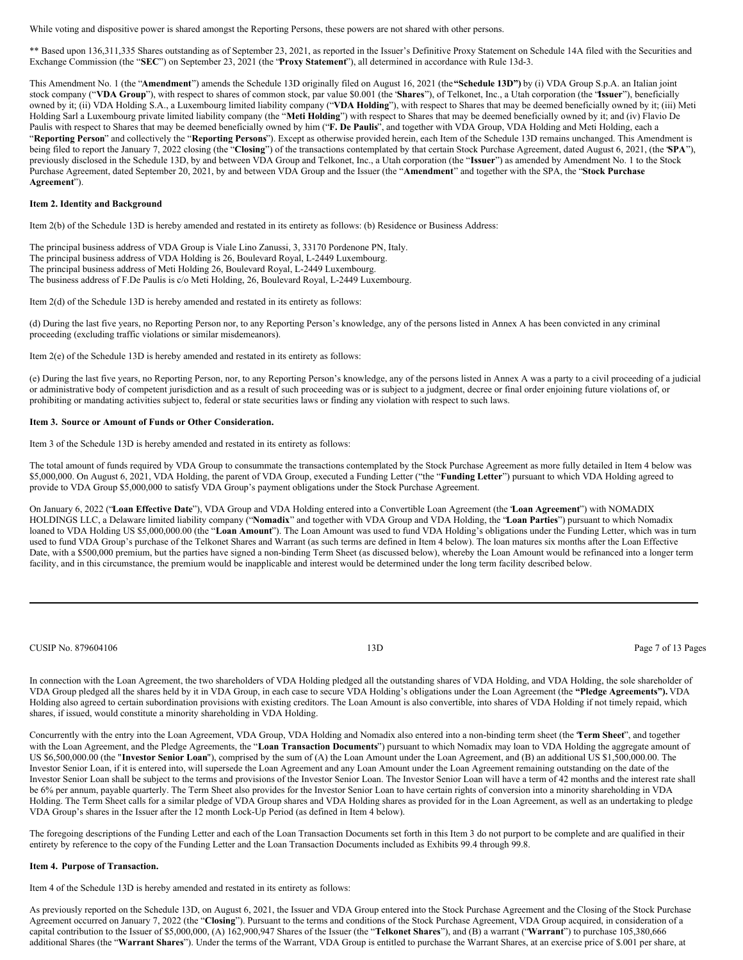While voting and dispositive power is shared amongst the Reporting Persons, these powers are not shared with other persons.

\*\* Based upon 136,311,335 Shares outstanding as of September 23, 2021, as reported in the Issuer's Definitive Proxy Statement on Schedule 14A filed with the Securities and Exchange Commission (the "**SEC**") on September 23, 2021 (the "**Proxy Statement**"), all determined in accordance with Rule 13d-3.

This Amendment No. 1 (the "**Amendment**") amends the Schedule 13D originally filed on August 16, 2021 (the**"Schedule 13D")** by (i) VDA Group S.p.A. an Italian joint stock company ("**VDA Group**"), with respect to shares of common stock, par value \$0.001 (the "**Shares**"), of Telkonet, Inc., a Utah corporation (the "**Issuer**"), beneficially owned by it; (ii) VDA Holding S.A., a Luxembourg limited liability company ("**VDA Holding**"), with respect to Shares that may be deemed beneficially owned by it; (iii) Meti Holding Sarl a Luxembourg private limited liability company (the "**Meti Holding**") with respect to Shares that may be deemed beneficially owned by it; and (iv) Flavio De Paulis with respect to Shares that may be deemed beneficially owned by him ("**F. De Paulis**", and together with VDA Group, VDA Holding and Meti Holding, each a "**Reporting Person**" and collectively the "**Reporting Persons**"). Except as otherwise provided herein, each Item of the Schedule 13D remains unchanged. This Amendment is being filed to report the January 7, 2022 closing (the "Closing") of the transactions contemplated by that certain Stock Purchase Agreement, dated August 6, 2021, (the 'SPA"), previously disclosed in the Schedule 13D, by and between VDA Group and Telkonet, Inc., a Utah corporation (the "**Issuer**") as amended by Amendment No. 1 to the Stock Purchase Agreement, dated September 20, 2021, by and between VDA Group and the Issuer (the "**Amendment**" and together with the SPA, the "**Stock Purchase Agreement**").

### **Item 2. Identity and Background**

Item 2(b) of the Schedule 13D is hereby amended and restated in its entirety as follows: (b) Residence or Business Address:

The principal business address of VDA Group is Viale Lino Zanussi, 3, 33170 Pordenone PN, Italy. The principal business address of VDA Holding is 26, Boulevard Royal, L-2449 Luxembourg.

The principal business address of Meti Holding 26, Boulevard Royal, L-2449 Luxembourg.

The business address of F.De Paulis is c/o Meti Holding, 26, Boulevard Royal, L-2449 Luxembourg.

Item 2(d) of the Schedule 13D is hereby amended and restated in its entirety as follows:

(d) During the last five years, no Reporting Person nor, to any Reporting Person's knowledge, any of the persons listed in Annex A has been convicted in any criminal proceeding (excluding traffic violations or similar misdemeanors).

Item 2(e) of the Schedule 13D is hereby amended and restated in its entirety as follows:

(e) During the last five years, no Reporting Person, nor, to any Reporting Person's knowledge, any of the persons listed in Annex A was a party to a civil proceeding of a judicial or administrative body of competent jurisdiction and as a result of such proceeding was or is subject to a judgment, decree or final order enjoining future violations of, or prohibiting or mandating activities subject to, federal or state securities laws or finding any violation with respect to such laws.

#### **Item 3. Source or Amount of Funds or Other Consideration.**

Item 3 of the Schedule 13D is hereby amended and restated in its entirety as follows:

The total amount of funds required by VDA Group to consummate the transactions contemplated by the Stock Purchase Agreement as more fully detailed in Item 4 below was \$5,000,000. On August 6, 2021, VDA Holding, the parent of VDA Group, executed a Funding Letter ("the "**Funding Letter**") pursuant to which VDA Holding agreed to provide to VDA Group \$5,000,000 to satisfy VDA Group's payment obligations under the Stock Purchase Agreement.

On January 6, 2022 ("**Loan Effective Date**"), VDA Group and VDA Holding entered into a Convertible Loan Agreement (the "**Loan Agreement**") with NOMADIX HOLDINGS LLC, a Delaware limited liability company ("**Nomadix**" and together with VDA Group and VDA Holding, the "**Loan Parties**") pursuant to which Nomadix loaned to VDA Holding US \$5,000,000.00 (the "Loan Amount"). The Loan Amount was used to fund VDA Holding's obligations under the Funding Letter, which was in turn used to fund VDA Group's purchase of the Telkonet Shares and Warrant (as such terms are defined in Item 4 below). The loan matures six months after the Loan Effective Date, with a \$500,000 premium, but the parties have signed a non-binding Term Sheet (as discussed below), whereby the Loan Amount would be refinanced into a longer term facility, and in this circumstance, the premium would be inapplicable and interest would be determined under the long term facility described below.

CUSIP No. 879604106 **13D** Page 7 of 13 Pages

In connection with the Loan Agreement, the two shareholders of VDA Holding pledged all the outstanding shares of VDA Holding, and VDA Holding, the sole shareholder of VDA Group pledged all the shares held by it in VDA Group, in each case to secure VDA Holding's obligations under the Loan Agreement (the **"Pledge Agreements").** VDA Holding also agreed to certain subordination provisions with existing creditors. The Loan Amount is also convertible, into shares of VDA Holding if not timely repaid, which shares, if issued, would constitute a minority shareholding in VDA Holding.

Concurrently with the entry into the Loan Agreement, VDA Group, VDA Holding and Nomadix also entered into a non-binding term sheet (the "**Term Sheet**", and together with the Loan Agreement, and the Pledge Agreements, the "**Loan Transaction Documents**") pursuant to which Nomadix may loan to VDA Holding the aggregate amount of US \$6,500,000.00 (the "**Investor Senior Loan**"), comprised by the sum of (A) the Loan Amount under the Loan Agreement, and (B) an additional US \$1,500,000.00. The Investor Senior Loan, if it is entered into, will supersede the Loan Agreement and any Loan Amount under the Loan Agreement remaining outstanding on the date of the Investor Senior Loan shall be subject to the terms and provisions of the Investor Senior Loan. The Investor Senior Loan will have a term of 42 months and the interest rate shall be 6% per annum, payable quarterly. The Term Sheet also provides for the Investor Senior Loan to have certain rights of conversion into a minority shareholding in VDA Holding. The Term Sheet calls for a similar pledge of VDA Group shares and VDA Holding shares as provided for in the Loan Agreement, as well as an undertaking to pledge VDA Group's shares in the Issuer after the 12 month Lock-Up Period (as defined in Item 4 below).

The foregoing descriptions of the Funding Letter and each of the Loan Transaction Documents set forth in this Item 3 do not purport to be complete and are qualified in their entirety by reference to the copy of the Funding Letter and the Loan Transaction Documents included as Exhibits 99.4 through 99.8.

# **Item 4. Purpose of Transaction.**

Item 4 of the Schedule 13D is hereby amended and restated in its entirety as follows:

As previously reported on the Schedule 13D, on August 6, 2021, the Issuer and VDA Group entered into the Stock Purchase Agreement and the Closing of the Stock Purchase Agreement occurred on January 7, 2022 (the "**Closing**"). Pursuant to the terms and conditions of the Stock Purchase Agreement, VDA Group acquired, in consideration of a capital contribution to the Issuer of \$5,000,000, (A) 162,900,947 Shares of the Issuer (the "**Telkonet Shares**"), and (B) a warrant ("**Warrant**") to purchase 105,380,666 additional Shares (the "Warrant Shares"). Under the terms of the Warrant, VDA Group is entitled to purchase the Warrant Shares, at an exercise price of \$.001 per share, at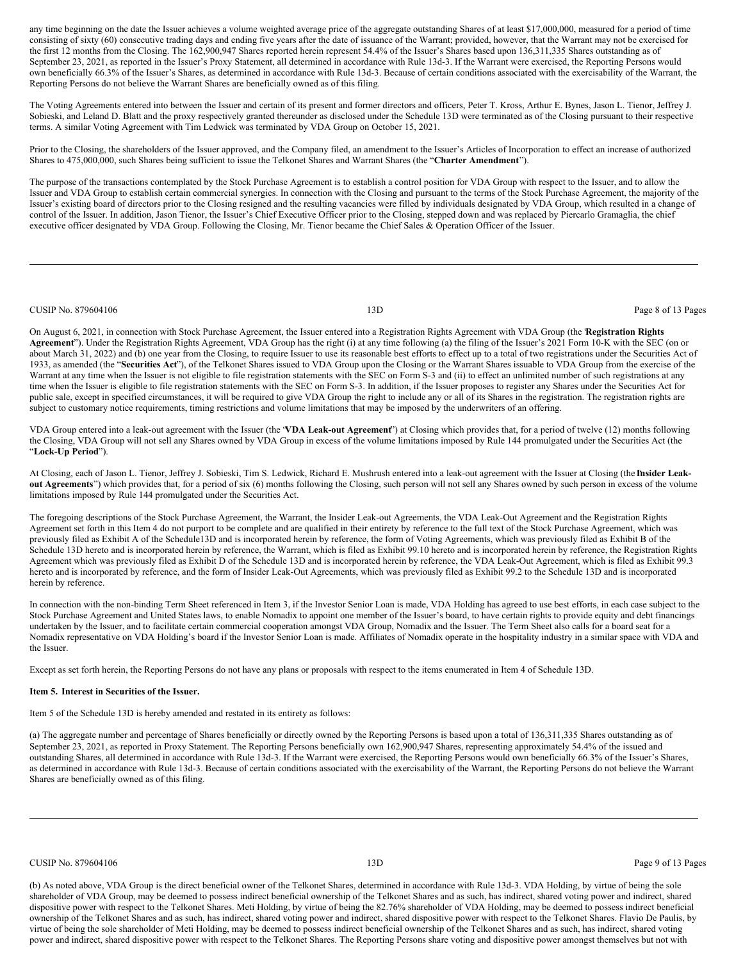any time beginning on the date the Issuer achieves a volume weighted average price of the aggregate outstanding Shares of at least \$17,000,000, measured for a period of time consisting of sixty (60) consecutive trading days and ending five years after the date of issuance of the Warrant; provided, however, that the Warrant may not be exercised for the first 12 months from the Closing. The 162,900,947 Shares reported herein represent 54.4% of the Issuer's Shares based upon 136,311,335 Shares outstanding as of September 23, 2021, as reported in the Issuer's Proxy Statement, all determined in accordance with Rule 13d-3. If the Warrant were exercised, the Reporting Persons would own beneficially 66.3% of the Issuer's Shares, as determined in accordance with Rule 13d-3. Because of certain conditions associated with the exercisability of the Warrant, the Reporting Persons do not believe the Warrant Shares are beneficially owned as of this filing.

The Voting Agreements entered into between the Issuer and certain of its present and former directors and officers, Peter T. Kross, Arthur E. Bynes, Jason L. Tienor, Jeffrey J. Sobieski, and Leland D. Blatt and the proxy respectively granted thereunder as disclosed under the Schedule 13D were terminated as of the Closing pursuant to their respective terms. A similar Voting Agreement with Tim Ledwick was terminated by VDA Group on October 15, 2021.

Prior to the Closing, the shareholders of the Issuer approved, and the Company filed, an amendment to the Issuer's Articles of Incorporation to effect an increase of authorized Shares to 475,000,000, such Shares being sufficient to issue the Telkonet Shares and Warrant Shares (the "**Charter Amendment**").

The purpose of the transactions contemplated by the Stock Purchase Agreement is to establish a control position for VDA Group with respect to the Issuer, and to allow the Issuer and VDA Group to establish certain commercial synergies. In connection with the Closing and pursuant to the terms of the Stock Purchase Agreement, the majority of the Issuer's existing board of directors prior to the Closing resigned and the resulting vacancies were filled by individuals designated by VDA Group, which resulted in a change of control of the Issuer. In addition, Jason Tienor, the Issuer's Chief Executive Officer prior to the Closing, stepped down and was replaced by Piercarlo Gramaglia, the chief executive officer designated by VDA Group. Following the Closing, Mr. Tienor became the Chief Sales & Operation Officer of the Issuer.

#### CUSIP No. 879604106 **13D** Page 8 of 13 Pages

On August 6, 2021, in connection with Stock Purchase Agreement, the Issuer entered into a Registration Rights Agreement with VDA Group (the "**Registration Rights Agreement**"). Under the Registration Rights Agreement, VDA Group has the right (i) at any time following (a) the filing of the Issuer's 2021 Form 10-K with the SEC (on or about March 31, 2022) and (b) one year from the Closing, to require Issuer to use its reasonable best efforts to effect up to a total of two registrations under the Securities Act of 1933, as amended (the "**Securities Act**"), of the Telkonet Shares issued to VDA Group upon the Closing or the Warrant Shares issuable to VDA Group from the exercise of the Warrant at any time when the Issuer is not eligible to file registration statements with the SEC on Form S-3 and (ii) to effect an unlimited number of such registrations at any time when the Issuer is eligible to file registration statements with the SEC on Form S-3. In addition, if the Issuer proposes to register any Shares under the Securities Act for public sale, except in specified circumstances, it will be required to give VDA Group the right to include any or all of its Shares in the registration. The registration rights are subject to customary notice requirements, timing restrictions and volume limitations that may be imposed by the underwriters of an offering.

VDA Group entered into a leak-out agreement with the Issuer (the "**VDA Leak-out Agreement**") at Closing which provides that, for a period of twelve (12) months following the Closing, VDA Group will not sell any Shares owned by VDA Group in excess of the volume limitations imposed by Rule 144 promulgated under the Securities Act (the "**Lock-Up Period**").

At Closing, each of Jason L. Tienor, Jeffrey J. Sobieski, Tim S. Ledwick, Richard E. Mushrush entered into a leak-out agreement with the Issuer at Closing (the Insider Leak**out Agreements**") which provides that, for a period of six (6) months following the Closing, such person will not sell any Shares owned by such person in excess of the volume limitations imposed by Rule 144 promulgated under the Securities Act.

The foregoing descriptions of the Stock Purchase Agreement, the Warrant, the Insider Leak-out Agreements, the VDA Leak-Out Agreement and the Registration Rights Agreement set forth in this Item 4 do not purport to be complete and are qualified in their entirety by reference to the full text of the Stock Purchase Agreement, which was previously filed as Exhibit A of the Schedule13D and is incorporated herein by reference, the form of Voting Agreements, which was previously filed as Exhibit B of the Schedule 13D hereto and is incorporated herein by reference, the Warrant, which is filed as Exhibit 99.10 hereto and is incorporated herein by reference, the Registration Rights Agreement which was previously filed as Exhibit D of the Schedule 13D and is incorporated herein by reference, the VDA Leak-Out Agreement, which is filed as Exhibit 99.3 hereto and is incorporated by reference, and the form of Insider Leak-Out Agreements, which was previously filed as Exhibit 99.2 to the Schedule 13D and is incorporated herein by reference.

In connection with the non-binding Term Sheet referenced in Item 3, if the Investor Senior Loan is made, VDA Holding has agreed to use best efforts, in each case subject to the Stock Purchase Agreement and United States laws, to enable Nomadix to appoint one member of the Issuer's board, to have certain rights to provide equity and debt financings undertaken by the Issuer, and to facilitate certain commercial cooperation amongst VDA Group, Nomadix and the Issuer. The Term Sheet also calls for a board seat for a Nomadix representative on VDA Holding's board if the Investor Senior Loan is made. Affiliates of Nomadix operate in the hospitality industry in a similar space with VDA and the Issuer.

Except as set forth herein, the Reporting Persons do not have any plans or proposals with respect to the items enumerated in Item 4 of Schedule 13D.

# **Item 5. Interest in Securities of the Issuer.**

Item 5 of the Schedule 13D is hereby amended and restated in its entirety as follows:

(a) The aggregate number and percentage of Shares beneficially or directly owned by the Reporting Persons is based upon a total of 136,311,335 Shares outstanding as of September 23, 2021, as reported in Proxy Statement. The Reporting Persons beneficially own 162,900,947 Shares, representing approximately 54.4% of the issued and outstanding Shares, all determined in accordance with Rule 13d-3. If the Warrant were exercised, the Reporting Persons would own beneficially 66.3% of the Issuer's Shares, as determined in accordance with Rule 13d-3. Because of certain conditions associated with the exercisability of the Warrant, the Reporting Persons do not believe the Warrant Shares are beneficially owned as of this filing.

CUSIP No. 879604106 **Page 9 of 13 Pages** Page 9 of 13 Pages

(b) As noted above, VDA Group is the direct beneficial owner of the Telkonet Shares, determined in accordance with Rule 13d-3. VDA Holding, by virtue of being the sole shareholder of VDA Group, may be deemed to possess indirect beneficial ownership of the Telkonet Shares and as such, has indirect, shared voting power and indirect, shared dispositive power with respect to the Telkonet Shares. Meti Holding, by virtue of being the 82.76% shareholder of VDA Holding, may be deemed to possess indirect beneficial ownership of the Telkonet Shares and as such, has indirect, shared voting power and indirect, shared dispositive power with respect to the Telkonet Shares. Flavio De Paulis, by virtue of being the sole shareholder of Meti Holding, may be deemed to possess indirect beneficial ownership of the Telkonet Shares and as such, has indirect, shared voting power and indirect, shared dispositive power with respect to the Telkonet Shares. The Reporting Persons share voting and dispositive power amongst themselves but not with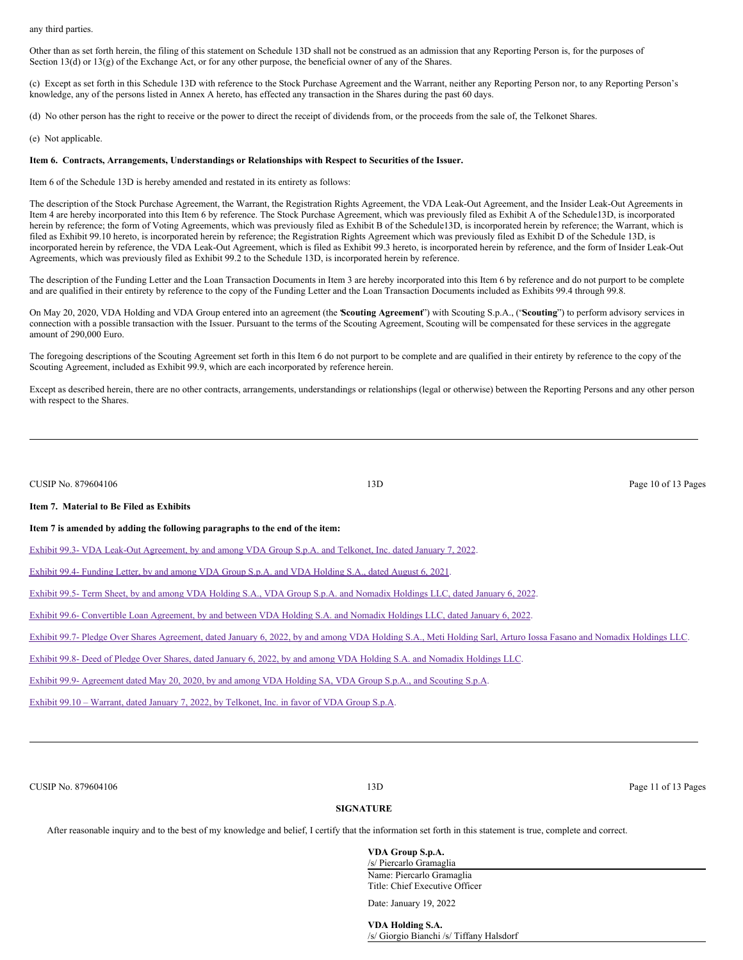any third parties.

Other than as set forth herein, the filing of this statement on Schedule 13D shall not be construed as an admission that any Reporting Person is, for the purposes of Section 13(d) or 13(g) of the Exchange Act, or for any other purpose, the beneficial owner of any of the Shares.

(c) Except as set forth in this Schedule 13D with reference to the Stock Purchase Agreement and the Warrant, neither any Reporting Person nor, to any Reporting Person's knowledge, any of the persons listed in Annex A hereto, has effected any transaction in the Shares during the past 60 days.

(d) No other person has the right to receive or the power to direct the receipt of dividends from, or the proceeds from the sale of, the Telkonet Shares.

(e) Not applicable.

# **Item 6. Contracts, Arrangements, Understandings or Relationships with Respect to Securities of the Issuer.**

Item 6 of the Schedule 13D is hereby amended and restated in its entirety as follows:

The description of the Stock Purchase Agreement, the Warrant, the Registration Rights Agreement, the VDA Leak-Out Agreement, and the Insider Leak-Out Agreements in Item 4 are hereby incorporated into this Item 6 by reference. The Stock Purchase Agreement, which was previously filed as Exhibit A of the Schedule13D, is incorporated herein by reference; the form of Voting Agreements, which was previously filed as Exhibit B of the Schedule13D, is incorporated herein by reference; the Warrant, which is filed as Exhibit 99.10 hereto, is incorporated herein by reference; the Registration Rights Agreement which was previously filed as Exhibit D of the Schedule 13D, is incorporated herein by reference, the VDA Leak-Out Agreement, which is filed as Exhibit 99.3 hereto, is incorporated herein by reference, and the form of Insider Leak-Out Agreements, which was previously filed as Exhibit 99.2 to the Schedule 13D, is incorporated herein by reference.

The description of the Funding Letter and the Loan Transaction Documents in Item 3 are hereby incorporated into this Item 6 by reference and do not purport to be complete and are qualified in their entirety by reference to the copy of the Funding Letter and the Loan Transaction Documents included as Exhibits 99.4 through 99.8.

On May 20, 2020, VDA Holding and VDA Group entered into an agreement (the "**Scouting Agreement**") with Scouting S.p.A., ("**Scouting**") to perform advisory services in connection with a possible transaction with the Issuer. Pursuant to the terms of the Scouting Agreement, Scouting will be compensated for these services in the aggregate amount of 290,000 Euro.

The foregoing descriptions of the Scouting Agreement set forth in this Item 6 do not purport to be complete and are qualified in their entirety by reference to the copy of the Scouting Agreement, included as Exhibit 99.9, which are each incorporated by reference herein.

Except as described herein, there are no other contracts, arrangements, understandings or relationships (legal or otherwise) between the Reporting Persons and any other person with respect to the Shares.

| CUSIP No. 879604106                                                                                     | 13D                                                                                                                                                                | Page 10 of 13 Pages |
|---------------------------------------------------------------------------------------------------------|--------------------------------------------------------------------------------------------------------------------------------------------------------------------|---------------------|
| Item 7. Material to Be Filed as Exhibits                                                                |                                                                                                                                                                    |                     |
| Item 7 is amended by adding the following paragraphs to the end of the item:                            |                                                                                                                                                                    |                     |
|                                                                                                         | Exhibit 99.3- VDA Leak-Out Agreement, by and among VDA Group S.p.A. and Telkonet, Inc. dated January 7, 2022.                                                      |                     |
| Exhibit 99.4- Funding Letter, by and among VDA Group S.p.A. and VDA Holding S.A., dated August 6, 2021. |                                                                                                                                                                    |                     |
|                                                                                                         | Exhibit 99.5- Term Sheet, by and among VDA Holding S.A., VDA Group S.p.A. and Nomadix Holdings LLC, dated January 6, 2022.                                         |                     |
|                                                                                                         | Exhibit 99.6- Convertible Loan Agreement, by and between VDA Holding S.A. and Nomadix Holdings LLC, dated January 6, 2022.                                         |                     |
|                                                                                                         | Exhibit 99.7- Pledge Over Shares Agreement, dated January 6, 2022, by and among VDA Holding S.A., Meti Holding Sarl, Arturo Iossa Fasano and Nomadix Holdings LLC. |                     |
|                                                                                                         | Exhibit 99.8- Deed of Pledge Over Shares, dated January 6, 2022, by and among VDA Holding S.A. and Nomadix Holdings LLC.                                           |                     |
|                                                                                                         | Exhibit 99.9- Agreement dated May 20, 2020, by and among VDA Holding SA, VDA Group S.p.A., and Scouting S.p.A.                                                     |                     |
| Exhibit 99.10 – Warrant, dated January 7, 2022, by Telkonet, Inc. in favor of VDA Group S.p.A.          |                                                                                                                                                                    |                     |
|                                                                                                         |                                                                                                                                                                    |                     |
|                                                                                                         |                                                                                                                                                                    |                     |

CUSIP No. 879604106 **Page 11 of 13 Pages** 11 of 13 Pages

# **SIGNATURE**

After reasonable inquiry and to the best of my knowledge and belief, I certify that the information set forth in this statement is true, complete and correct.

**VDA Group S.p.A.** /s/ Piercarlo Gramaglia Name: Piercarlo Gramaglia Title: Chief Executive Officer

Date: January 19, 2022

**VDA Holding S.A.** /s/ Giorgio Bianchi /s/ Tiffany Halsdorf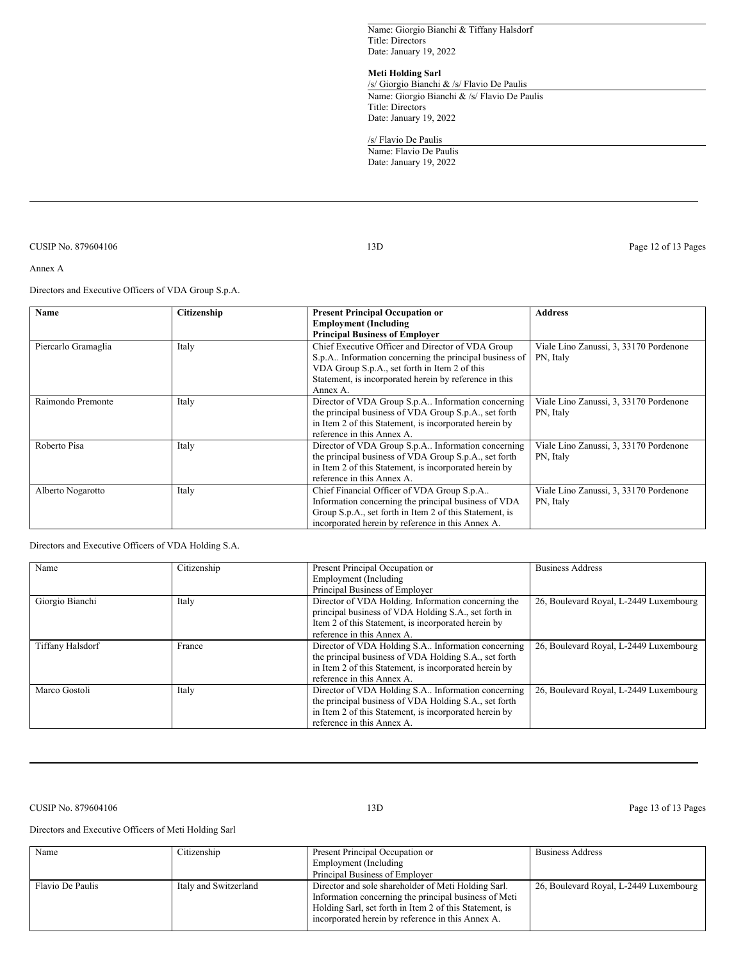Name: Giorgio Bianchi & Tiffany Halsdorf Title: Directors Date: January 19, 2022

# **Meti Holding Sarl**

/s/ Giorgio Bianchi & /s/ Flavio De Paulis Name: Giorgio Bianchi & /s/ Flavio De Paulis Title: Directors Date: January 19, 2022

/s/ Flavio De Paulis Name: Flavio De Paulis Date: January 19, 2022

CUSIP No. 879604106 **13D** Page 12 of 13 Pages

Annex A

Directors and Executive Officers of VDA Group S.p.A.

| Name                | Citizenship | <b>Present Principal Occupation or</b>                  | <b>Address</b>                         |
|---------------------|-------------|---------------------------------------------------------|----------------------------------------|
|                     |             | <b>Employment (Including</b>                            |                                        |
|                     |             | <b>Principal Business of Employer</b>                   |                                        |
| Piercarlo Gramaglia | Italy       | Chief Executive Officer and Director of VDA Group       | Viale Lino Zanussi, 3, 33170 Pordenone |
|                     |             | S.p.A Information concerning the principal business of  | PN, Italy                              |
|                     |             | VDA Group S.p.A., set forth in Item 2 of this           |                                        |
|                     |             | Statement, is incorporated herein by reference in this  |                                        |
|                     |             | Annex A.                                                |                                        |
| Raimondo Premonte   | Italy       | Director of VDA Group S.p.A Information concerning      | Viale Lino Zanussi, 3, 33170 Pordenone |
|                     |             | the principal business of VDA Group S.p.A., set forth   | PN, Italy                              |
|                     |             | in Item 2 of this Statement, is incorporated herein by  |                                        |
|                     |             | reference in this Annex A.                              |                                        |
| Roberto Pisa        | Italy       | Director of VDA Group S.p.A Information concerning      | Viale Lino Zanussi, 3, 33170 Pordenone |
|                     |             | the principal business of VDA Group S.p.A., set forth   | PN, Italy                              |
|                     |             | in Item 2 of this Statement, is incorporated herein by  |                                        |
|                     |             | reference in this Annex A.                              |                                        |
| Alberto Nogarotto   | Italy       | Chief Financial Officer of VDA Group S.p.A              | Viale Lino Zanussi, 3, 33170 Pordenone |
|                     |             | Information concerning the principal business of VDA    | PN, Italy                              |
|                     |             | Group S.p.A., set forth in Item 2 of this Statement, is |                                        |
|                     |             | incorporated herein by reference in this Annex A.       |                                        |

Directors and Executive Officers of VDA Holding S.A.

| Name                    | Citizenship | Present Principal Occupation or                        | <b>Business Address</b>                |
|-------------------------|-------------|--------------------------------------------------------|----------------------------------------|
|                         |             | Employment (Including                                  |                                        |
|                         |             | Principal Business of Employer                         |                                        |
| Giorgio Bianchi         | Italy       | Director of VDA Holding. Information concerning the    | 26, Boulevard Royal, L-2449 Luxembourg |
|                         |             | principal business of VDA Holding S.A., set forth in   |                                        |
|                         |             | Item 2 of this Statement, is incorporated herein by    |                                        |
|                         |             | reference in this Annex A.                             |                                        |
| <b>Tiffany Halsdorf</b> | France      | Director of VDA Holding S.A Information concerning     | 26, Boulevard Royal, L-2449 Luxembourg |
|                         |             | the principal business of VDA Holding S.A., set forth  |                                        |
|                         |             | in Item 2 of this Statement, is incorporated herein by |                                        |
|                         |             | reference in this Annex A.                             |                                        |
| Marco Gostoli           | Italy       | Director of VDA Holding S.A Information concerning     | 26, Boulevard Royal, L-2449 Luxembourg |
|                         |             | the principal business of VDA Holding S.A., set forth  |                                        |
|                         |             | in Item 2 of this Statement, is incorporated herein by |                                        |
|                         |             | reference in this Annex A.                             |                                        |

CUSIP No. 879604106 13D Page 13 of 13 Pages

Directors and Executive Officers of Meti Holding Sarl

| Name             | Citizenship           | Present Principal Occupation or                                                                                                                                                                                              | <b>Business Address</b>                |
|------------------|-----------------------|------------------------------------------------------------------------------------------------------------------------------------------------------------------------------------------------------------------------------|----------------------------------------|
|                  |                       | Employment (Including                                                                                                                                                                                                        |                                        |
|                  |                       | Principal Business of Employer                                                                                                                                                                                               |                                        |
| Flavio De Paulis | Italy and Switzerland | Director and sole shareholder of Meti Holding Sarl.<br>Information concerning the principal business of Meti<br>Holding Sarl, set forth in Item 2 of this Statement, is<br>incorporated herein by reference in this Annex A. | 26, Boulevard Royal, L-2449 Luxembourg |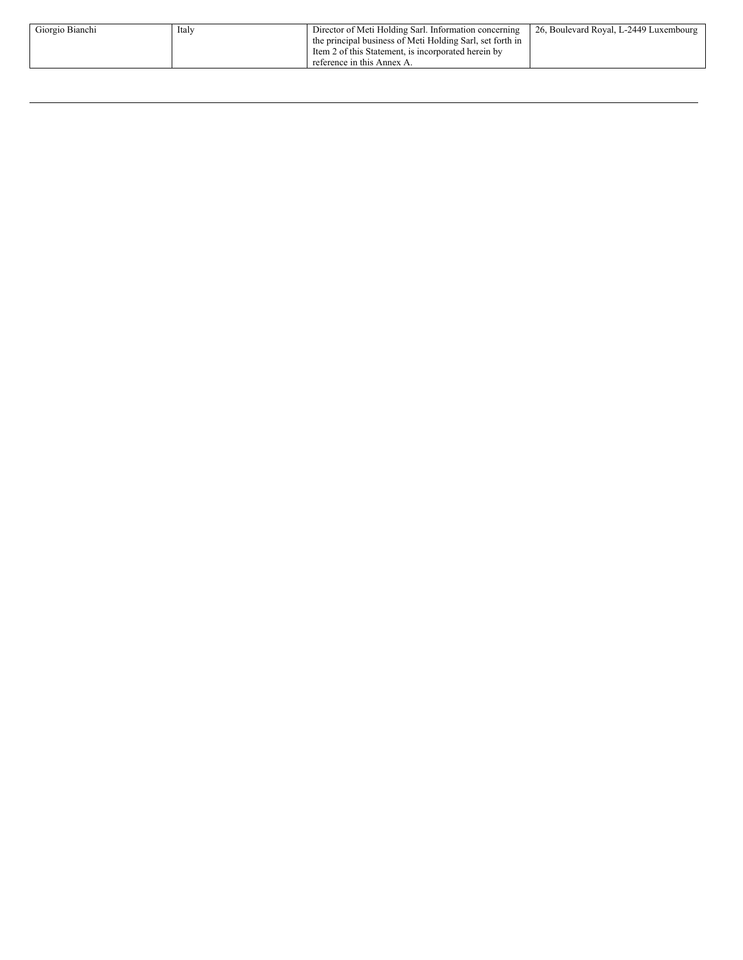| Giorgio Bianchi | Italy | Director of Meti Holding Sarl. Information concerning     | 26, Boulevard Royal, L-2449 Luxembourg |
|-----------------|-------|-----------------------------------------------------------|----------------------------------------|
|                 |       | the principal business of Meti Holding Sarl, set forth in |                                        |
|                 |       | Item 2 of this Statement, is incorporated herein by       |                                        |
|                 |       | reference in this Annex A.                                |                                        |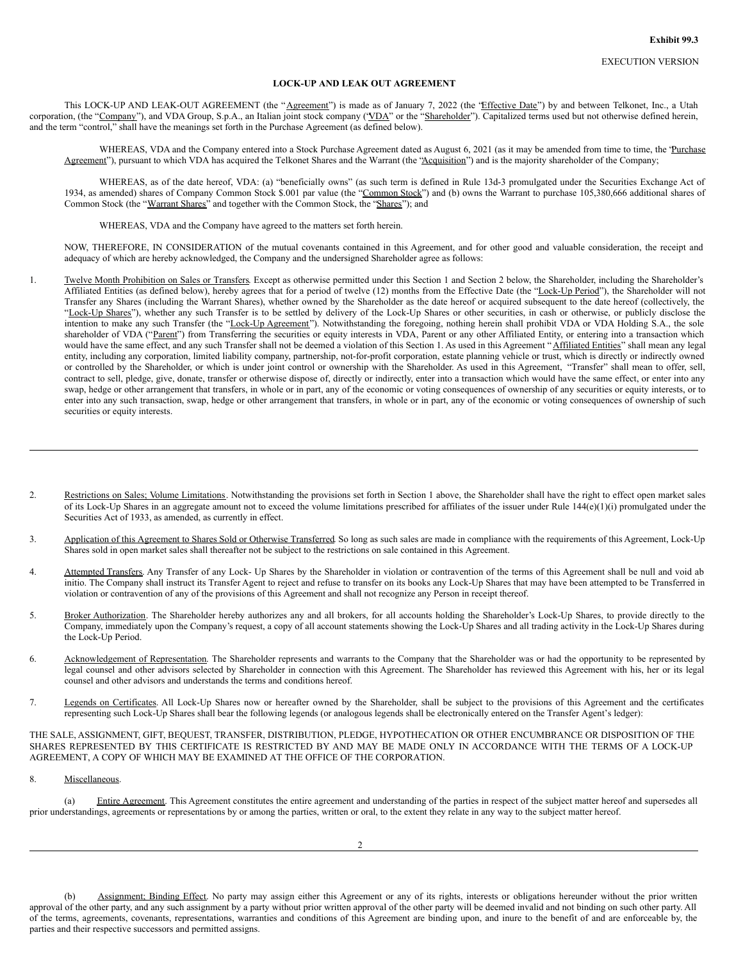# **LOCK-UP AND LEAK OUT AGREEMENT**

This LOCK-UP AND LEAK-OUT AGREEMENT (the "Agreement") is made as of January 7, 2022 (the 'Effective Date'') by and between Telkonet, Inc., a Utah corporation, (the "Company"), and VDA Group, S.p.A., an Italian joint stock company ('VDA" or the "Shareholder"). Capitalized terms used but not otherwise defined herein, and the term "control," shall have the meanings set forth in the Purchase Agreement (as defined below).

WHEREAS, VDA and the Company entered into a Stock Purchase Agreement dated as August 6, 2021 (as it may be amended from time to time, the 'Purchase Agreement"), pursuant to which VDA has acquired the Telkonet Shares and the Warrant (the "Acquisition") and is the majority shareholder of the Company;

WHEREAS, as of the date hereof, VDA: (a) "beneficially owns" (as such term is defined in Rule 13d-3 promulgated under the Securities Exchange Act of 1934, as amended) shares of Company Common Stock \$.001 par value (the "Common Stock") and (b) owns the Warrant to purchase 105,380,666 additional shares of Common Stock (the "Warrant Shares" and together with the Common Stock, the "Shares"); and

WHEREAS, VDA and the Company have agreed to the matters set forth herein.

NOW, THEREFORE, IN CONSIDERATION of the mutual covenants contained in this Agreement, and for other good and valuable consideration, the receipt and adequacy of which are hereby acknowledged, the Company and the undersigned Shareholder agree as follows:

- 1. Twelve Month Prohibition on Sales or Transfers. Except as otherwise permitted under this Section 1 and Section 2 below, the Shareholder, including the Shareholder's Affiliated Entities (as defined below), hereby agrees that for a period of twelve (12) months from the Effective Date (the "Lock-Up Period"), the Shareholder will not Transfer any Shares (including the Warrant Shares), whether owned by the Shareholder as the date hereof or acquired subsequent to the date hereof (collectively, the "Lock-Up Shares"), whether any such Transfer is to be settled by delivery of the Lock-Up Shares or other securities, in cash or otherwise, or publicly disclose the intention to make any such Transfer (the "Lock-Up Agreement"). Notwithstanding the foregoing, nothing herein shall prohibit VDA or VDA Holding S.A., the sole shareholder of VDA ("Parent") from Transferring the securities or equity interests in VDA, Parent or any other Affiliated Entity, or entering into a transaction which would have the same effect, and any such Transfer shall not be deemed a violation of this Section 1. As used in this Agreement "Affiliated Entities" shall mean any legal entity, including any corporation, limited liability company, partnership, not-for-profit corporation, estate planning vehicle or trust, which is directly or indirectly owned or controlled by the Shareholder, or which is under joint control or ownership with the Shareholder. As used in this Agreement, "Transfer" shall mean to offer, sell, contract to sell, pledge, give, donate, transfer or otherwise dispose of, directly or indirectly, enter into a transaction which would have the same effect, or enter into any swap, hedge or other arrangement that transfers, in whole or in part, any of the economic or voting consequences of ownership of any securities or equity interests, or to enter into any such transaction, swap, hedge or other arrangement that transfers, in whole or in part, any of the economic or voting consequences of ownership of such securities or equity interests.
- 2. Restrictions on Sales; Volume Limitations. Notwithstanding the provisions set forth in Section 1 above, the Shareholder shall have the right to effect open market sales of its Lock-Up Shares in an aggregate amount not to exceed the volume limitations prescribed for affiliates of the issuer under Rule  $144(e)(1)(i)$  promulgated under the Securities Act of 1933, as amended, as currently in effect.
- 3. Application of this Agreement to Shares Sold or Otherwise Transferred. So long as such sales are made in compliance with the requirements of this Agreement, Lock-Up Shares sold in open market sales shall thereafter not be subject to the restrictions on sale contained in this Agreement.
- 4. Attempted Transfers. Any Transfer of any Lock- Up Shares by the Shareholder in violation or contravention of the terms of this Agreement shall be null and void ab initio. The Company shall instruct its Transfer Agent to reject and refuse to transfer on its books any Lock-Up Shares that may have been attempted to be Transferred in violation or contravention of any of the provisions of this Agreement and shall not recognize any Person in receipt thereof.
- 5. Broker Authorization. The Shareholder hereby authorizes any and all brokers, for all accounts holding the Shareholder's Lock-Up Shares, to provide directly to the Company, immediately upon the Company's request, a copy of all account statements showing the Lock-Up Shares and all trading activity in the Lock-Up Shares during the Lock-Up Period.
- 6. Acknowledgement of Representation. The Shareholder represents and warrants to the Company that the Shareholder was or had the opportunity to be represented by legal counsel and other advisors selected by Shareholder in connection with this Agreement. The Shareholder has reviewed this Agreement with his, her or its legal counsel and other advisors and understands the terms and conditions hereof.
- 7. Legends on Certificates. All Lock-Up Shares now or hereafter owned by the Shareholder, shall be subject to the provisions of this Agreement and the certificates representing such Lock-Up Shares shall bear the following legends (or analogous legends shall be electronically entered on the Transfer Agent's ledger):

THE SALE, ASSIGNMENT, GIFT, BEQUEST, TRANSFER, DISTRIBUTION, PLEDGE, HYPOTHECATION OR OTHER ENCUMBRANCE OR DISPOSITION OF THE SHARES REPRESENTED BY THIS CERTIFICATE IS RESTRICTED BY AND MAY BE MADE ONLY IN ACCORDANCE WITH THE TERMS OF A LOCK-UP AGREEMENT, A COPY OF WHICH MAY BE EXAMINED AT THE OFFICE OF THE CORPORATION.

8. Miscellaneous.

(a) Entire Agreement. This Agreement constitutes the entire agreement and understanding of the parties in respect of the subject matter hereof and supersedes all prior understandings, agreements or representations by or among the parties, written or oral, to the extent they relate in any way to the subject matter hereof.

(b) Assignment; Binding Effect. No party may assign either this Agreement or any of its rights, interests or obligations hereunder without the prior written approval of the other party, and any such assignment by a party without prior written approval of the other party will be deemed invalid and not binding on such other party. All of the terms, agreements, covenants, representations, warranties and conditions of this Agreement are binding upon, and inure to the benefit of and are enforceable by, the parties and their respective successors and permitted assigns.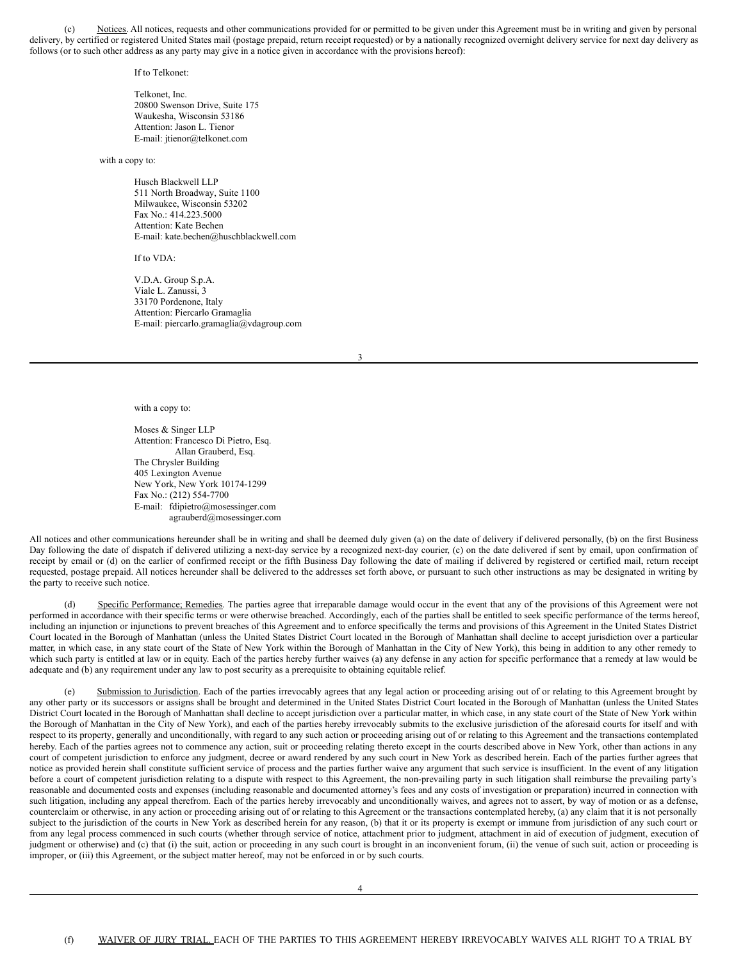<span id="page-9-0"></span>(c) Notices. All notices, requests and other communications provided for or permitted to be given under this Agreement must be in writing and given by personal delivery, by certified or registered United States mail (postage prepaid, return receipt requested) or by a nationally recognized overnight delivery service for next day delivery as follows (or to such other address as any party may give in a notice given in accordance with the provisions hereof):

If to Telkonet:

Telkonet, Inc. 20800 Swenson Drive, Suite 175 Waukesha, Wisconsin 53186 Attention: Jason L. Tienor E-mail: jtienor@telkonet.com

with a copy to:

Husch Blackwell LLP 511 North Broadway, Suite 1100 Milwaukee, Wisconsin 53202 Fax No.: 414.223.5000 Attention: Kate Bechen E-mail: kate.bechen@huschblackwell.com

If to VDA:

V.D.A. Group S.p.A. Viale L. Zanussi, 3 33170 Pordenone, Italy Attention: Piercarlo Gramaglia E-mail: piercarlo.gramaglia@vdagroup.com

3

with a copy to:

Moses & Singer LLP Attention: Francesco Di Pietro, Esq. Allan Grauberd, Esq. The Chrysler Building 405 Lexington Avenue New York, New York 10174-1299 Fax No.: (212) 554-7700 E-mail: fdipietro@mosessinger.com agrauberd@mosessinger.com

All notices and other communications hereunder shall be in writing and shall be deemed duly given (a) on the date of delivery if delivered personally, (b) on the first Business Day following the date of dispatch if delivered utilizing a next-day service by a recognized next-day courier, (c) on the date delivered if sent by email, upon confirmation of receipt by email or (d) on the earlier of confirmed receipt or the fifth Business Day following the date of mailing if delivered by registered or certified mail, return receipt requested, postage prepaid. All notices hereunder shall be delivered to the addresses set forth above, or pursuant to such other instructions as may be designated in writing by the party to receive such notice.

Specific Performance; Remedies. The parties agree that irreparable damage would occur in the event that any of the provisions of this Agreement were not performed in accordance with their specific terms or were otherwise breached. Accordingly, each of the parties shall be entitled to seek specific performance of the terms hereof, including an injunction or injunctions to prevent breaches of this Agreement and to enforce specifically the terms and provisions of this Agreement in the United States District Court located in the Borough of Manhattan (unless the United States District Court located in the Borough of Manhattan shall decline to accept jurisdiction over a particular matter, in which case, in any state court of the State of New York within the Borough of Manhattan in the City of New York), this being in addition to any other remedy to which such party is entitled at law or in equity. Each of the parties hereby further waives (a) any defense in any action for specific performance that a remedy at law would be adequate and (b) any requirement under any law to post security as a prerequisite to obtaining equitable relief.

(e) Submission to Jurisdiction. Each of the parties irrevocably agrees that any legal action or proceeding arising out of or relating to this Agreement brought by any other party or its successors or assigns shall be brought and determined in the United States District Court located in the Borough of Manhattan (unless the United States District Court located in the Borough of Manhattan shall decline to accept jurisdiction over a particular matter, in which case, in any state court of the State of New York within the Borough of Manhattan in the City of New York), and each of the parties hereby irrevocably submits to the exclusive jurisdiction of the aforesaid courts for itself and with respect to its property, generally and unconditionally, with regard to any such action or proceeding arising out of or relating to this Agreement and the transactions contemplated hereby. Each of the parties agrees not to commence any action, suit or proceeding relating thereto except in the courts described above in New York, other than actions in any court of competent jurisdiction to enforce any judgment, decree or award rendered by any such court in New York as described herein. Each of the parties further agrees that notice as provided herein shall constitute sufficient service of process and the parties further waive any argument that such service is insufficient. In the event of any litigation before a court of competent jurisdiction relating to a dispute with respect to this Agreement, the non-prevailing party in such litigation shall reimburse the prevailing party's reasonable and documented costs and expenses (including reasonable and documented attorney's fees and any costs of investigation or preparation) incurred in connection with such litigation, including any appeal therefrom. Each of the parties hereby irrevocably and unconditionally waives, and agrees not to assert, by way of motion or as a defense, counterclaim or otherwise, in any action or proceeding arising out of or relating to this Agreement or the transactions contemplated hereby, (a) any claim that it is not personally subject to the jurisdiction of the courts in New York as described herein for any reason, (b) that it or its property is exempt or immune from jurisdiction of any such court or from any legal process commenced in such courts (whether through service of notice, attachment prior to judgment, attachment in aid of execution of judgment, execution of judgment or otherwise) and (c) that (i) the suit, action or proceeding in any such court is brought in an inconvenient forum, (ii) the venue of such suit, action or proceeding is improper, or (iii) this Agreement, or the subject matter hereof, may not be enforced in or by such courts.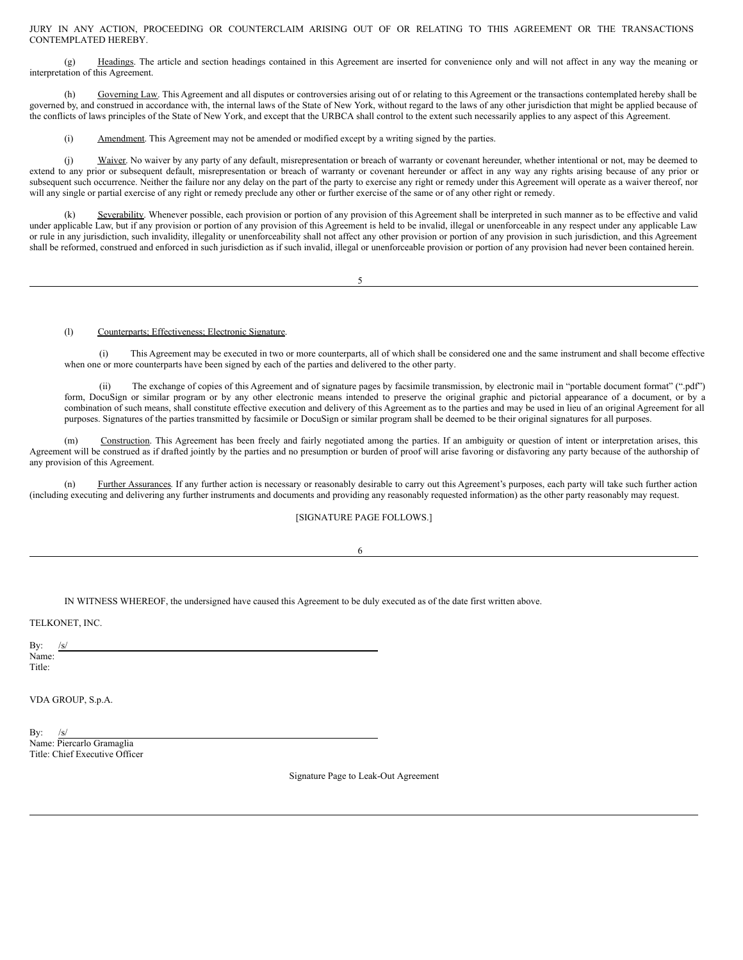JURY IN ANY ACTION, PROCEEDING OR COUNTERCLAIM ARISING OUT OF OR RELATING TO THIS AGREEMENT OR THE TRANSACTIONS CONTEMPLATED HEREBY.

(g) Headings. The article and section headings contained in this Agreement are inserted for convenience only and will not affect in any way the meaning or interpretation of this Agreement.

(h) Governing Law. This Agreement and all disputes or controversies arising out of or relating to this Agreement or the transactions contemplated hereby shall be governed by, and construed in accordance with, the internal laws of the State of New York, without regard to the laws of any other jurisdiction that might be applied because of the conflicts of laws principles of the State of New York, and except that the URBCA shall control to the extent such necessarily applies to any aspect of this Agreement.

(i) Amendment. This Agreement may not be amended or modified except by a writing signed by the parties.

(j) Waiver. No waiver by any party of any default, misrepresentation or breach of warranty or covenant hereunder, whether intentional or not, may be deemed to extend to any prior or subsequent default, misrepresentation or breach of warranty or covenant hereunder or affect in any way any rights arising because of any prior or subsequent such occurrence. Neither the failure nor any delay on the part of the party to exercise any right or remedy under this Agreement will operate as a waiver thereof, nor will any single or partial exercise of any right or remedy preclude any other or further exercise of the same or of any other right or remedy.

(k) Severability. Whenever possible, each provision or portion of any provision of this Agreement shall be interpreted in such manner as to be effective and valid under applicable Law, but if any provision or portion of any provision of this Agreement is held to be invalid, illegal or unenforceable in any respect under any applicable Law or rule in any jurisdiction, such invalidity, illegality or unenforceability shall not affect any other provision or portion of any provision in such jurisdiction, and this Agreement shall be reformed, construed and enforced in such jurisdiction as if such invalid, illegal or unenforceable provision or portion of any provision had never been contained herein.

5

(l) Counterparts; Effectiveness; Electronic Signature.

(i) This Agreement may be executed in two or more counterparts, all of which shall be considered one and the same instrument and shall become effective when one or more counterparts have been signed by each of the parties and delivered to the other party.

(ii) The exchange of copies of this Agreement and of signature pages by facsimile transmission, by electronic mail in "portable document format" (".pdf") form, DocuSign or similar program or by any other electronic means intended to preserve the original graphic and pictorial appearance of a document, or by a combination of such means, shall constitute effective execution and delivery of this Agreement as to the parties and may be used in lieu of an original Agreement for all purposes. Signatures of the parties transmitted by facsimile or DocuSign or similar program shall be deemed to be their original signatures for all purposes.

(m) Construction. This Agreement has been freely and fairly negotiated among the parties. If an ambiguity or question of intent or interpretation arises, this Agreement will be construed as if drafted jointly by the parties and no presumption or burden of proof will arise favoring or disfavoring any party because of the authorship of any provision of this Agreement.

(n) Further Assurances. If any further action is necessary or reasonably desirable to carry out this Agreement's purposes, each party will take such further action (including executing and delivering any further instruments and documents and providing any reasonably requested information) as the other party reasonably may request.

# [SIGNATURE PAGE FOLLOWS.]

6

IN WITNESS WHEREOF, the undersigned have caused this Agreement to be duly executed as of the date first written above.

TELKONET, INC.

Bv: Name: Title:

VDA GROUP, S.p.A.

Bv: Name: Piercarlo Gramaglia Title: Chief Executive Officer

Signature Page to Leak-Out Agreement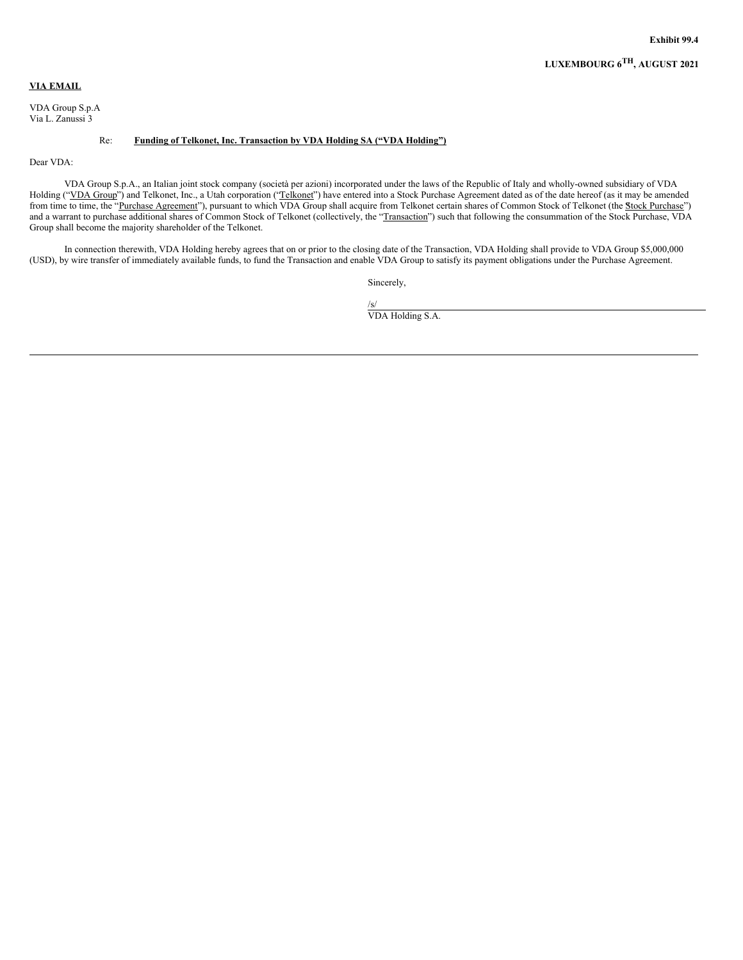# <span id="page-11-0"></span>**VIA EMAIL**

VDA Group S.p.A Via L. Zanussi 3

# Re: **Funding of Telkonet, Inc. Transaction by VDA Holding SA ("VDA Holding")**

Dear VDA:

VDA Group S.p.A., an Italian joint stock company (società per azioni) incorporated under the laws of the Republic of Italy and wholly-owned subsidiary of VDA Holding ("VDA Group") and Telkonet, Inc., a Utah corporation ("Telkonet") have entered into a Stock Purchase Agreement dated as of the date hereof (as it may be amended from time to time, the "Purchase Agreement"), pursuant to which VDA Group shall acquire from Telkonet certain shares of Common Stock of Telkonet (the Stock Purchase") and a warrant to purchase additional shares of Common Stock of Telkonet (collectively, the "Transaction") such that following the consummation of the Stock Purchase, VDA Group shall become the majority shareholder of the Telkonet.

In connection therewith, VDA Holding hereby agrees that on or prior to the closing date of the Transaction, VDA Holding shall provide to VDA Group \$5,000,000 (USD), by wire transfer of immediately available funds, to fund the Transaction and enable VDA Group to satisfy its payment obligations under the Purchase Agreement.

Sincerely,

/s/ VDA Holding S.A.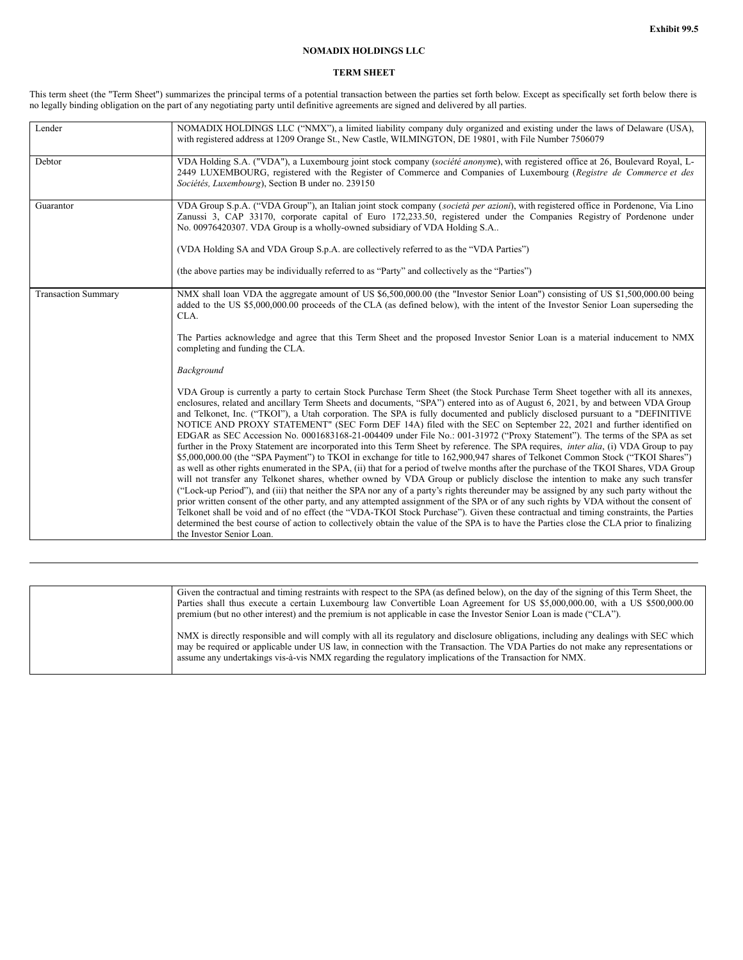# **NOMADIX HOLDINGS LLC**

# **TERM SHEET**

This term sheet (the "Term Sheet") summarizes the principal terms of a potential transaction between the parties set forth below. Except as specifically set forth below there is no legally binding obligation on the part of any negotiating party until definitive agreements are signed and delivered by all parties.

| Lender                     | NOMADIX HOLDINGS LLC ("NMX"), a limited liability company duly organized and existing under the laws of Delaware (USA),<br>with registered address at 1209 Orange St., New Castle, WILMINGTON, DE 19801, with File Number 7506079                                                                                                                                                                                                                                                                                                                                                                                                                                                                                                                                                                                                                                                                                                                                                                                                                                                                                                                                                                                                                                                                                                                                                                                                                                                                                                                                                                                                                                                                                                                                                                                                |
|----------------------------|----------------------------------------------------------------------------------------------------------------------------------------------------------------------------------------------------------------------------------------------------------------------------------------------------------------------------------------------------------------------------------------------------------------------------------------------------------------------------------------------------------------------------------------------------------------------------------------------------------------------------------------------------------------------------------------------------------------------------------------------------------------------------------------------------------------------------------------------------------------------------------------------------------------------------------------------------------------------------------------------------------------------------------------------------------------------------------------------------------------------------------------------------------------------------------------------------------------------------------------------------------------------------------------------------------------------------------------------------------------------------------------------------------------------------------------------------------------------------------------------------------------------------------------------------------------------------------------------------------------------------------------------------------------------------------------------------------------------------------------------------------------------------------------------------------------------------------|
| Debtor                     | VDA Holding S.A. ("VDA"), a Luxembourg joint stock company (société anonyme), with registered office at 26, Boulevard Royal, L-<br>2449 LUXEMBOURG, registered with the Register of Commerce and Companies of Luxembourg (Registre de Commerce et des<br>Sociétés, Luxembourg), Section B under no. 239150                                                                                                                                                                                                                                                                                                                                                                                                                                                                                                                                                                                                                                                                                                                                                                                                                                                                                                                                                                                                                                                                                                                                                                                                                                                                                                                                                                                                                                                                                                                       |
| Guarantor                  | VDA Group S.p.A. ("VDA Group"), an Italian joint stock company (società per azioni), with registered office in Pordenone, Via Lino<br>Zanussi 3, CAP 33170, corporate capital of Euro 172,233.50, registered under the Companies Registry of Pordenone under<br>No. 00976420307. VDA Group is a wholly-owned subsidiary of VDA Holding S.A                                                                                                                                                                                                                                                                                                                                                                                                                                                                                                                                                                                                                                                                                                                                                                                                                                                                                                                                                                                                                                                                                                                                                                                                                                                                                                                                                                                                                                                                                       |
|                            | (VDA Holding SA and VDA Group S.p.A. are collectively referred to as the "VDA Parties")                                                                                                                                                                                                                                                                                                                                                                                                                                                                                                                                                                                                                                                                                                                                                                                                                                                                                                                                                                                                                                                                                                                                                                                                                                                                                                                                                                                                                                                                                                                                                                                                                                                                                                                                          |
|                            | (the above parties may be individually referred to as "Party" and collectively as the "Parties")                                                                                                                                                                                                                                                                                                                                                                                                                                                                                                                                                                                                                                                                                                                                                                                                                                                                                                                                                                                                                                                                                                                                                                                                                                                                                                                                                                                                                                                                                                                                                                                                                                                                                                                                 |
| <b>Transaction Summary</b> | NMX shall loan VDA the aggregate amount of US \$6,500,000.00 (the "Investor Senior Loan") consisting of US \$1,500,000.00 being<br>added to the US \$5,000,000.00 proceeds of the CLA (as defined below), with the intent of the Investor Senior Loan superseding the<br>CLA.                                                                                                                                                                                                                                                                                                                                                                                                                                                                                                                                                                                                                                                                                                                                                                                                                                                                                                                                                                                                                                                                                                                                                                                                                                                                                                                                                                                                                                                                                                                                                    |
|                            | The Parties acknowledge and agree that this Term Sheet and the proposed Investor Senior Loan is a material inducement to NMX<br>completing and funding the CLA.                                                                                                                                                                                                                                                                                                                                                                                                                                                                                                                                                                                                                                                                                                                                                                                                                                                                                                                                                                                                                                                                                                                                                                                                                                                                                                                                                                                                                                                                                                                                                                                                                                                                  |
|                            | Background                                                                                                                                                                                                                                                                                                                                                                                                                                                                                                                                                                                                                                                                                                                                                                                                                                                                                                                                                                                                                                                                                                                                                                                                                                                                                                                                                                                                                                                                                                                                                                                                                                                                                                                                                                                                                       |
|                            | VDA Group is currently a party to certain Stock Purchase Term Sheet (the Stock Purchase Term Sheet together with all its annexes,<br>enclosures, related and ancillary Term Sheets and documents, "SPA") entered into as of August 6, 2021, by and between VDA Group<br>and Telkonet, Inc. ("TKOI"), a Utah corporation. The SPA is fully documented and publicly disclosed pursuant to a "DEFINITIVE"<br>NOTICE AND PROXY STATEMENT" (SEC Form DEF 14A) filed with the SEC on September 22, 2021 and further identified on<br>EDGAR as SEC Accession No. 0001683168-21-004409 under File No.: 001-31972 ("Proxy Statement"). The terms of the SPA as set<br>further in the Proxy Statement are incorporated into this Term Sheet by reference. The SPA requires, <i>inter alia</i> , (i) VDA Group to pay<br>\$5,000,000.00 (the "SPA Payment") to TKOI in exchange for title to 162,900,947 shares of Telkonet Common Stock ("TKOI Shares")<br>as well as other rights enumerated in the SPA, (ii) that for a period of twelve months after the purchase of the TKOI Shares, VDA Group<br>will not transfer any Telkonet shares, whether owned by VDA Group or publicly disclose the intention to make any such transfer<br>("Lock-up Period"), and (iii) that neither the SPA nor any of a party's rights thereunder may be assigned by any such party without the<br>prior written consent of the other party, and any attempted assignment of the SPA or of any such rights by VDA without the consent of<br>Telkonet shall be void and of no effect (the "VDA-TKOI Stock Purchase"). Given these contractual and timing constraints, the Parties<br>determined the best course of action to collectively obtain the value of the SPA is to have the Parties close the CLA prior to finalizing<br>the Investor Senior Loan. |

| Given the contractual and timing restraints with respect to the SPA (as defined below), on the day of the signing of this Term Sheet, the<br>Parties shall thus execute a certain Luxembourg law Convertible Loan Agreement for US \$5,000,000.00, with a US \$500,000.00<br>premium (but no other interest) and the premium is not applicable in case the Investor Senior Loan is made ("CLA"). |
|--------------------------------------------------------------------------------------------------------------------------------------------------------------------------------------------------------------------------------------------------------------------------------------------------------------------------------------------------------------------------------------------------|
| NMX is directly responsible and will comply with all its regulatory and disclosure obligations, including any dealings with SEC which<br>may be required or applicable under US law, in connection with the Transaction. The VDA Parties do not make any representations or<br>assume any undertakings vis-à-vis NMX regarding the regulatory implications of the Transaction for NMX.           |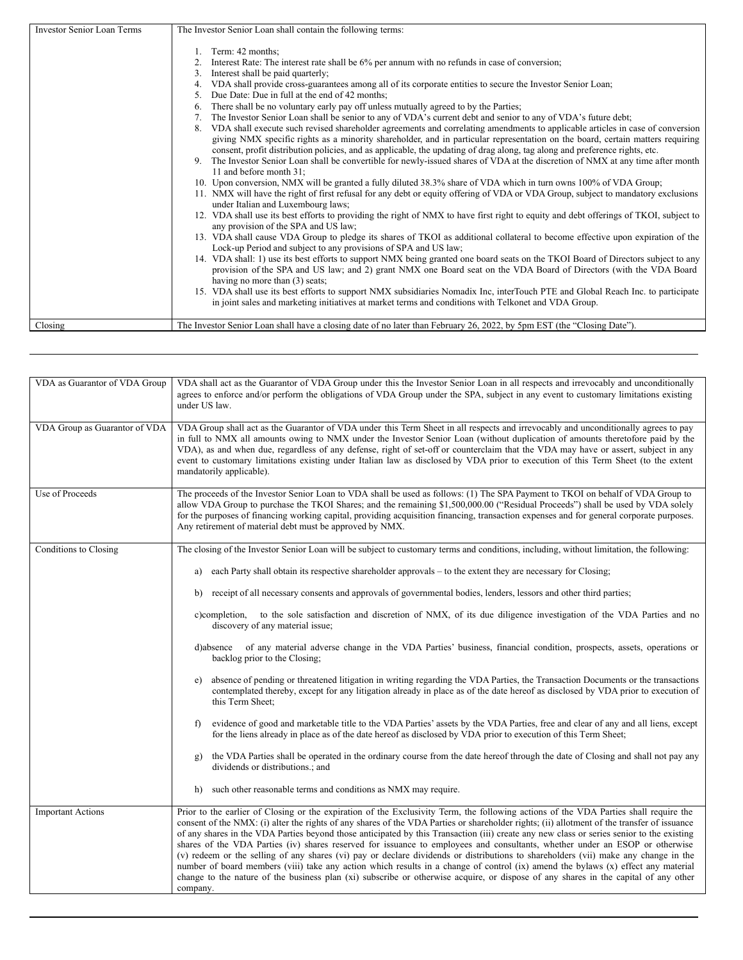<span id="page-13-0"></span>

| <b>Investor Senior Loan Terms</b> | The Investor Senior Loan shall contain the following terms:                                                                                                                                                                                                                                                                                                                                                                                                                                                                                                                                                                                                                                                                                                                                                                                                                                                                                                                                                                                                                                                                                                                                                                                                                                                                                                                                                                                                                                                                                                                                                                                                                                                                                                                                                                                                                                                                                                                                                                                                           |
|-----------------------------------|-----------------------------------------------------------------------------------------------------------------------------------------------------------------------------------------------------------------------------------------------------------------------------------------------------------------------------------------------------------------------------------------------------------------------------------------------------------------------------------------------------------------------------------------------------------------------------------------------------------------------------------------------------------------------------------------------------------------------------------------------------------------------------------------------------------------------------------------------------------------------------------------------------------------------------------------------------------------------------------------------------------------------------------------------------------------------------------------------------------------------------------------------------------------------------------------------------------------------------------------------------------------------------------------------------------------------------------------------------------------------------------------------------------------------------------------------------------------------------------------------------------------------------------------------------------------------------------------------------------------------------------------------------------------------------------------------------------------------------------------------------------------------------------------------------------------------------------------------------------------------------------------------------------------------------------------------------------------------------------------------------------------------------------------------------------------------|
|                                   | Term: 42 months;<br>Interest Rate: The interest rate shall be 6% per annum with no refunds in case of conversion;<br>Interest shall be paid quarterly;<br>3.<br>VDA shall provide cross-guarantees among all of its corporate entities to secure the Investor Senior Loan;<br>Due Date: Due in full at the end of 42 months;<br>There shall be no voluntary early pay off unless mutually agreed to by the Parties;<br>6.<br>The Investor Senior Loan shall be senior to any of VDA's current debt and senior to any of VDA's future debt;<br>VDA shall execute such revised shareholder agreements and correlating amendments to applicable articles in case of conversion<br>8.<br>giving NMX specific rights as a minority shareholder, and in particular representation on the board, certain matters requiring<br>consent, profit distribution policies, and as applicable, the updating of drag along, tag along and preference rights, etc.<br>The Investor Senior Loan shall be convertible for newly-issued shares of VDA at the discretion of NMX at any time after month<br>9.<br>11 and before month 31:<br>10. Upon conversion, NMX will be granted a fully diluted 38.3% share of VDA which in turn owns 100% of VDA Group;<br>11. NMX will have the right of first refusal for any debt or equity offering of VDA or VDA Group, subject to mandatory exclusions<br>under Italian and Luxembourg laws;<br>12. VDA shall use its best efforts to providing the right of NMX to have first right to equity and debt offerings of TKOI, subject to<br>any provision of the SPA and US law;<br>13. VDA shall cause VDA Group to pledge its shares of TKOI as additional collateral to become effective upon expiration of the<br>Lock-up Period and subject to any provisions of SPA and US law;<br>14. VDA shall: 1) use its best efforts to support NMX being granted one board seats on the TKOI Board of Directors subject to any<br>provision of the SPA and US law; and 2) grant NMX one Board seat on the VDA Board of Directors (with the VDA Board |
|                                   | having no more than (3) seats;<br>15. VDA shall use its best efforts to support NMX subsidiaries Nomadix Inc, interTouch PTE and Global Reach Inc. to participate<br>in joint sales and marketing initiatives at market terms and conditions with Telkonet and VDA Group.                                                                                                                                                                                                                                                                                                                                                                                                                                                                                                                                                                                                                                                                                                                                                                                                                                                                                                                                                                                                                                                                                                                                                                                                                                                                                                                                                                                                                                                                                                                                                                                                                                                                                                                                                                                             |
| Closing                           | The Investor Senior Loan shall have a closing date of no later than February 26, 2022, by 5pm EST (the "Closing Date").                                                                                                                                                                                                                                                                                                                                                                                                                                                                                                                                                                                                                                                                                                                                                                                                                                                                                                                                                                                                                                                                                                                                                                                                                                                                                                                                                                                                                                                                                                                                                                                                                                                                                                                                                                                                                                                                                                                                               |
|                                   |                                                                                                                                                                                                                                                                                                                                                                                                                                                                                                                                                                                                                                                                                                                                                                                                                                                                                                                                                                                                                                                                                                                                                                                                                                                                                                                                                                                                                                                                                                                                                                                                                                                                                                                                                                                                                                                                                                                                                                                                                                                                       |

| VDA as Guarantor of VDA Group | VDA shall act as the Guarantor of VDA Group under this the Investor Senior Loan in all respects and irrevocably and unconditionally<br>agrees to enforce and/or perform the obligations of VDA Group under the SPA, subject in any event to customary limitations existing<br>under US law.                                                                                                                                                                                                                                                                                                                                                                                                                                                                                                                                                                                                                                                                                                      |
|-------------------------------|--------------------------------------------------------------------------------------------------------------------------------------------------------------------------------------------------------------------------------------------------------------------------------------------------------------------------------------------------------------------------------------------------------------------------------------------------------------------------------------------------------------------------------------------------------------------------------------------------------------------------------------------------------------------------------------------------------------------------------------------------------------------------------------------------------------------------------------------------------------------------------------------------------------------------------------------------------------------------------------------------|
| VDA Group as Guarantor of VDA | VDA Group shall act as the Guarantor of VDA under this Term Sheet in all respects and irrevocably and unconditionally agrees to pay<br>in full to NMX all amounts owing to NMX under the Investor Senior Loan (without duplication of amounts theretofore paid by the<br>VDA), as and when due, regardless of any defense, right of set-off or counterclaim that the VDA may have or assert, subject in any<br>event to customary limitations existing under Italian law as disclosed by VDA prior to execution of this Term Sheet (to the extent<br>mandatorily applicable).                                                                                                                                                                                                                                                                                                                                                                                                                    |
| Use of Proceeds               | The proceeds of the Investor Senior Loan to VDA shall be used as follows: (1) The SPA Payment to TKOI on behalf of VDA Group to<br>allow VDA Group to purchase the TKOI Shares; and the remaining \$1,500,000.00 ("Residual Proceeds") shall be used by VDA solely<br>for the purposes of financing working capital, providing acquisition financing, transaction expenses and for general corporate purposes.<br>Any retirement of material debt must be approved by NMX.                                                                                                                                                                                                                                                                                                                                                                                                                                                                                                                       |
| Conditions to Closing         | The closing of the Investor Senior Loan will be subject to customary terms and conditions, including, without limitation, the following:                                                                                                                                                                                                                                                                                                                                                                                                                                                                                                                                                                                                                                                                                                                                                                                                                                                         |
|                               | each Party shall obtain its respective shareholder approvals – to the extent they are necessary for Closing;<br>a)                                                                                                                                                                                                                                                                                                                                                                                                                                                                                                                                                                                                                                                                                                                                                                                                                                                                               |
|                               | receipt of all necessary consents and approvals of governmental bodies, lenders, lessors and other third parties;<br>b)                                                                                                                                                                                                                                                                                                                                                                                                                                                                                                                                                                                                                                                                                                                                                                                                                                                                          |
|                               | to the sole satisfaction and discretion of NMX, of its due diligence investigation of the VDA Parties and no<br>c)completion,<br>discovery of any material issue;                                                                                                                                                                                                                                                                                                                                                                                                                                                                                                                                                                                                                                                                                                                                                                                                                                |
|                               | of any material adverse change in the VDA Parties' business, financial condition, prospects, assets, operations or<br>d)absence<br>backlog prior to the Closing;                                                                                                                                                                                                                                                                                                                                                                                                                                                                                                                                                                                                                                                                                                                                                                                                                                 |
|                               | absence of pending or threatened litigation in writing regarding the VDA Parties, the Transaction Documents or the transactions<br>e)<br>contemplated thereby, except for any litigation already in place as of the date hereof as disclosed by VDA prior to execution of<br>this Term Sheet;                                                                                                                                                                                                                                                                                                                                                                                                                                                                                                                                                                                                                                                                                                    |
|                               | evidence of good and marketable title to the VDA Parties' assets by the VDA Parties, free and clear of any and all liens, except<br>f)<br>for the liens already in place as of the date hereof as disclosed by VDA prior to execution of this Term Sheet;                                                                                                                                                                                                                                                                                                                                                                                                                                                                                                                                                                                                                                                                                                                                        |
|                               | the VDA Parties shall be operated in the ordinary course from the date hereof through the date of Closing and shall not pay any<br>g)<br>dividends or distributions.; and                                                                                                                                                                                                                                                                                                                                                                                                                                                                                                                                                                                                                                                                                                                                                                                                                        |
|                               | such other reasonable terms and conditions as NMX may require.<br>h)                                                                                                                                                                                                                                                                                                                                                                                                                                                                                                                                                                                                                                                                                                                                                                                                                                                                                                                             |
| <b>Important Actions</b>      | Prior to the earlier of Closing or the expiration of the Exclusivity Term, the following actions of the VDA Parties shall require the<br>consent of the NMX: (i) alter the rights of any shares of the VDA Parties or shareholder rights; (ii) allotment of the transfer of issuance<br>of any shares in the VDA Parties beyond those anticipated by this Transaction (iii) create any new class or series senior to the existing<br>shares of the VDA Parties (iv) shares reserved for issuance to employees and consultants, whether under an ESOP or otherwise<br>(v) redeem or the selling of any shares (vi) pay or declare dividends or distributions to shareholders (vii) make any change in the<br>number of board members (viii) take any action which results in a change of control (ix) amend the bylaws (x) effect any material<br>change to the nature of the business plan (xi) subscribe or otherwise acquire, or dispose of any shares in the capital of any other<br>company. |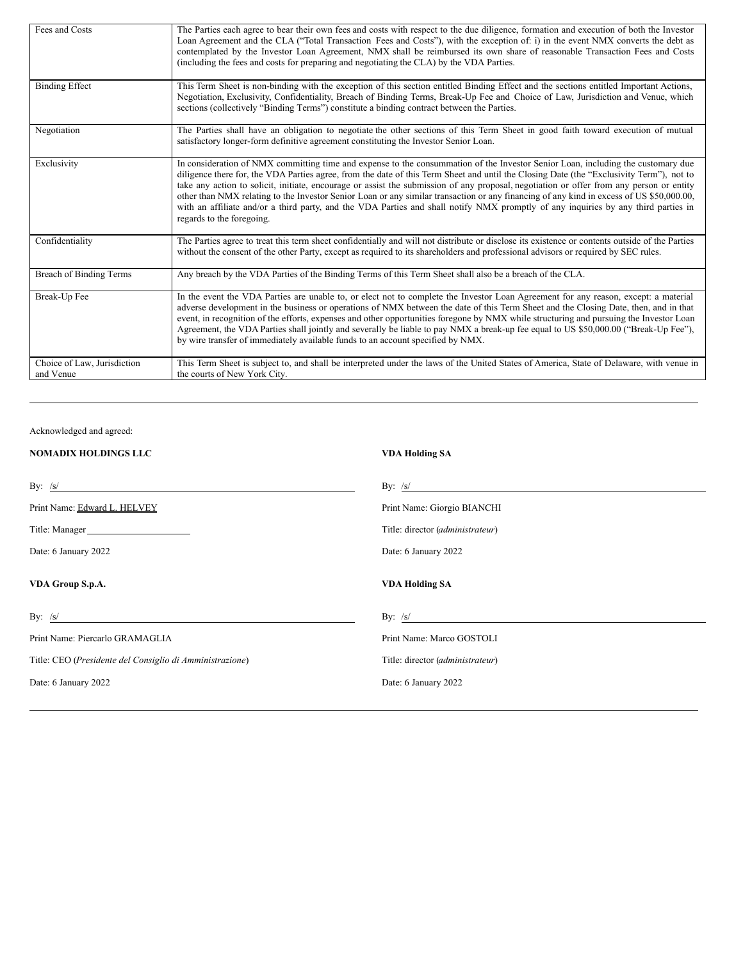| Fees and Costs                           | The Parties each agree to bear their own fees and costs with respect to the due diligence, formation and execution of both the Investor<br>Loan Agreement and the CLA ("Total Transaction Fees and Costs"), with the exception of: i) in the event NMX converts the debt as<br>contemplated by the Investor Loan Agreement, NMX shall be reimbursed its own share of reasonable Transaction Fees and Costs<br>(including the fees and costs for preparing and negotiating the CLA) by the VDA Parties.                                                                                                                                                                                                                                  |
|------------------------------------------|-----------------------------------------------------------------------------------------------------------------------------------------------------------------------------------------------------------------------------------------------------------------------------------------------------------------------------------------------------------------------------------------------------------------------------------------------------------------------------------------------------------------------------------------------------------------------------------------------------------------------------------------------------------------------------------------------------------------------------------------|
| <b>Binding Effect</b>                    | This Term Sheet is non-binding with the exception of this section entitled Binding Effect and the sections entitled Important Actions,<br>Negotiation, Exclusivity, Confidentiality, Breach of Binding Terms, Break-Up Fee and Choice of Law, Jurisdiction and Venue, which<br>sections (collectively "Binding Terms") constitute a binding contract between the Parties.                                                                                                                                                                                                                                                                                                                                                               |
| Negotiation                              | The Parties shall have an obligation to negotiate the other sections of this Term Sheet in good faith toward execution of mutual<br>satisfactory longer-form definitive agreement constituting the Investor Senior Loan.                                                                                                                                                                                                                                                                                                                                                                                                                                                                                                                |
| Exclusivity                              | In consideration of NMX committing time and expense to the consummation of the Investor Senior Loan, including the customary due<br>diligence there for, the VDA Parties agree, from the date of this Term Sheet and until the Closing Date (the "Exclusivity Term"), not to<br>take any action to solicit, initiate, encourage or assist the submission of any proposal, negotiation or offer from any person or entity<br>other than NMX relating to the Investor Senior Loan or any similar transaction or any financing of any kind in excess of US \$50,000.00,<br>with an affiliate and/or a third party, and the VDA Parties and shall notify NMX promptly of any inquiries by any third parties in<br>regards to the foregoing. |
| Confidentiality                          | The Parties agree to treat this term sheet confidentially and will not distribute or disclose its existence or contents outside of the Parties<br>without the consent of the other Party, except as required to its shareholders and professional advisors or required by SEC rules.                                                                                                                                                                                                                                                                                                                                                                                                                                                    |
| Breach of Binding Terms                  | Any breach by the VDA Parties of the Binding Terms of this Term Sheet shall also be a breach of the CLA.                                                                                                                                                                                                                                                                                                                                                                                                                                                                                                                                                                                                                                |
| Break-Up Fee                             | In the event the VDA Parties are unable to, or elect not to complete the Investor Loan Agreement for any reason, except: a material<br>adverse development in the business or operations of NMX between the date of this Term Sheet and the Closing Date, then, and in that<br>event, in recognition of the efforts, expenses and other opportunities foregone by NMX while structuring and pursuing the Investor Loan<br>Agreement, the VDA Parties shall jointly and severally be liable to pay NMX a break-up fee equal to US \$50,000.00 ("Break-Up Fee"),<br>by wire transfer of immediately available funds to an account specified by NMX.                                                                                       |
| Choice of Law, Jurisdiction<br>and Venue | This Term Sheet is subject to, and shall be interpreted under the laws of the United States of America, State of Delaware, with venue in<br>the courts of New York City.                                                                                                                                                                                                                                                                                                                                                                                                                                                                                                                                                                |

Acknowledged and agreed:

| <b>NOMADIX HOLDINGS LLC</b>                                          | <b>VDA Holding SA</b>            |
|----------------------------------------------------------------------|----------------------------------|
| By: $/s/$<br><u> 1989 - Johann Stein, fransk politiker (d. 1989)</u> | By: $/s/$                        |
| Print Name: Edward L. HELVEY                                         | Print Name: Giorgio BIANCHI      |
| Title: Manager                                                       | Title: director (administrateur) |
| Date: 6 January 2022                                                 | Date: 6 January 2022             |
| VDA Group S.p.A.                                                     | <b>VDA Holding SA</b>            |
| By: $/s/$                                                            | By: $/s/$                        |
| Print Name: Piercarlo GRAMAGLIA                                      | Print Name: Marco GOSTOLI        |
| Title: CEO (Presidente del Consiglio di Amministrazione)             | Title: director (administrateur) |
| Date: 6 January 2022                                                 | Date: 6 January 2022             |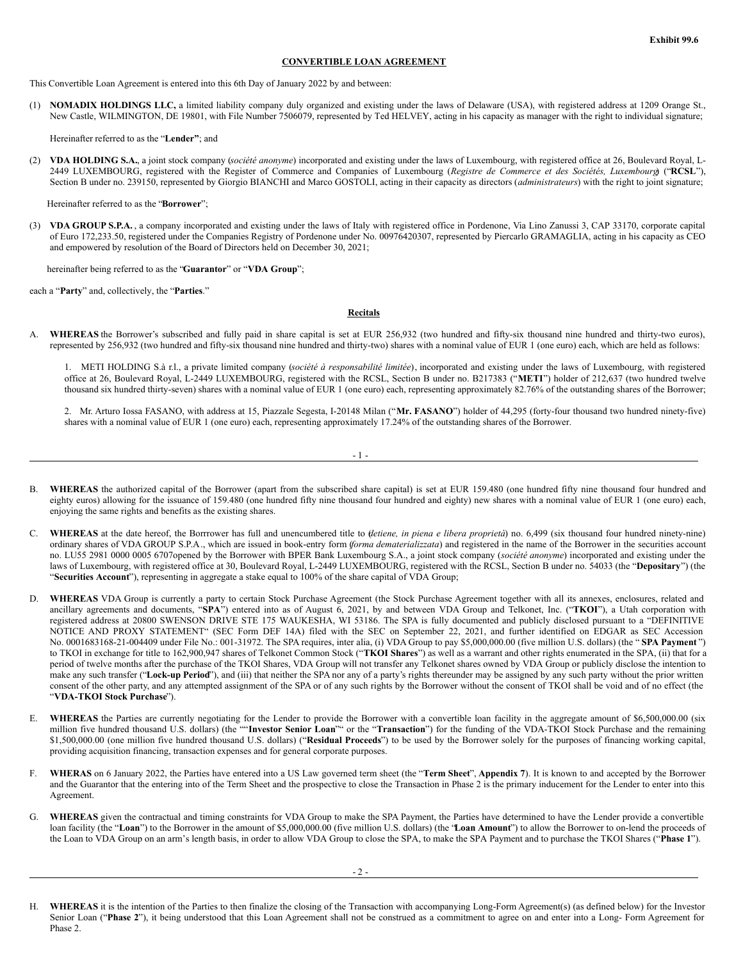#### **CONVERTIBLE LOAN AGREEMENT**

This Convertible Loan Agreement is entered into this 6th Day of January 2022 by and between:

(1) **NOMADIX HOLDINGS LLC,** a limited liability company duly organized and existing under the laws of Delaware (USA), with registered address at 1209 Orange St., New Castle, WILMINGTON, DE 19801, with File Number 7506079, represented by Ted HELVEY, acting in his capacity as manager with the right to individual signature;

Hereinafter referred to as the "**Lender"**; and

(2) **VDA HOLDING S.A.**, a joint stock company (*société anonyme*) incorporated and existing under the laws of Luxembourg, with registered office at 26, Boulevard Royal, L-2449 LUXEMBOURG, registered with the Register of Commerce and Companies of Luxembourg (*Registre de Commerce et des Sociétés, Luxembourg*) ("**RCSL**"), Section B under no. 239150, represented by Giorgio BIANCHI and Marco GOSTOLI, acting in their capacity as directors (*administrateurs*) with the right to joint signature;

Hereinafter referred to as the "**Borrower**";

(3) **VDA GROUP S.P.A.** , a company incorporated and existing under the laws of Italy with registered office in Pordenone, Via Lino Zanussi 3, CAP 33170, corporate capital of Euro 172,233.50, registered under the Companies Registry of Pordenone under No. 00976420307, represented by Piercarlo GRAMAGLIA, acting in his capacity as CEO and empowered by resolution of the Board of Directors held on December 30, 2021;

hereinafter being referred to as the "**Guarantor**" or "**VDA Group**";

each a "**Party**" and, collectively, the "**Parties**."

# **Recitals**

A. **WHEREAS** the Borrower's subscribed and fully paid in share capital is set at EUR 256,932 (two hundred and fifty-six thousand nine hundred and thirty-two euros), represented by 256,932 (two hundred and fifty-six thousand nine hundred and thirty-two) shares with a nominal value of EUR 1 (one euro) each, which are held as follows:

1. METI HOLDING S.à r.l., a private limited company (*société à responsabilité limitée*), incorporated and existing under the laws of Luxembourg, with registered office at 26, Boulevard Royal, L-2449 LUXEMBOURG, registered with the RCSL, Section B under no. B217383 ("**METI**") holder of 212,637 (two hundred twelve thousand six hundred thirty-seven) shares with a nominal value of EUR 1 (one euro) each, representing approximately 82.76% of the outstanding shares of the Borrower;

2. Mr. Arturo Iossa FASANO, with address at 15, Piazzale Segesta, I-20148 Milan ("**Mr. FASANO**") holder of 44,295 (forty-four thousand two hundred ninety-five) shares with a nominal value of EUR 1 (one euro) each, representing approximately 17.24% of the outstanding shares of the Borrower.

- B. **WHEREAS** the authorized capital of the Borrower (apart from the subscribed share capital) is set at EUR 159.480 (one hundred fifty nine thousand four hundred and eighty euros) allowing for the issuance of 159.480 (one hundred fifty nine thousand four hundred and eighty) new shares with a nominal value of EUR 1 (one euro) each, enjoying the same rights and benefits as the existing shares.
- C. **WHEREAS** at the date hereof, the Borrrower has full and unencumbered title to (*detiene, in piena e libera proprietà*) no. 6,499 (six thousand four hundred ninety-nine) ordinary shares of VDA GROUP S.P.A., which are issued in book-entry form (*forma dematerializzata*) and registered in the name of the Borrower in the securities account no. LU55 2981 0000 0005 6707opened by the Borrower with BPER Bank Luxembourg S.A., a joint stock company (*société anonyme*) incorporated and existing under the laws of Luxembourg, with registered office at 30, Boulevard Royal, L-2449 LUXEMBOURG, registered with the RCSL, Section B under no. 54033 (the "**Depositary**") (the "**Securities Account**"), representing in aggregate a stake equal to 100% of the share capital of VDA Group;
- WHEREAS VDA Group is currently a party to certain Stock Purchase Agreement (the Stock Purchase Agreement together with all its annexes, enclosures, related and ancillary agreements and documents, "**SPA**") entered into as of August 6, 2021, by and between VDA Group and Telkonet, Inc. ("**TKOI**"), a Utah corporation with registered address at 20800 SWENSON DRIVE STE 175 WAUKESHA, WI 53186. The SPA is fully documented and publicly disclosed pursuant to a "DEFINITIVE NOTICE AND PROXY STATEMENT" (SEC Form DEF 14A) filed with the SEC on September 22, 2021, and further identified on EDGAR as SEC Accession No. 0001683168-21-004409 under File No.: 001-31972. The SPA requires, inter alia, (i) VDA Group to pay \$5,000,000.00 (five million U.S. dollars) (the " **SPA Payment** ") to TKOI in exchange for title to 162,900,947 shares of Telkonet Common Stock ("**TKOI Shares**") as well as a warrant and other rights enumerated in the SPA, (ii) that for a period of twelve months after the purchase of the TKOI Shares, VDA Group will not transfer any Telkonet shares owned by VDA Group or publicly disclose the intention to make any such transfer ("**Lock-up Period**"), and (iii) that neither the SPA nor any of a party's rights thereunder may be assigned by any such party without the prior written consent of the other party, and any attempted assignment of the SPA or of any such rights by the Borrower without the consent of TKOI shall be void and of no effect (the "**VDA-TKOI Stock Purchase**").
- E. **WHEREAS** the Parties are currently negotiating for the Lender to provide the Borrower with a convertible loan facility in the aggregate amount of \$6,500,000.00 (six million five hundred thousand U.S. dollars) (the ""**Investor Senior Loan**"" or the "**Transaction**") for the funding of the VDA-TKOI Stock Purchase and the remaining \$1,500,000.00 (one million five hundred thousand U.S. dollars) ("**Residual Proceeds**") to be used by the Borrower solely for the purposes of financing working capital, providing acquisition financing, transaction expenses and for general corporate purposes.
- F. **WHERAS** on 6 January 2022, the Parties have entered into a US Law governed term sheet (the "**Term Sheet**", **Appendix 7**). It is known to and accepted by the Borrower and the Guarantor that the entering into of the Term Sheet and the prospective to close the Transaction in Phase 2 is the primary inducement for the Lender to enter into this Agreement.
- G. **WHEREAS** given the contractual and timing constraints for VDA Group to make the SPA Payment, the Parties have determined to have the Lender provide a convertible loan facility (the "**Loan**") to the Borrower in the amount of \$5,000,000.00 (five million U.S. dollars) (the "**Loan Amount**") to allow the Borrower to on-lend the proceeds of the Loan to VDA Group on an arm's length basis, in order to allow VDA Group to close the SPA, to make the SPA Payment and to purchase the TKOI Shares ("**Phase 1**").

WHEREAS it is the intention of the Parties to then finalize the closing of the Transaction with accompanying Long-Form Agreement(s) (as defined below) for the Investor Senior Loan ("Phase 2"), it being understood that this Loan Agreement shall not be construed as a commitment to agree on and enter into a Long- Form Agreement for Phase 2.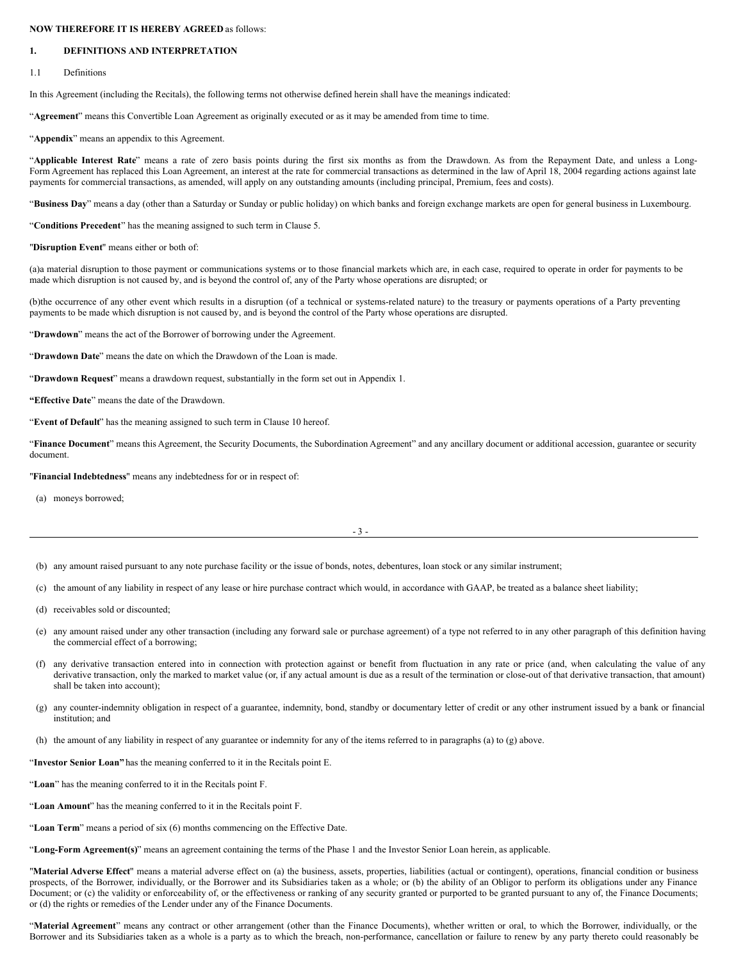#### **NOW THEREFORE IT IS HEREBY AGREED** as follows:

# **1. DEFINITIONS AND INTERPRETATION**

1.1 Definitions

In this Agreement (including the Recitals), the following terms not otherwise defined herein shall have the meanings indicated:

"**Agreement**" means this Convertible Loan Agreement as originally executed or as it may be amended from time to time.

"**Appendix**" means an appendix to this Agreement.

"**Applicable Interest Rate**" means a rate of zero basis points during the first six months as from the Drawdown. As from the Repayment Date, and unless a Long-Form Agreement has replaced this Loan Agreement, an interest at the rate for commercial transactions as determined in the law of April 18, 2004 regarding actions against late payments for commercial transactions, as amended, will apply on any outstanding amounts (including principal, Premium, fees and costs).

"**Business Day**" means a day (other than a Saturday or Sunday or public holiday) on which banks and foreign exchange markets are open for general business in Luxembourg.

"**Conditions Precedent**" has the meaning assigned to such term in Clause 5.

"**Disruption Event**" means either or both of:

(a)a material disruption to those payment or communications systems or to those financial markets which are, in each case, required to operate in order for payments to be made which disruption is not caused by, and is beyond the control of, any of the Party whose operations are disrupted; or

(b)the occurrence of any other event which results in a disruption (of a technical or systems-related nature) to the treasury or payments operations of a Party preventing payments to be made which disruption is not caused by, and is beyond the control of the Party whose operations are disrupted.

"**Drawdown**" means the act of the Borrower of borrowing under the Agreement.

"**Drawdown Date**" means the date on which the Drawdown of the Loan is made.

"**Drawdown Request**" means a drawdown request, substantially in the form set out in Appendix 1.

**"Effective Date**" means the date of the Drawdown.

"**Event of Default**" has the meaning assigned to such term in Clause 10 hereof.

"Finance Document" means this Agreement, the Security Documents, the Subordination Agreement" and any ancillary document or additional accession, guarantee or security document.

"**Financial Indebtedness**" means any indebtedness for or in respect of:

(a) moneys borrowed;

(b) any amount raised pursuant to any note purchase facility or the issue of bonds, notes, debentures, loan stock or any similar instrument;

(c) the amount of any liability in respect of any lease or hire purchase contract which would, in accordance with GAAP, be treated as a balance sheet liability;

- (d) receivables sold or discounted;
- (e) any amount raised under any other transaction (including any forward sale or purchase agreement) of a type not referred to in any other paragraph of this definition having the commercial effect of a borrowing;
- (f) any derivative transaction entered into in connection with protection against or benefit from fluctuation in any rate or price (and, when calculating the value of any derivative transaction, only the marked to market value (or, if any actual amount is due as a result of the termination or close-out of that derivative transaction, that amount) shall be taken into account);
- (g) any counter-indemnity obligation in respect of a guarantee, indemnity, bond, standby or documentary letter of credit or any other instrument issued by a bank or financial institution; and
- (h) the amount of any liability in respect of any guarantee or indemnity for any of the items referred to in paragraphs (a) to (g) above.

"**Investor Senior Loan"** has the meaning conferred to it in the Recitals point E.

"**Loan**" has the meaning conferred to it in the Recitals point F.

"**Loan Amount**" has the meaning conferred to it in the Recitals point F.

"**Loan Term**" means a period of six (6) months commencing on the Effective Date.

"**Long-Form Agreement(s)**" means an agreement containing the terms of the Phase 1 and the Investor Senior Loan herein, as applicable.

"**Material Adverse Effect**" means a material adverse effect on (a) the business, assets, properties, liabilities (actual or contingent), operations, financial condition or business prospects, of the Borrower, individually, or the Borrower and its Subsidiaries taken as a whole; or (b) the ability of an Obligor to perform its obligations under any Finance Document; or (c) the validity or enforceability of, or the effectiveness or ranking of any security granted or purported to be granted pursuant to any of, the Finance Documents; or (d) the rights or remedies of the Lender under any of the Finance Documents.

"**Material Agreement**" means any contract or other arrangement (other than the Finance Documents), whether written or oral, to which the Borrower, individually, or the Borrower and its Subsidiaries taken as a whole is a party as to which the breach, non-performance, cancellation or failure to renew by any party thereto could reasonably be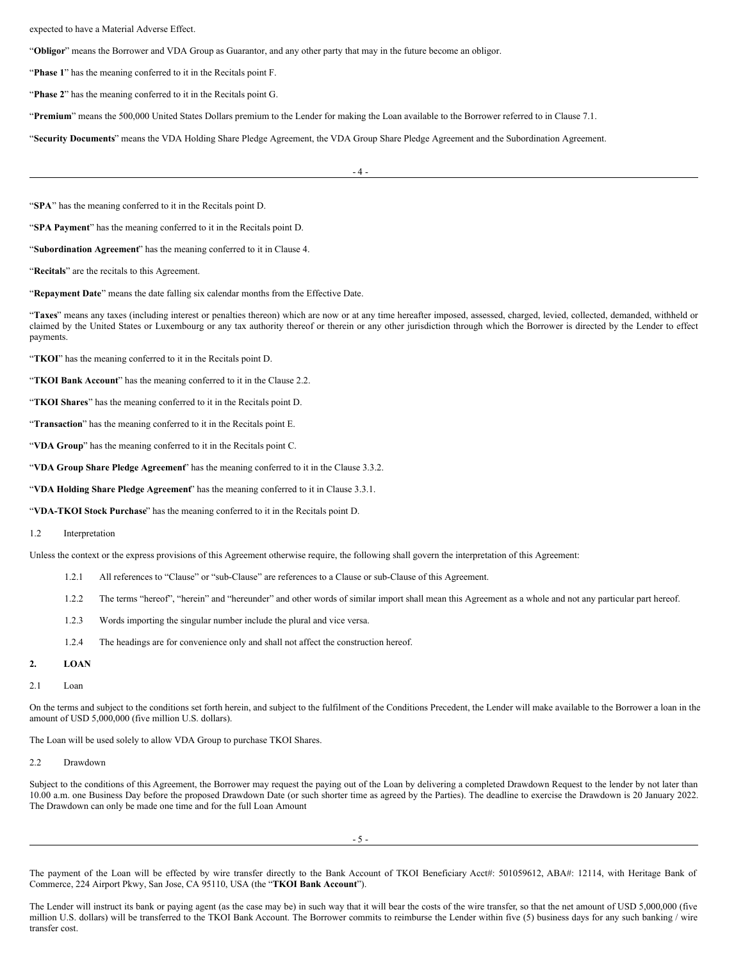#### expected to have a Material Adverse Effect.

"**Obligor**" means the Borrower and VDA Group as Guarantor, and any other party that may in the future become an obligor.

"**Phase 1**" has the meaning conferred to it in the Recitals point F.

"**Phase 2**" has the meaning conferred to it in the Recitals point G.

"**Premium**" means the 500,000 United States Dollars premium to the Lender for making the Loan available to the Borrower referred to in Clause 7.1.

"**Security Documents**" means the VDA Holding Share Pledge Agreement, the VDA Group Share Pledge Agreement and the Subordination Agreement.

 $\Lambda$  -

"**SPA**" has the meaning conferred to it in the Recitals point D.

"**SPA Payment**" has the meaning conferred to it in the Recitals point D.

"**Subordination Agreement**" has the meaning conferred to it in Clause 4.

"**Recitals**" are the recitals to this Agreement.

"**Repayment Date**" means the date falling six calendar months from the Effective Date.

"Taxes" means any taxes (including interest or penalties thereon) which are now or at any time hereafter imposed, assessed, charged, levied, collected, demanded, withheld or claimed by the United States or Luxembourg or any tax authority thereof or therein or any other jurisdiction through which the Borrower is directed by the Lender to effect payments.

"**TKOI**" has the meaning conferred to it in the Recitals point D.

"**TKOI Bank Account**" has the meaning conferred to it in the Clause 2.2.

"**TKOI Shares**" has the meaning conferred to it in the Recitals point D.

"**Transaction**" has the meaning conferred to it in the Recitals point E.

"**VDA Group**" has the meaning conferred to it in the Recitals point C.

"**VDA Group Share Pledge Agreement**" has the meaning conferred to it in the Clause 3.3.2.

"**VDA Holding Share Pledge Agreement**" has the meaning conferred to it in Clause 3.3.1.

"**VDA-TKOI Stock Purchase**" has the meaning conferred to it in the Recitals point D.

### 1.2 Interpretation

Unless the context or the express provisions of this Agreement otherwise require, the following shall govern the interpretation of this Agreement:

- 1.2.1 All references to "Clause" or "sub-Clause" are references to a Clause or sub-Clause of this Agreement.
- 1.2.2 The terms "hereof", "herein" and "hereunder" and other words of similar import shall mean this Agreement as a whole and not any particular part hereof.
- 1.2.3 Words importing the singular number include the plural and vice versa.
- 1.2.4 The headings are for convenience only and shall not affect the construction hereof.

# **2. LOAN**

#### 2.1 Loan

On the terms and subject to the conditions set forth herein, and subject to the fulfilment of the Conditions Precedent, the Lender will make available to the Borrower a loan in the amount of USD 5,000,000 (five million U.S. dollars).

The Loan will be used solely to allow VDA Group to purchase TKOI Shares.

```
2.2 Drawdown
```
Subject to the conditions of this Agreement, the Borrower may request the paying out of the Loan by delivering a completed Drawdown Request to the lender by not later than 10.00 a.m. one Business Day before the proposed Drawdown Date (or such shorter time as agreed by the Parties). The deadline to exercise the Drawdown is 20 January 2022. The Drawdown can only be made one time and for the full Loan Amount

- 5 -

The payment of the Loan will be effected by wire transfer directly to the Bank Account of TKOI Beneficiary Acct#: 501059612, ABA#: 12114, with Heritage Bank of Commerce, 224 Airport Pkwy, San Jose, CA 95110, USA (the "**TKOI Bank Account**").

The Lender will instruct its bank or paying agent (as the case may be) in such way that it will bear the costs of the wire transfer, so that the net amount of USD 5,000,000 (five million U.S. dollars) will be transferred to the TKOI Bank Account. The Borrower commits to reimburse the Lender within five (5) business days for any such banking / wire transfer cost.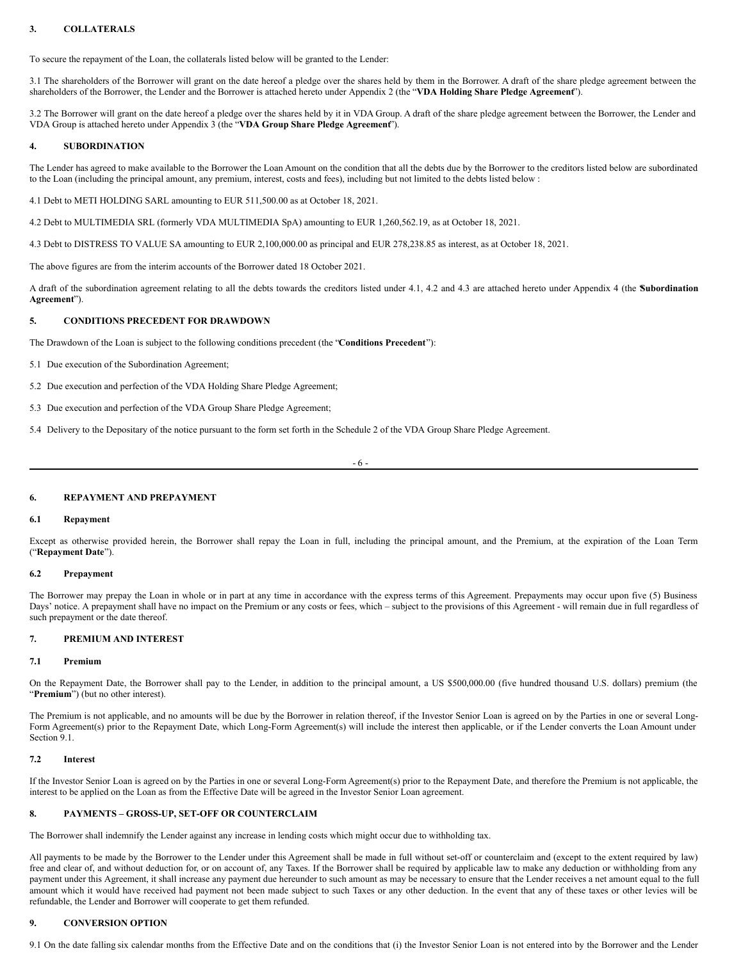# **3. COLLATERALS**

To secure the repayment of the Loan, the collaterals listed below will be granted to the Lender:

3.1 The shareholders of the Borrower will grant on the date hereof a pledge over the shares held by them in the Borrower. A draft of the share pledge agreement between the shareholders of the Borrower, the Lender and the Borrower is attached hereto under Appendix 2 (the "**VDA Holding Share Pledge Agreement**").

3.2 The Borrower will grant on the date hereof a pledge over the shares held by it in VDA Group. A draft of the share pledge agreement between the Borrower, the Lender and VDA Group is attached hereto under Appendix 3 (the "**VDA Group Share Pledge Agreement**").

# **4. SUBORDINATION**

The Lender has agreed to make available to the Borrower the Loan Amount on the condition that all the debts due by the Borrower to the creditors listed below are subordinated to the Loan (including the principal amount, any premium, interest, costs and fees), including but not limited to the debts listed below :

4.1 Debt to METI HOLDING SARL amounting to EUR 511,500.00 as at October 18, 2021.

4.2 Debt to MULTIMEDIA SRL (formerly VDA MULTIMEDIA SpA) amounting to EUR 1,260,562.19, as at October 18, 2021.

4.3 Debt to DISTRESS TO VALUE SA amounting to EUR 2,100,000.00 as principal and EUR 278,238.85 as interest, as at October 18, 2021.

The above figures are from the interim accounts of the Borrower dated 18 October 2021.

A draft of the subordination agreement relating to all the debts towards the creditors listed under 4.1, 4.2 and 4.3 are attached hereto under Appendix 4 (the "**Subordination Agreement**").

# **5. CONDITIONS PRECEDENT FOR DRAWDOWN**

The Drawdown of the Loan is subject to the following conditions precedent (the "**Conditions Precedent**"):

- 5.1 Due execution of the Subordination Agreement;
- 5.2 Due execution and perfection of the VDA Holding Share Pledge Agreement;
- 5.3 Due execution and perfection of the VDA Group Share Pledge Agreement;

5.4 Delivery to the Depositary of the notice pursuant to the form set forth in the Schedule 2 of the VDA Group Share Pledge Agreement.

- 6 -

# **6. REPAYMENT AND PREPAYMENT**

#### **6.1 Repayment**

Except as otherwise provided herein, the Borrower shall repay the Loan in full, including the principal amount, and the Premium, at the expiration of the Loan Term ("**Repayment Date**").

#### **6.2 Prepayment**

The Borrower may prepay the Loan in whole or in part at any time in accordance with the express terms of this Agreement. Prepayments may occur upon five (5) Business Days' notice. A prepayment shall have no impact on the Premium or any costs or fees, which – subject to the provisions of this Agreement - will remain due in full regardless of such prepayment or the date thereof.

# **7. PREMIUM AND INTEREST**

#### **7.1 Premium**

On the Repayment Date, the Borrower shall pay to the Lender, in addition to the principal amount, a US \$500,000.00 (five hundred thousand U.S. dollars) premium (the "Premium") (but no other interest).

The Premium is not applicable, and no amounts will be due by the Borrower in relation thereof, if the Investor Senior Loan is agreed on by the Parties in one or several Long-Form Agreement(s) prior to the Repayment Date, which Long-Form Agreement(s) will include the interest then applicable, or if the Lender converts the Loan Amount under Section 9.1.

#### **7.2 Interest**

If the Investor Senior Loan is agreed on by the Parties in one or several Long-Form Agreement(s) prior to the Repayment Date, and therefore the Premium is not applicable, the interest to be applied on the Loan as from the Effective Date will be agreed in the Investor Senior Loan agreement.

# **8. PAYMENTS – GROSS-UP, SET-OFF OR COUNTERCLAIM**

The Borrower shall indemnify the Lender against any increase in lending costs which might occur due to withholding tax.

All payments to be made by the Borrower to the Lender under this Agreement shall be made in full without set-off or counterclaim and (except to the extent required by law) free and clear of, and without deduction for, or on account of, any Taxes. If the Borrower shall be required by applicable law to make any deduction or withholding from any payment under this Agreement, it shall increase any payment due hereunder to such amount as may be necessary to ensure that the Lender receives a net amount equal to the full amount which it would have received had payment not been made subject to such Taxes or any other deduction. In the event that any of these taxes or other levies will be refundable, the Lender and Borrower will cooperate to get them refunded.

# **9. CONVERSION OPTION**

9.1 On the date falling six calendar months from the Effective Date and on the conditions that (i) the Investor Senior Loan is not entered into by the Borrower and the Lender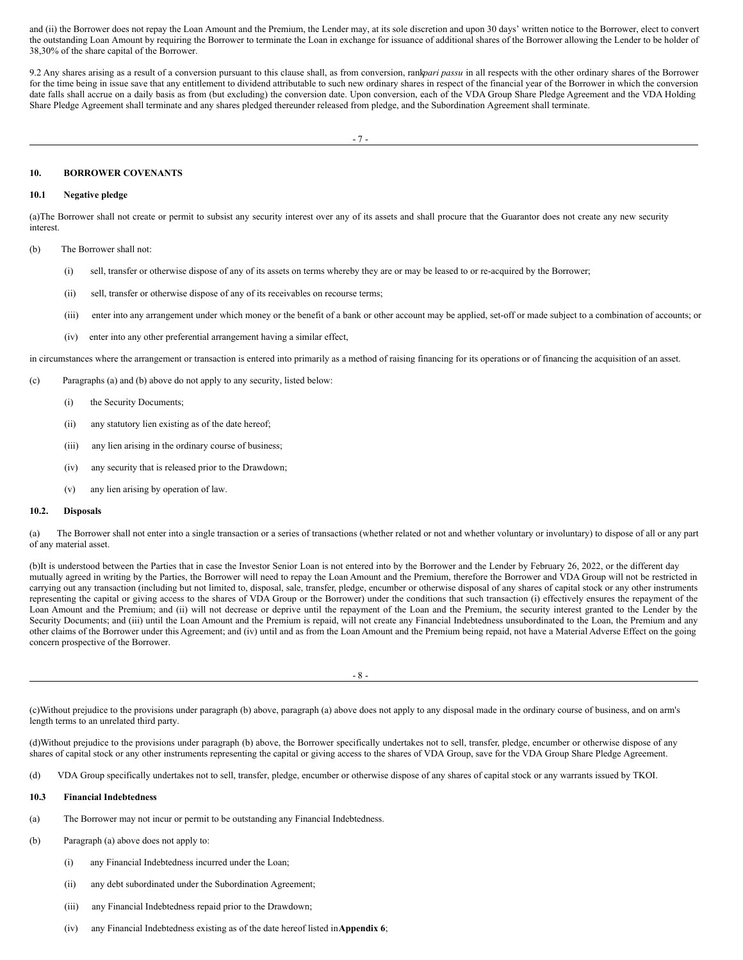and (ii) the Borrower does not repay the Loan Amount and the Premium, the Lender may, at its sole discretion and upon 30 days' written notice to the Borrower, elect to convert the outstanding Loan Amount by requiring the Borrower to terminate the Loan in exchange for issuance of additional shares of the Borrower allowing the Lender to be holder of 38,30% of the share capital of the Borrower.

9.2 Any shares arising as a result of a conversion pursuant to this clause shall, as from conversion, rank*pari passu* in all respects with the other ordinary shares of the Borrower for the time being in issue save that any entitlement to dividend attributable to such new ordinary shares in respect of the financial year of the Borrower in which the conversion date falls shall accrue on a daily basis as from (but excluding) the conversion date. Upon conversion, each of the VDA Group Share Pledge Agreement and the VDA Holding Share Pledge Agreement shall terminate and any shares pledged thereunder released from pledge, and the Subordination Agreement shall terminate.

### **10. BORROWER COVENANTS**

# **10.1 Negative pledge**

(a)The Borrower shall not create or permit to subsist any security interest over any of its assets and shall procure that the Guarantor does not create any new security interest.

- (b) The Borrower shall not:
	- (i) sell, transfer or otherwise dispose of any of its assets on terms whereby they are or may be leased to or re-acquired by the Borrower;
	- (ii) sell, transfer or otherwise dispose of any of its receivables on recourse terms;
	- (iii) enter into any arrangement under which money or the benefit of a bank or other account may be applied, set-off or made subject to a combination of accounts; or
	- (iv) enter into any other preferential arrangement having a similar effect,

in circumstances where the arrangement or transaction is entered into primarily as a method of raising financing for its operations or of financing the acquisition of an asset.

- (c) Paragraphs (a) and (b) above do not apply to any security, listed below:
	- (i) the Security Documents;
	- (ii) any statutory lien existing as of the date hereof;
	- (iii) any lien arising in the ordinary course of business;
	- (iv) any security that is released prior to the Drawdown;
	- (v) any lien arising by operation of law.

# **10.2. Disposals**

(a) The Borrower shall not enter into a single transaction or a series of transactions (whether related or not and whether voluntary or involuntary) to dispose of all or any part of any material asset.

(b)It is understood between the Parties that in case the Investor Senior Loan is not entered into by the Borrower and the Lender by February 26, 2022, or the different day mutually agreed in writing by the Parties, the Borrower will need to repay the Loan Amount and the Premium, therefore the Borrower and VDA Group will not be restricted in carrying out any transaction (including but not limited to, disposal, sale, transfer, pledge, encumber or otherwise disposal of any shares of capital stock or any other instruments representing the capital or giving access to the shares of VDA Group or the Borrower) under the conditions that such transaction (i) effectively ensures the repayment of the Loan Amount and the Premium; and (ii) will not decrease or deprive until the repayment of the Loan and the Premium, the security interest granted to the Lender by the Security Documents; and (iii) until the Loan Amount and the Premium is repaid, will not create any Financial Indebtedness unsubordinated to the Loan, the Premium and any other claims of the Borrower under this Agreement; and (iv) until and as from the Loan Amount and the Premium being repaid, not have a Material Adverse Effect on the going concern prospective of the Borrower.

- 8 -

(c)Without prejudice to the provisions under paragraph (b) above, paragraph (a) above does not apply to any disposal made in the ordinary course of business, and on arm's length terms to an unrelated third party.

(d)Without prejudice to the provisions under paragraph (b) above, the Borrower specifically undertakes not to sell, transfer, pledge, encumber or otherwise dispose of any shares of capital stock or any other instruments representing the capital or giving access to the shares of VDA Group, save for the VDA Group Share Pledge Agreement.

(d) VDA Group specifically undertakes not to sell, transfer, pledge, encumber or otherwise dispose of any shares of capital stock or any warrants issued by TKOI.

#### **10.3 Financial Indebtedness**

- (a) The Borrower may not incur or permit to be outstanding any Financial Indebtedness.
- (b) Paragraph (a) above does not apply to:
	- (i) any Financial Indebtedness incurred under the Loan;
	- (ii) any debt subordinated under the Subordination Agreement;
	- (iii) any Financial Indebtedness repaid prior to the Drawdown;
	- (iv) any Financial Indebtedness existing as of the date hereof listed in**Appendix 6**;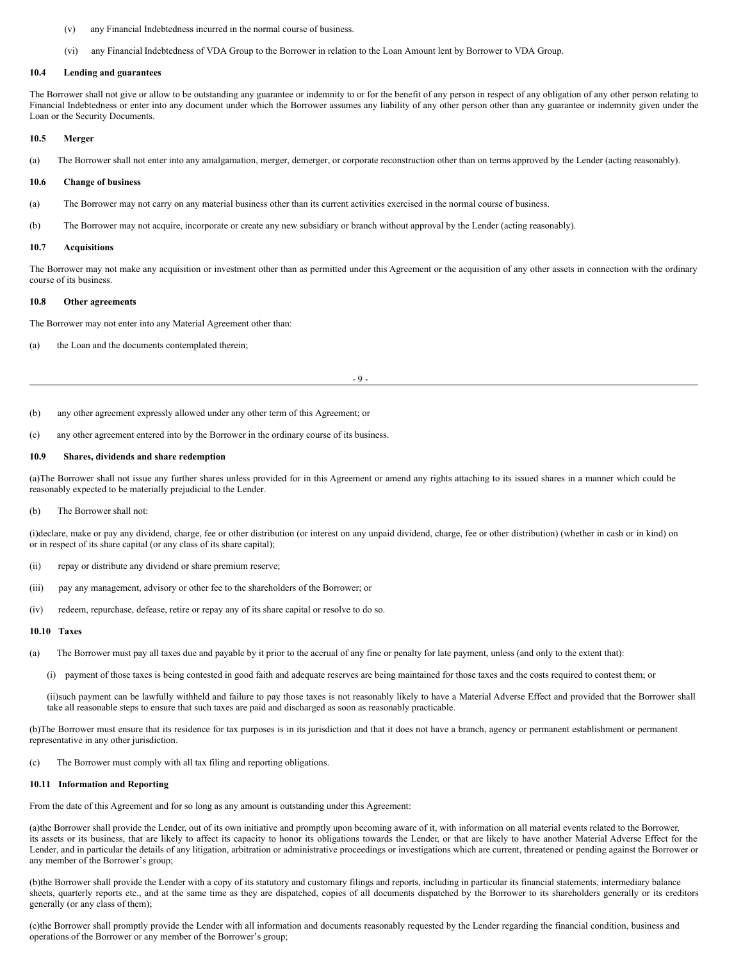- (v) any Financial Indebtedness incurred in the normal course of business.
- (vi) any Financial Indebtedness of VDA Group to the Borrower in relation to the Loan Amount lent by Borrower to VDA Group.

#### **10.4 Lending and guarantees**

The Borrower shall not give or allow to be outstanding any guarantee or indemnity to or for the benefit of any person in respect of any obligation of any other person relating to Financial Indebtedness or enter into any document under which the Borrower assumes any liability of any other person other than any guarantee or indemnity given under the Loan or the Security Documents.

### **10.5 Merger**

(a) The Borrower shall not enter into any amalgamation, merger, demerger, or corporate reconstruction other than on terms approved by the Lender (acting reasonably).

#### **10.6 Change of business**

- (a) The Borrower may not carry on any material business other than its current activities exercised in the normal course of business.
- (b) The Borrower may not acquire, incorporate or create any new subsidiary or branch without approval by the Lender (acting reasonably).

#### **10.7 Acquisitions**

The Borrower may not make any acquisition or investment other than as permitted under this Agreement or the acquisition of any other assets in connection with the ordinary course of its business.

#### **10.8 Other agreements**

The Borrower may not enter into any Material Agreement other than:

(a) the Loan and the documents contemplated therein;

 $-$  9  $-$ 

- (b) any other agreement expressly allowed under any other term of this Agreement; or
- (c) any other agreement entered into by the Borrower in the ordinary course of its business.

#### **10.9 Shares, dividends and share redemption**

(a)The Borrower shall not issue any further shares unless provided for in this Agreement or amend any rights attaching to its issued shares in a manner which could be reasonably expected to be materially prejudicial to the Lender.

#### (b) The Borrower shall not:

(i)declare, make or pay any dividend, charge, fee or other distribution (or interest on any unpaid dividend, charge, fee or other distribution) (whether in cash or in kind) on or in respect of its share capital (or any class of its share capital);

- (ii) repay or distribute any dividend or share premium reserve;
- (iii) pay any management, advisory or other fee to the shareholders of the Borrower; or
- (iv) redeem, repurchase, defease, retire or repay any of its share capital or resolve to do so.

#### **10.10 Taxes**

- (a) The Borrower must pay all taxes due and payable by it prior to the accrual of any fine or penalty for late payment, unless (and only to the extent that):
	- (i) payment of those taxes is being contested in good faith and adequate reserves are being maintained for those taxes and the costs required to contest them; or

(ii)such payment can be lawfully withheld and failure to pay those taxes is not reasonably likely to have a Material Adverse Effect and provided that the Borrower shall take all reasonable steps to ensure that such taxes are paid and discharged as soon as reasonably practicable.

(b)The Borrower must ensure that its residence for tax purposes is in its jurisdiction and that it does not have a branch, agency or permanent establishment or permanent representative in any other jurisdiction.

(c) The Borrower must comply with all tax filing and reporting obligations.

#### **10.11 Information and Reporting**

From the date of this Agreement and for so long as any amount is outstanding under this Agreement:

(a)the Borrower shall provide the Lender, out of its own initiative and promptly upon becoming aware of it, with information on all material events related to the Borrower, its assets or its business, that are likely to affect its capacity to honor its obligations towards the Lender, or that are likely to have another Material Adverse Effect for the Lender, and in particular the details of any litigation, arbitration or administrative proceedings or investigations which are current, threatened or pending against the Borrower or any member of the Borrower's group;

(b)the Borrower shall provide the Lender with a copy of its statutory and customary filings and reports, including in particular its financial statements, intermediary balance sheets, quarterly reports etc., and at the same time as they are dispatched, copies of all documents dispatched by the Borrower to its shareholders generally or its creditors generally (or any class of them);

(c)the Borrower shall promptly provide the Lender with all information and documents reasonably requested by the Lender regarding the financial condition, business and operations of the Borrower or any member of the Borrower's group;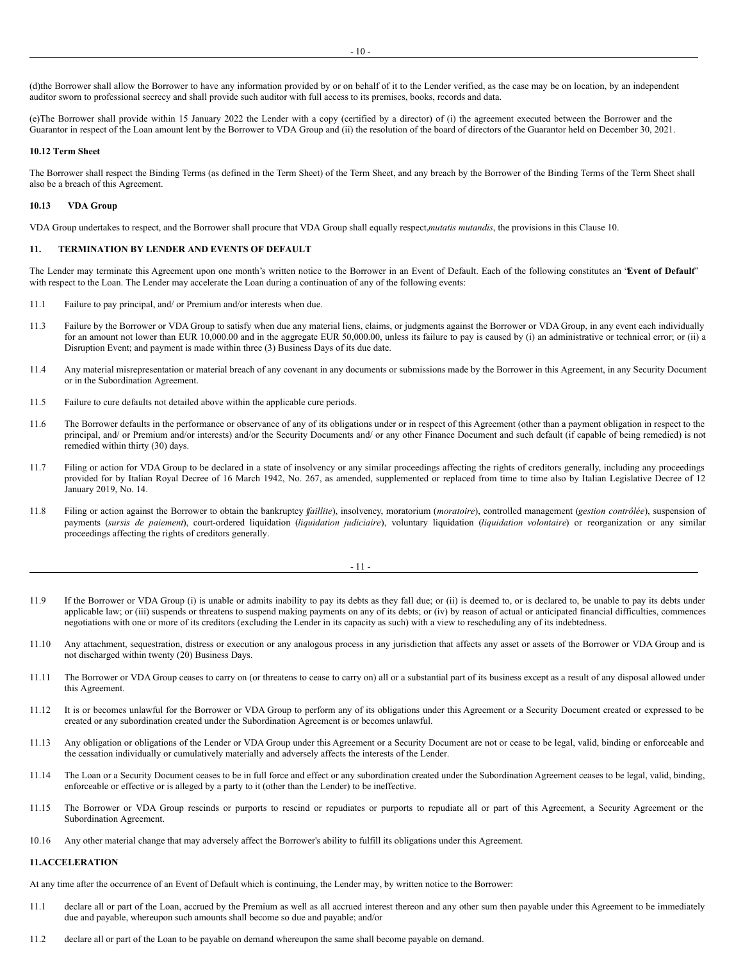(e)The Borrower shall provide within 15 January 2022 the Lender with a copy (certified by a director) of (i) the agreement executed between the Borrower and the Guarantor in respect of the Loan amount lent by the Borrower to VDA Group and (ii) the resolution of the board of directors of the Guarantor held on December 30, 2021.

#### **10.12 Term Sheet**

The Borrower shall respect the Binding Terms (as defined in the Term Sheet) of the Term Sheet, and any breach by the Borrower of the Binding Terms of the Term Sheet shall also be a breach of this Agreement.

#### **10.13 VDA Group**

VDA Group undertakes to respect, and the Borrower shall procure that VDA Group shall equally respect,*mutatis mutandis*, the provisions in this Clause 10.

auditor sworn to professional secrecy and shall provide such auditor with full access to its premises, books, records and data.

# **11. TERMINATION BY LENDER AND EVENTS OF DEFAULT**

The Lender may terminate this Agreement upon one month's written notice to the Borrower in an Event of Default. Each of the following constitutes an "**Event of Default**" with respect to the Loan. The Lender may accelerate the Loan during a continuation of any of the following events:

- 11.1 Failure to pay principal, and/ or Premium and/or interests when due.
- 11.3 Failure by the Borrower or VDA Group to satisfy when due any material liens, claims, or judgments against the Borrower or VDA Group, in any event each individually for an amount not lower than EUR 10,000.00 and in the aggregate EUR 50,000.00, unless its failure to pay is caused by (i) an administrative or technical error; or (ii) a Disruption Event; and payment is made within three (3) Business Days of its due date.
- 11.4 Any material misrepresentation or material breach of any covenant in any documents or submissions made by the Borrower in this Agreement, in any Security Document or in the Subordination Agreement.
- 11.5 Failure to cure defaults not detailed above within the applicable cure periods.
- 11.6 The Borrower defaults in the performance or observance of any of its obligations under or in respect of this Agreement (other than a payment obligation in respect to the principal, and/ or Premium and/or interests) and/or the Security Documents and/ or any other Finance Document and such default (if capable of being remedied) is not remedied within thirty (30) days.
- 11.7 Filing or action for VDA Group to be declared in a state of insolvency or any similar proceedings affecting the rights of creditors generally, including any proceedings provided for by Italian Royal Decree of 16 March 1942, No. 267, as amended, supplemented or replaced from time to time also by Italian Legislative Decree of 12 January 2019, No. 14.
- 11.8 Filing or action against the Borrower to obtain the bankruptcy (*faillite*), insolvency, moratorium (*moratoire*), controlled management (*gestion contrôlée*), suspension of payments (*sursis de paiement*), court-ordered liquidation (*liquidation judiciaire*), voluntary liquidation (*liquidation volontaire*) or reorganization or any similar proceedings affecting the rights of creditors generally.

$$
-11-
$$

- 11.9 If the Borrower or VDA Group (i) is unable or admits inability to pay its debts as they fall due; or (ii) is deemed to, or is declared to, be unable to pay its debts under applicable law; or (iii) suspends or threatens to suspend making payments on any of its debts; or (iv) by reason of actual or anticipated financial difficulties, commences negotiations with one or more of its creditors (excluding the Lender in its capacity as such) with a view to rescheduling any of its indebtedness.
- 11.10 Any attachment, sequestration, distress or execution or any analogous process in any jurisdiction that affects any asset or assets of the Borrower or VDA Group and is not discharged within twenty (20) Business Days.
- 11.11 The Borrower or VDA Group ceases to carry on (or threatens to cease to carry on) all or a substantial part of its business except as a result of any disposal allowed under this Agreement.
- 11.12 It is or becomes unlawful for the Borrower or VDA Group to perform any of its obligations under this Agreement or a Security Document created or expressed to be created or any subordination created under the Subordination Agreement is or becomes unlawful.
- 11.13 Any obligation or obligations of the Lender or VDA Group under this Agreement or a Security Document are not or cease to be legal, valid, binding or enforceable and the cessation individually or cumulatively materially and adversely affects the interests of the Lender.
- 11.14 The Loan or a Security Document ceases to be in full force and effect or any subordination created under the Subordination Agreement ceases to be legal, valid, binding, enforceable or effective or is alleged by a party to it (other than the Lender) to be ineffective.
- 11.15 The Borrower or VDA Group rescinds or purports to rescind or repudiates or purports to repudiate all or part of this Agreement, a Security Agreement or the Subordination Agreement.
- 10.16 Any other material change that may adversely affect the Borrower's ability to fulfill its obligations under this Agreement.

# **11.ACCELERATION**

At any time after the occurrence of an Event of Default which is continuing, the Lender may, by written notice to the Borrower:

- 11.1 declare all or part of the Loan, accrued by the Premium as well as all accrued interest thereon and any other sum then payable under this Agreement to be immediately due and payable, whereupon such amounts shall become so due and payable; and/or
- 11.2 declare all or part of the Loan to be payable on demand whereupon the same shall become payable on demand.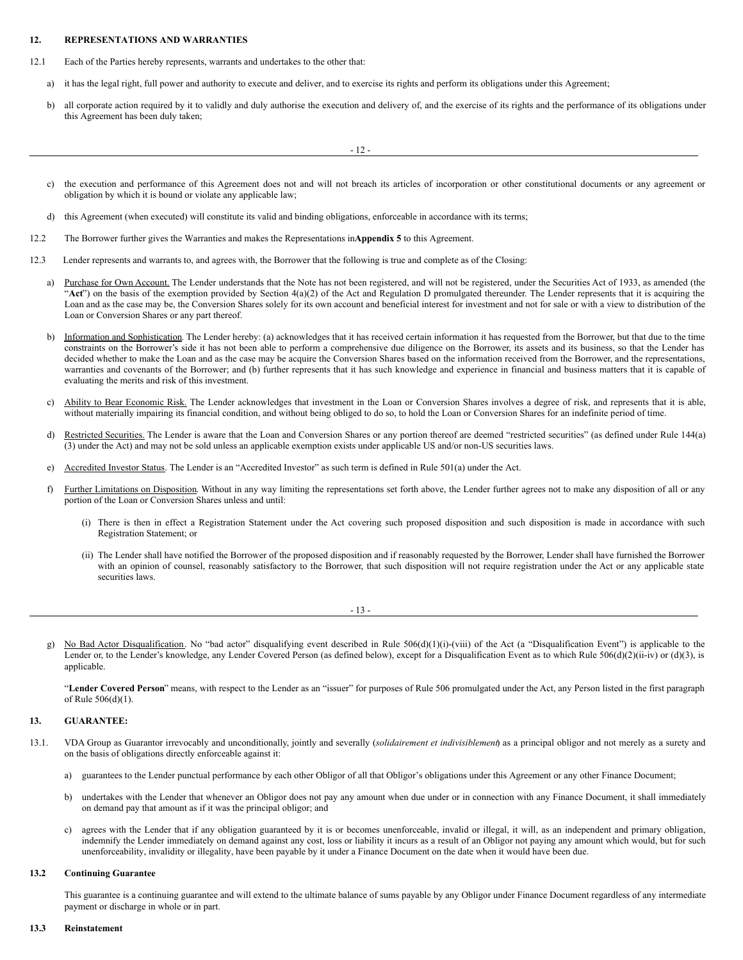#### <span id="page-22-0"></span>**12. REPRESENTATIONS AND WARRANTIES**

- 12.1 Each of the Parties hereby represents, warrants and undertakes to the other that:
	- a) it has the legal right, full power and authority to execute and deliver, and to exercise its rights and perform its obligations under this Agreement;
	- b) all corporate action required by it to validly and duly authorise the execution and delivery of, and the exercise of its rights and the performance of its obligations under this Agreement has been duly taken;

- 12 -

- c) the execution and performance of this Agreement does not and will not breach its articles of incorporation or other constitutional documents or any agreement or obligation by which it is bound or violate any applicable law;
- d) this Agreement (when executed) will constitute its valid and binding obligations, enforceable in accordance with its terms;
- 12.2 The Borrower further gives the Warranties and makes the Representations in**Appendix 5** to this Agreement.
- 12.3 Lender represents and warrants to, and agrees with, the Borrower that the following is true and complete as of the Closing:
	- a) Purchase for Own Account. The Lender understands that the Note has not been registered, and will not be registered, under the Securities Act of 1933, as amended (the "Act") on the basis of the exemption provided by Section 4(a)(2) of the Act and Regulation D promulgated thereunder. The Lender represents that it is acquiring the Loan and as the case may be, the Conversion Shares solely for its own account and beneficial interest for investment and not for sale or with a view to distribution of the Loan or Conversion Shares or any part thereof.
	- b) Information and Sophistication. The Lender hereby: (a) acknowledges that it has received certain information it has requested from the Borrower, but that due to the time constraints on the Borrower's side it has not been able to perform a comprehensive due diligence on the Borrower, its assets and its business, so that the Lender has decided whether to make the Loan and as the case may be acquire the Conversion Shares based on the information received from the Borrower, and the representations, warranties and covenants of the Borrower; and (b) further represents that it has such knowledge and experience in financial and business matters that it is capable of evaluating the merits and risk of this investment.
	- c) Ability to Bear Economic Risk. The Lender acknowledges that investment in the Loan or Conversion Shares involves a degree of risk, and represents that it is able, without materially impairing its financial condition, and without being obliged to do so, to hold the Loan or Conversion Shares for an indefinite period of time.
	- d) Restricted Securities. The Lender is aware that the Loan and Conversion Shares or any portion thereof are deemed "restricted securities" (as defined under Rule 144(a) (3) under the Act) and may not be sold unless an applicable exemption exists under applicable US and/or non-US securities laws.
	- e) Accredited Investor Status. The Lender is an "Accredited Investor" as such term is defined in Rule 501(a) under the Act.
	- f) Further Limitations on Disposition. Without in any way limiting the representations set forth above, the Lender further agrees not to make any disposition of all or any portion of the Loan or Conversion Shares unless and until:
		- (i) There is then in effect a Registration Statement under the Act covering such proposed disposition and such disposition is made in accordance with such Registration Statement; or
		- (ii) The Lender shall have notified the Borrower of the proposed disposition and if reasonably requested by the Borrower, Lender shall have furnished the Borrower with an opinion of counsel, reasonably satisfactory to the Borrower, that such disposition will not require registration under the Act or any applicable state securities laws.

- 13 -

g) No Bad Actor Disqualification. No "bad actor" disqualifying event described in Rule 506(d)(1)(i)-(viii) of the Act (a "Disqualification Event") is applicable to the Lender or, to the Lender's knowledge, any Lender Covered Person (as defined below), except for a Disqualification Event as to which Rule 506(d)(2)(ii-iv) or (d)(3), is applicable.

"**Lender Covered Person**" means, with respect to the Lender as an "issuer" for purposes of Rule 506 promulgated under the Act, any Person listed in the first paragraph of Rule 506(d)(1).

# **13. GUARANTEE:**

- 13.1. VDA Group as Guarantor irrevocably and unconditionally, jointly and severally (*solidairement et indivisiblement*) as a principal obligor and not merely as a surety and on the basis of obligations directly enforceable against it:
	- a) guarantees to the Lender punctual performance by each other Obligor of all that Obligor's obligations under this Agreement or any other Finance Document;
	- b) undertakes with the Lender that whenever an Obligor does not pay any amount when due under or in connection with any Finance Document, it shall immediately on demand pay that amount as if it was the principal obligor; and
	- c) agrees with the Lender that if any obligation guaranteed by it is or becomes unenforceable, invalid or illegal, it will, as an independent and primary obligation, indemnify the Lender immediately on demand against any cost, loss or liability it incurs as a result of an Obligor not paying any amount which would, but for such unenforceability, invalidity or illegality, have been payable by it under a Finance Document on the date when it would have been due.

#### **13.2 Continuing Guarantee**

This guarantee is a continuing guarantee and will extend to the ultimate balance of sums payable by any Obligor under Finance Document regardless of any intermediate payment or discharge in whole or in part.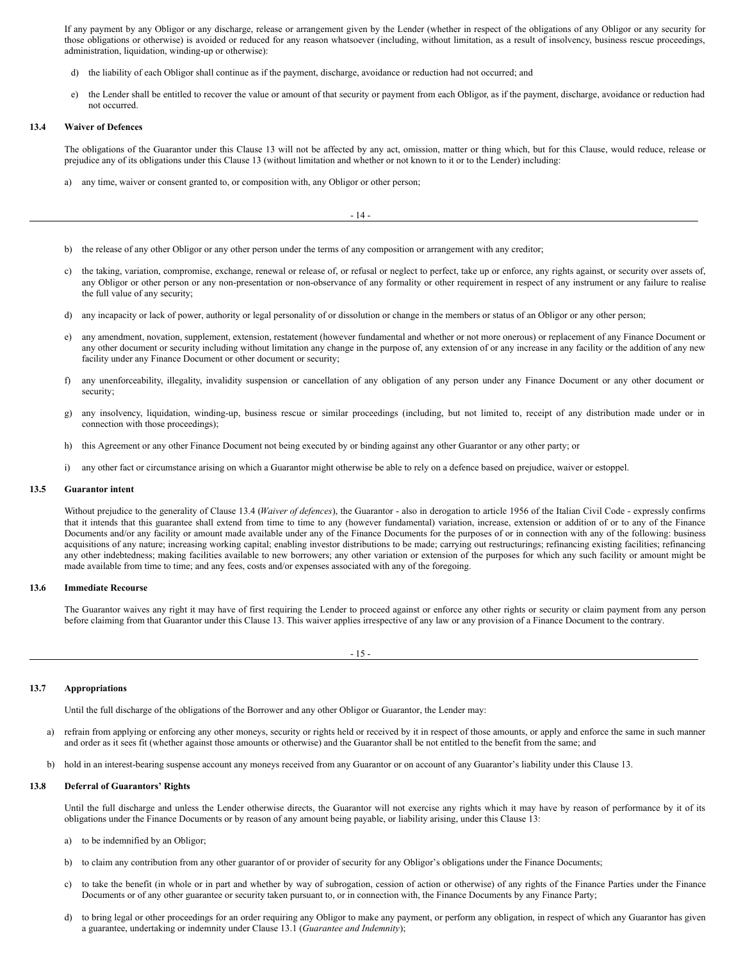If any payment by any Obligor or any discharge, release or arrangement given by the Lender (whether in respect of the obligations of any Obligor or any security for those obligations or otherwise) is avoided or reduced for any reason whatsoever (including, without limitation, as a result of insolvency, business rescue proceedings, administration, liquidation, winding-up or otherwise):

- d) the liability of each Obligor shall continue as if the payment, discharge, avoidance or reduction had not occurred; and
- the Lender shall be entitled to recover the value or amount of that security or payment from each Obligor, as if the payment, discharge, avoidance or reduction had not occurred.

#### **13.4 Waiver of Defences**

The obligations of the Guarantor under this Clause 13 will not be affected by any act, omission, matter or thing which, but for this Clause, would reduce, release or prejudice any of its obligations under this Clause 13 (without limitation and whether or not known to it or to the Lender) including:

a) any time, waiver or consent granted to, or composition with, any Obligor or other person;

- 14 -

- b) the release of any other Obligor or any other person under the terms of any composition or arrangement with any creditor;
- c) the taking, variation, compromise, exchange, renewal or release of, or refusal or neglect to perfect, take up or enforce, any rights against, or security over assets of, any Obligor or other person or any non-presentation or non-observance of any formality or other requirement in respect of any instrument or any failure to realise the full value of any security;
- d) any incapacity or lack of power, authority or legal personality of or dissolution or change in the members or status of an Obligor or any other person;
- e) any amendment, novation, supplement, extension, restatement (however fundamental and whether or not more onerous) or replacement of any Finance Document or any other document or security including without limitation any change in the purpose of, any extension of or any increase in any facility or the addition of any new facility under any Finance Document or other document or security;
- f) any unenforceability, illegality, invalidity suspension or cancellation of any obligation of any person under any Finance Document or any other document or security;
- g) any insolvency, liquidation, winding-up, business rescue or similar proceedings (including, but not limited to, receipt of any distribution made under or in connection with those proceedings);
- h) this Agreement or any other Finance Document not being executed by or binding against any other Guarantor or any other party; or
- i) any other fact or circumstance arising on which a Guarantor might otherwise be able to rely on a defence based on prejudice, waiver or estoppel.

#### **13.5 Guarantor intent**

Without prejudice to the generality of Clause 13.4 (*Waiver of defences*), the Guarantor - also in derogation to article 1956 of the Italian Civil Code - expressly confirms that it intends that this guarantee shall extend from time to time to any (however fundamental) variation, increase, extension or addition of or to any of the Finance Documents and/or any facility or amount made available under any of the Finance Documents for the purposes of or in connection with any of the following: business acquisitions of any nature; increasing working capital; enabling investor distributions to be made; carrying out restructurings; refinancing existing facilities; refinancing any other indebtedness; making facilities available to new borrowers; any other variation or extension of the purposes for which any such facility or amount might be made available from time to time; and any fees, costs and/or expenses associated with any of the foregoing.

#### **13.6 Immediate Recourse**

The Guarantor waives any right it may have of first requiring the Lender to proceed against or enforce any other rights or security or claim payment from any person before claiming from that Guarantor under this Clause 13. This waiver applies irrespective of any law or any provision of a Finance Document to the contrary.

- 15 -

#### **13.7 Appropriations**

Until the full discharge of the obligations of the Borrower and any other Obligor or Guarantor, the Lender may:

- a) refrain from applying or enforcing any other moneys, security or rights held or received by it in respect of those amounts, or apply and enforce the same in such manner and order as it sees fit (whether against those amounts or otherwise) and the Guarantor shall be not entitled to the benefit from the same; and
- hold in an interest-bearing suspense account any moneys received from any Guarantor or on account of any Guarantor's liability under this Clause 13.

# **13.8 Deferral of Guarantors' Rights**

Until the full discharge and unless the Lender otherwise directs, the Guarantor will not exercise any rights which it may have by reason of performance by it of its obligations under the Finance Documents or by reason of any amount being payable, or liability arising, under this Clause 13:

- a) to be indemnified by an Obligor;
- b) to claim any contribution from any other guarantor of or provider of security for any Obligor's obligations under the Finance Documents;
- c) to take the benefit (in whole or in part and whether by way of subrogation, cession of action or otherwise) of any rights of the Finance Parties under the Finance Documents or of any other guarantee or security taken pursuant to, or in connection with, the Finance Documents by any Finance Party;
- d) to bring legal or other proceedings for an order requiring any Obligor to make any payment, or perform any obligation, in respect of which any Guarantor has given a guarantee, undertaking or indemnity under Clause 13.1 (*Guarantee and Indemnity*);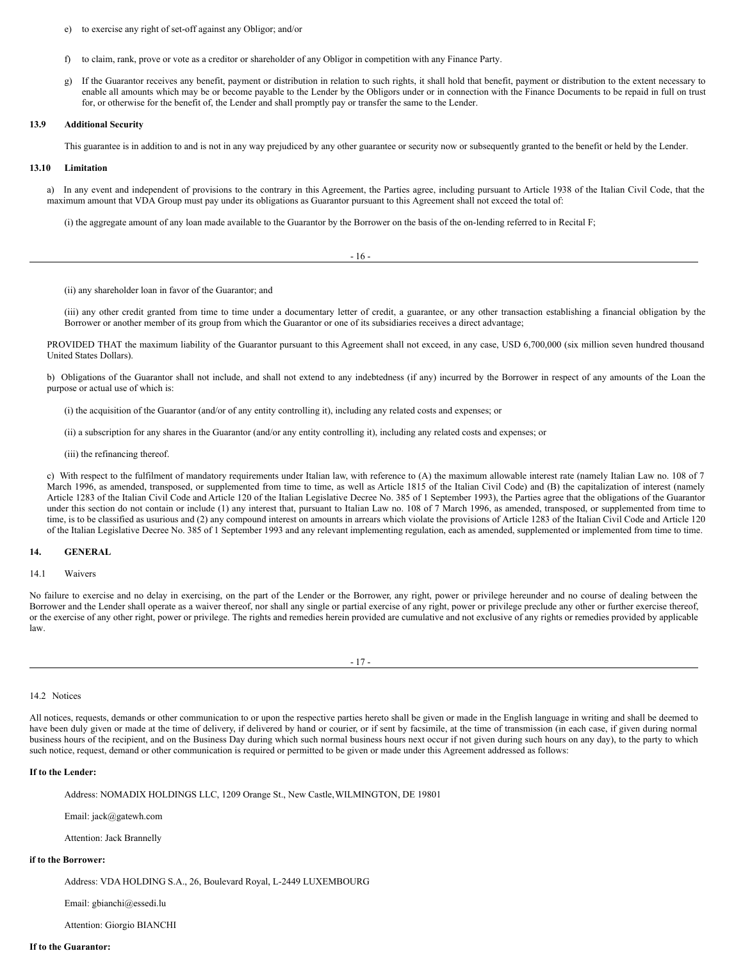- e) to exercise any right of set-off against any Obligor; and/or
- f) to claim, rank, prove or vote as a creditor or shareholder of any Obligor in competition with any Finance Party.
- g) If the Guarantor receives any benefit, payment or distribution in relation to such rights, it shall hold that benefit, payment or distribution to the extent necessary to enable all amounts which may be or become payable to the Lender by the Obligors under or in connection with the Finance Documents to be repaid in full on trust for, or otherwise for the benefit of, the Lender and shall promptly pay or transfer the same to the Lender.

#### **13.9 Additional Security**

This guarantee is in addition to and is not in any way prejudiced by any other guarantee or security now or subsequently granted to the benefit or held by the Lender.

#### **13.10 Limitation**

a) In any event and independent of provisions to the contrary in this Agreement, the Parties agree, including pursuant to Article 1938 of the Italian Civil Code, that the maximum amount that VDA Group must pay under its obligations as Guarantor pursuant to this Agreement shall not exceed the total of:

(i) the aggregate amount of any loan made available to the Guarantor by the Borrower on the basis of the on-lending referred to in Recital F;

- 16 -

(ii) any shareholder loan in favor of the Guarantor; and

(iii) any other credit granted from time to time under a documentary letter of credit, a guarantee, or any other transaction establishing a financial obligation by the Borrower or another member of its group from which the Guarantor or one of its subsidiaries receives a direct advantage;

PROVIDED THAT the maximum liability of the Guarantor pursuant to this Agreement shall not exceed, in any case, USD 6,700,000 (six million seven hundred thousand United States Dollars).

b) Obligations of the Guarantor shall not include, and shall not extend to any indebtedness (if any) incurred by the Borrower in respect of any amounts of the Loan the purpose or actual use of which is:

(i) the acquisition of the Guarantor (and/or of any entity controlling it), including any related costs and expenses; or

(ii) a subscription for any shares in the Guarantor (and/or any entity controlling it), including any related costs and expenses; or

(iii) the refinancing thereof.

c) With respect to the fulfilment of mandatory requirements under Italian law, with reference to (A) the maximum allowable interest rate (namely Italian Law no. 108 of 7 March 1996, as amended, transposed, or supplemented from time to time, as well as Article 1815 of the Italian Civil Code) and (B) the capitalization of interest (namely Article 1283 of the Italian Civil Code and Article 120 of the Italian Legislative Decree No. 385 of 1 September 1993), the Parties agree that the obligations of the Guarantor under this section do not contain or include (1) any interest that, pursuant to Italian Law no. 108 of 7 March 1996, as amended, transposed, or supplemented from time to time, is to be classified as usurious and (2) any compound interest on amounts in arrears which violate the provisions of Article 1283 of the Italian Civil Code and Article 120 of the Italian Legislative Decree No. 385 of 1 September 1993 and any relevant implementing regulation, each as amended, supplemented or implemented from time to time.

#### **14. GENERAL**

#### 14.1 Waivers

No failure to exercise and no delay in exercising, on the part of the Lender or the Borrower, any right, power or privilege hereunder and no course of dealing between the Borrower and the Lender shall operate as a waiver thereof, nor shall any single or partial exercise of any right, power or privilege preclude any other or further exercise thereof, or the exercise of any other right, power or privilege. The rights and remedies herein provided are cumulative and not exclusive of any rights or remedies provided by applicable law.

| _ |  | _ |
|---|--|---|
|   |  |   |
|   |  |   |

#### 14.2 Notices

All notices, requests, demands or other communication to or upon the respective parties hereto shall be given or made in the English language in writing and shall be deemed to have been duly given or made at the time of delivery, if delivered by hand or courier, or if sent by facsimile, at the time of transmission (in each case, if given during normal business hours of the recipient, and on the Business Day during which such normal business hours next occur if not given during such hours on any day), to the party to which such notice, request, demand or other communication is required or permitted to be given or made under this Agreement addressed as follows:

#### **If to the Lender:**

Address: NOMADIX HOLDINGS LLC, 1209 Orange St., New Castle,WILMINGTON, DE 19801

Email: jack@gatewh.com

Attention: Jack Brannelly

#### **if to the Borrower:**

Address: VDA HOLDING S.A., 26, Boulevard Royal, L-2449 LUXEMBOURG

Email: gbianchi@essedi.lu

Attention: Giorgio BIANCHI

### **If to the Guarantor:**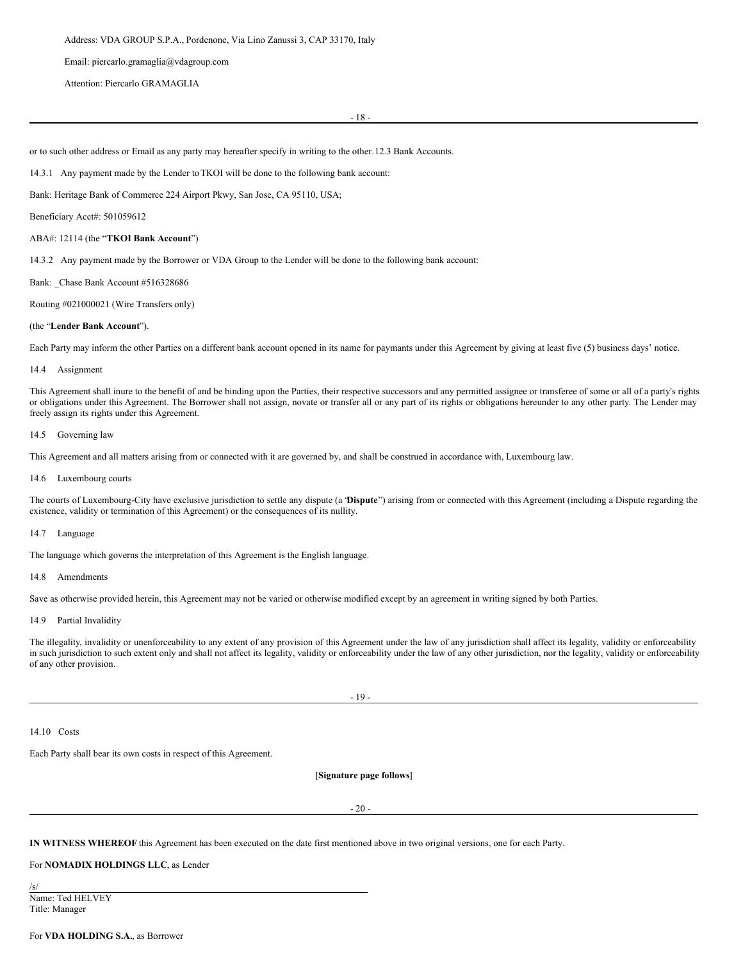Email: piercarlo.gramaglia@vdagroup.com

Attention: Piercarlo GRAMAGLIA

- 18 -

or to such other address or Email as any party may hereafter specify in writing to the other.12.3 Bank Accounts.

14.3.1 Any payment made by the Lender to TKOI will be done to the following bank account:

Bank: Heritage Bank of Commerce 224 Airport Pkwy, San Jose, CA 95110, USA;

Beneficiary Acct#: 501059612

### ABA#: 12114 (the "**TKOI Bank Account**")

14.3.2 Any payment made by the Borrower or VDA Group to the Lender will be done to the following bank account:

Bank: Chase Bank Account #516328686

Routing #021000021 (Wire Transfers only)

#### (the "**Lender Bank Account**").

Each Party may inform the other Parties on a different bank account opened in its name for paymants under this Agreement by giving at least five (5) business days' notice.

#### 14.4 Assignment

This Agreement shall inure to the benefit of and be binding upon the Parties, their respective successors and any permitted assignee or transferee of some or all of a party's rights or obligations under this Agreement. The Borrower shall not assign, novate or transfer all or any part of its rights or obligations hereunder to any other party. The Lender may freely assign its rights under this Agreement.

#### 14.5 Governing law

This Agreement and all matters arising from or connected with it are governed by, and shall be construed in accordance with, Luxembourg law.

#### 14.6 Luxembourg courts

The courts of Luxembourg-City have exclusive jurisdiction to settle any dispute (a "**Dispute**") arising from or connected with this Agreement (including a Dispute regarding the existence, validity or termination of this Agreement) or the consequences of its nullity.

#### 14.7 Language

The language which governs the interpretation of this Agreement is the English language.

#### 14.8 Amendments

Save as otherwise provided herein, this Agreement may not be varied or otherwise modified except by an agreement in writing signed by both Parties.

# 14.9 Partial Invalidity

The illegality, invalidity or unenforceability to any extent of any provision of this Agreement under the law of any jurisdiction shall affect its legality, validity or enforceability in such jurisdiction to such extent only and shall not affect its legality, validity or enforceability under the law of any other jurisdiction, nor the legality, validity or enforceability of any other provision.

- 19 -

14.10 Costs

Each Party shall bear its own costs in respect of this Agreement.

[**Signature page follows**]

- 20 -

**IN WITNESS WHEREOF** this Agreement has been executed on the date first mentioned above in two original versions, one for each Party.

# For **NOMADIX HOLDINGS LLC**, as Lender

/s/ Name: Ted HELVEY Title: Manager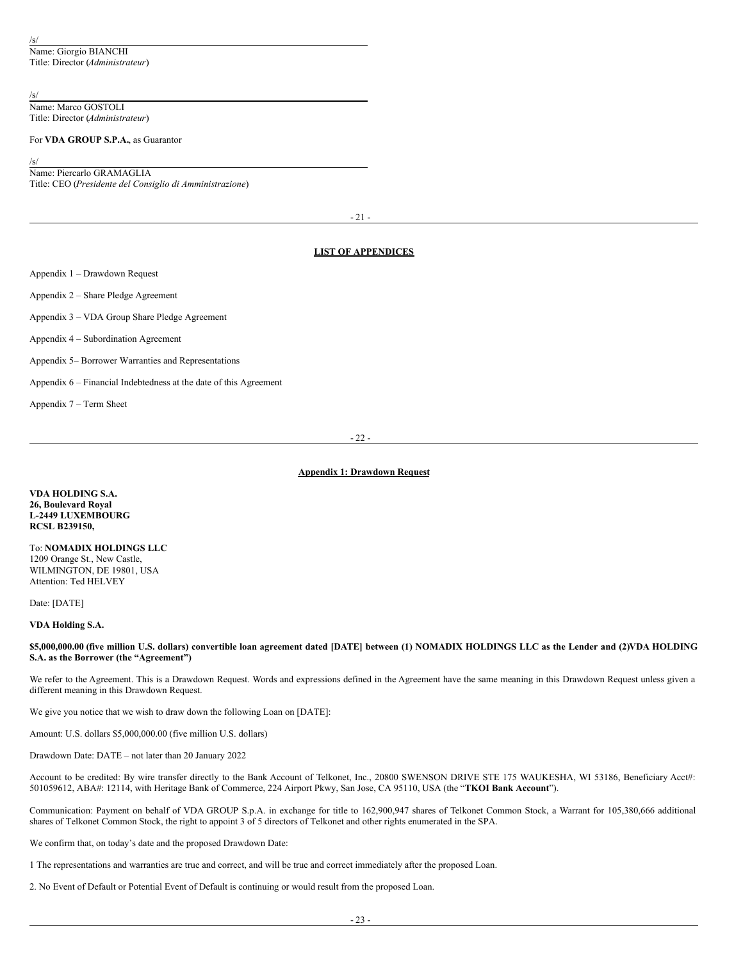# /s/

Name: Marco GOSTOLI Title: Director (*Administrateur*)

# For **VDA GROUP S.P.A.**, as Guarantor

/s/

Name: Piercarlo GRAMAGLIA Title: CEO (*Presidente del Consiglio di Amministrazione*)

 $-21$ 

# **LIST OF APPENDICES**

Appendix 1 – Drawdown Request

Appendix 2 – Share Pledge Agreement

Appendix 3 – VDA Group Share Pledge Agreement

Appendix 4 – Subordination Agreement

Appendix 5– Borrower Warranties and Representations

Appendix 6 – Financial Indebtedness at the date of this Agreement

Appendix 7 – Term Sheet

- 22 -

# **Appendix 1: Drawdown Request**

**VDA HOLDING S.A. 26, Boulevard Royal L-2449 LUXEMBOURG RCSL B239150,**

To: **NOMADIX HOLDINGS LLC** 1209 Orange St., New Castle, WILMINGTON, DE 19801, USA Attention: Ted HELVEY

Date: [DATE]

# **VDA Holding S.A.**

\$5,000,000.00 (five million U.S. dollars) convertible loan agreement dated [DATE] between (1) NOMADIX HOLDINGS LLC as the Lender and (2)VDA HOLDING **S.A. as the Borrower (the "Agreement")**

We refer to the Agreement. This is a Drawdown Request. Words and expressions defined in the Agreement have the same meaning in this Drawdown Request unless given a different meaning in this Drawdown Request.

We give you notice that we wish to draw down the following Loan on [DATE]:

Amount: U.S. dollars \$5,000,000.00 (five million U.S. dollars)

Drawdown Date: DATE – not later than 20 January 2022

Account to be credited: By wire transfer directly to the Bank Account of Telkonet, Inc., 20800 SWENSON DRIVE STE 175 WAUKESHA, WI 53186, Beneficiary Acct#: 501059612, ABA#: 12114, with Heritage Bank of Commerce, 224 Airport Pkwy, San Jose, CA 95110, USA (the "**TKOI Bank Account**").

Communication: Payment on behalf of VDA GROUP S.p.A. in exchange for title to 162,900,947 shares of Telkonet Common Stock, a Warrant for 105,380,666 additional shares of Telkonet Common Stock, the right to appoint 3 of 5 directors of Telkonet and other rights enumerated in the SPA.

We confirm that, on today's date and the proposed Drawdown Date:

1 The representations and warranties are true and correct, and will be true and correct immediately after the proposed Loan.

2. No Event of Default or Potential Event of Default is continuing or would result from the proposed Loan.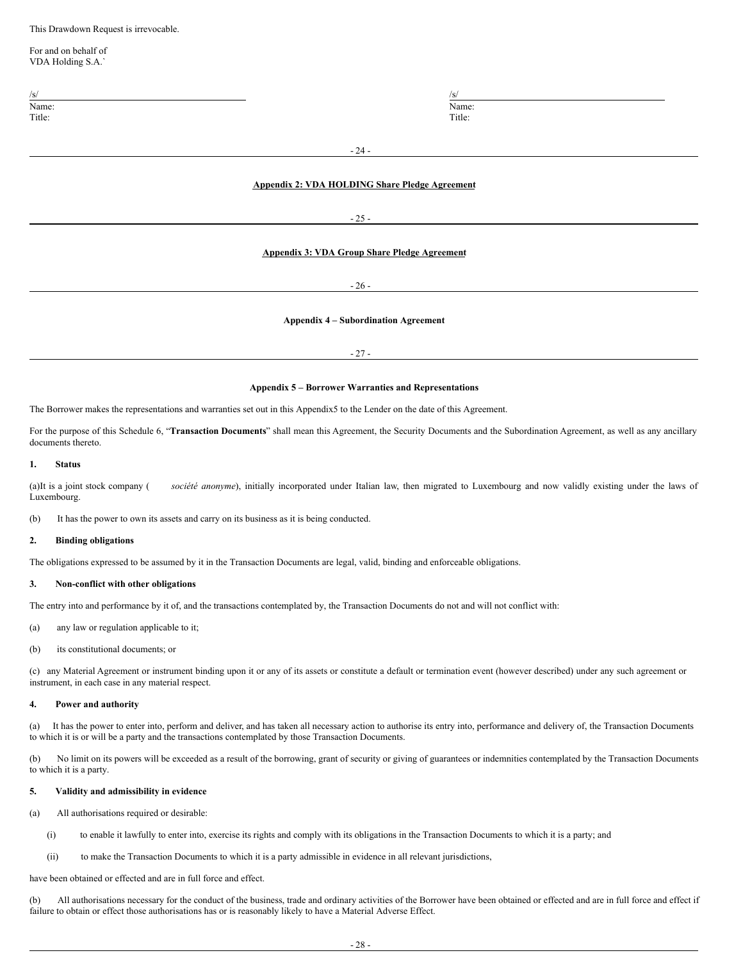This Drawdown Request is irrevocable.

For and on behalf of VDA Holding S.A.`

| /s      | - 12<br>___ |
|---------|-------------|
|         | -           |
| m.<br>. | .           |

Name: Name: Name: Name: Name: Name: Name: Name: Name: Name: Name: Name: Name: Name: Name: Name: Name: Name: Name: Name: Name: Name: Name: Name: Name: Name: Name: Name: Name: Name: Name: Name: Name: Name: Name: Name: Name: Title: Title: Title: Title: Title: Title: Title: Title: Title: Title: Title: Title: Title: Title: Title: Title: Title: Title: Title: Title: Title: Title: Title: Title: Title: Title: Title: Title: Title: Title: Title: Title

- 24 -

# **Appendix 2: VDA HOLDING Share Pledge Agreement**

- 25 -

# **Appendix 3: VDA Group Share Pledge Agreement**

- 26 -

# **Appendix 4 – Subordination Agreement**

 $-27 -$ 

### **Appendix 5 – Borrower Warranties and Representations**

The Borrower makes the representations and warranties set out in this Appendix5 to the Lender on the date of this Agreement.

For the purpose of this Schedule 6, "**Transaction Documents**" shall mean this Agreement, the Security Documents and the Subordination Agreement, as well as any ancillary documents thereto.

### **1. Status**

(a)It is a joint stock company ( *société anonyme*), initially incorporated under Italian law, then migrated to Luxembourg and now validly existing under the laws of Luxembourg.

(b) It has the power to own its assets and carry on its business as it is being conducted.

### **2. Binding obligations**

The obligations expressed to be assumed by it in the Transaction Documents are legal, valid, binding and enforceable obligations.

#### **3. Non-conflict with other obligations**

The entry into and performance by it of, and the transactions contemplated by, the Transaction Documents do not and will not conflict with:

(a) any law or regulation applicable to it;

(b) its constitutional documents; or

(c) any Material Agreement or instrument binding upon it or any of its assets or constitute a default or termination event (however described) under any such agreement or instrument, in each case in any material respect.

#### **4. Power and authority**

(a) It has the power to enter into, perform and deliver, and has taken all necessary action to authorise its entry into, performance and delivery of, the Transaction Documents to which it is or will be a party and the transactions contemplated by those Transaction Documents.

(b) No limit on its powers will be exceeded as a result of the borrowing, grant of security or giving of guarantees or indemnities contemplated by the Transaction Documents to which it is a party.

# **5. Validity and admissibility in evidence**

(a) All authorisations required or desirable:

- (i) to enable it lawfully to enter into, exercise its rights and comply with its obligations in the Transaction Documents to which it is a party; and
- (ii) to make the Transaction Documents to which it is a party admissible in evidence in all relevant jurisdictions,

have been obtained or effected and are in full force and effect.

(b) All authorisations necessary for the conduct of the business, trade and ordinary activities of the Borrower have been obtained or effected and are in full force and effect if failure to obtain or effect those authorisations has or is reasonably likely to have a Material Adverse Effect.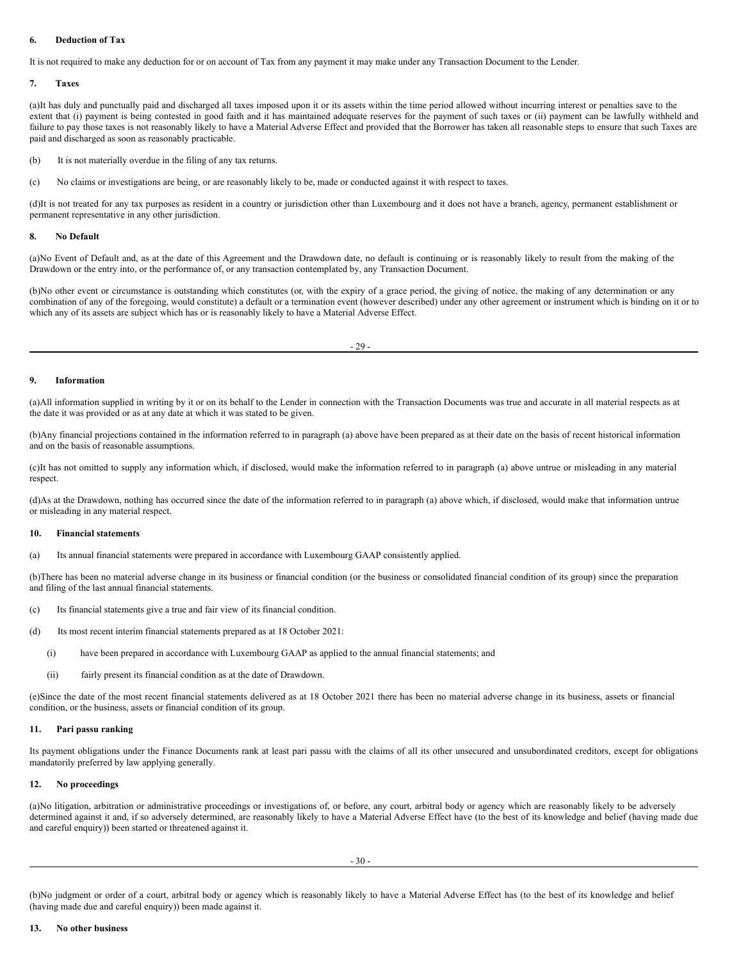# **6. Deduction of Tax**

It is not required to make any deduction for or on account of Tax from any payment it may make under any Transaction Document to the Lender.

### **7. Taxes**

(a)It has duly and punctually paid and discharged all taxes imposed upon it or its assets within the time period allowed without incurring interest or penalties save to the extent that (i) payment is being contested in good faith and it has maintained adequate reserves for the payment of such taxes or (ii) payment can be lawfully withheld and failure to pay those taxes is not reasonably likely to have a Material Adverse Effect and provided that the Borrower has taken all reasonable steps to ensure that such Taxes are paid and discharged as soon as reasonably practicable.

(b) It is not materially overdue in the filing of any tax returns.

(c) No claims or investigations are being, or are reasonably likely to be, made or conducted against it with respect to taxes.

(d)It is not treated for any tax purposes as resident in a country or jurisdiction other than Luxembourg and it does not have a branch, agency, permanent establishment or permanent representative in any other jurisdiction.

### **8. No Default**

(a)No Event of Default and, as at the date of this Agreement and the Drawdown date, no default is continuing or is reasonably likely to result from the making of the Drawdown or the entry into, or the performance of, or any transaction contemplated by, any Transaction Document.

(b)No other event or circumstance is outstanding which constitutes (or, with the expiry of a grace period, the giving of notice, the making of any determination or any combination of any of the foregoing, would constitute) a default or a termination event (however described) under any other agreement or instrument which is binding on it or to which any of its assets are subject which has or is reasonably likely to have a Material Adverse Effect.

#### **9. Information**

(a)All information supplied in writing by it or on its behalf to the Lender in connection with the Transaction Documents was true and accurate in all material respects as at the date it was provided or as at any date at which it was stated to be given.

(b)Any financial projections contained in the information referred to in paragraph (a) above have been prepared as at their date on the basis of recent historical information and on the basis of reasonable assumptions.

(c)It has not omitted to supply any information which, if disclosed, would make the information referred to in paragraph (a) above untrue or misleading in any material respect.

(d)As at the Drawdown, nothing has occurred since the date of the information referred to in paragraph (a) above which, if disclosed, would make that information untrue or misleading in any material respect.

#### **10. Financial statements**

(a) Its annual financial statements were prepared in accordance with Luxembourg GAAP consistently applied.

(b)There has been no material adverse change in its business or financial condition (or the business or consolidated financial condition of its group) since the preparation and filing of the last annual financial statements.

- (c) Its financial statements give a true and fair view of its financial condition.
- (d) Its most recent interim financial statements prepared as at 18 October 2021:
	- (i) have been prepared in accordance with Luxembourg GAAP as applied to the annual financial statements; and
	- (ii) fairly present its financial condition as at the date of Drawdown.

(e)Since the date of the most recent financial statements delivered as at 18 October 2021 there has been no material adverse change in its business, assets or financial condition, or the business, assets or financial condition of its group.

#### **11. Pari passu ranking**

Its payment obligations under the Finance Documents rank at least pari passu with the claims of all its other unsecured and unsubordinated creditors, except for obligations mandatorily preferred by law applying generally.

#### **12. No proceedings**

(a)No litigation, arbitration or administrative proceedings or investigations of, or before, any court, arbitral body or agency which are reasonably likely to be adversely determined against it and, if so adversely determined, are reasonably likely to have a Material Adverse Effect have (to the best of its knowledge and belief (having made due and careful enquiry)) been started or threatened against it.

(b)No judgment or order of a court, arbitral body or agency which is reasonably likely to have a Material Adverse Effect has (to the best of its knowledge and belief (having made due and careful enquiry)) been made against it.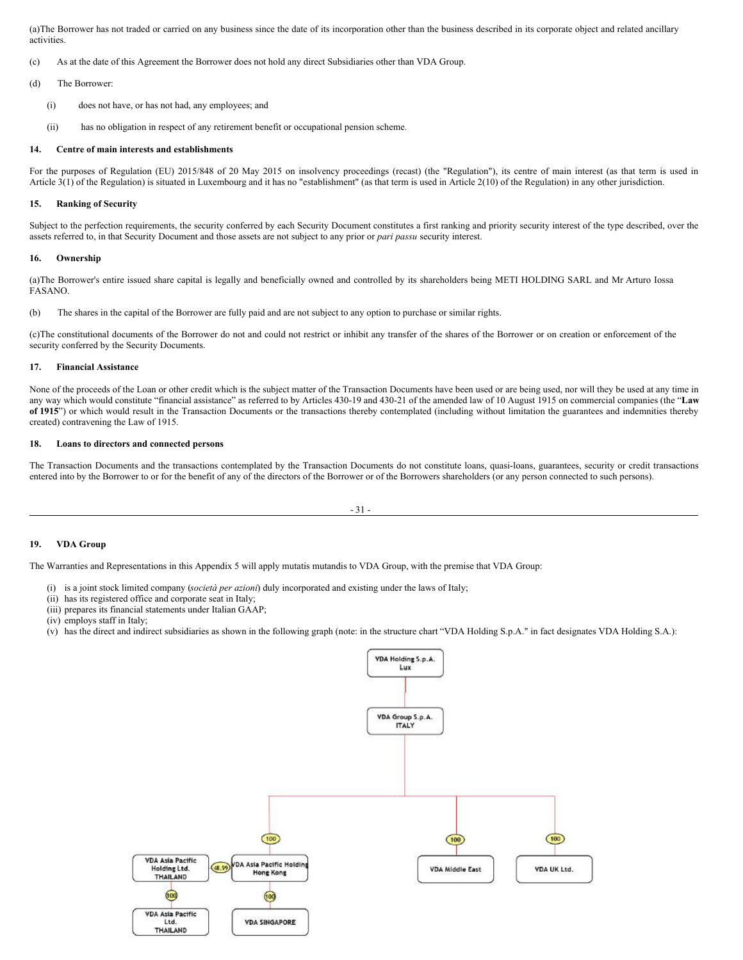(a)The Borrower has not traded or carried on any business since the date of its incorporation other than the business described in its corporate object and related ancillary activities.

(c) As at the date of this Agreement the Borrower does not hold any direct Subsidiaries other than VDA Group.

(d) The Borrower:

- (i) does not have, or has not had, any employees; and
- (ii) has no obligation in respect of any retirement benefit or occupational pension scheme.

#### **14. Centre of main interests and establishments**

For the purposes of Regulation (EU) 2015/848 of 20 May 2015 on insolvency proceedings (recast) (the "Regulation"), its centre of main interest (as that term is used in Article 3(1) of the Regulation) is situated in Luxembourg and it has no "establishment" (as that term is used in Article 2(10) of the Regulation) in any other jurisdiction.

#### **15. Ranking of Security**

Subject to the perfection requirements, the security conferred by each Security Document constitutes a first ranking and priority security interest of the type described, over the assets referred to, in that Security Document and those assets are not subject to any prior or *pari passu* security interest.

#### **16. Ownership**

(a)The Borrower's entire issued share capital is legally and beneficially owned and controlled by its shareholders being METI HOLDING SARL and Mr Arturo Iossa FASANO.

(b) The shares in the capital of the Borrower are fully paid and are not subject to any option to purchase or similar rights.

(c)The constitutional documents of the Borrower do not and could not restrict or inhibit any transfer of the shares of the Borrower or on creation or enforcement of the security conferred by the Security Documents.

#### **17. Financial Assistance**

None of the proceeds of the Loan or other credit which is the subject matter of the Transaction Documents have been used or are being used, nor will they be used at any time in any way which would constitute "financial assistance" as referred to by Articles 430-19 and 430-21 of the amended law of 10 August 1915 on commercial companies (the "**Law of 1915**") or which would result in the Transaction Documents or the transactions thereby contemplated (including without limitation the guarantees and indemnities thereby created) contravening the Law of 1915.

### **18. Loans to directors and connected persons**

The Transaction Documents and the transactions contemplated by the Transaction Documents do not constitute loans, quasi-loans, guarantees, security or credit transactions entered into by the Borrower to or for the benefit of any of the directors of the Borrower or of the Borrowers shareholders (or any person connected to such persons).



#### **19. VDA Group**

The Warranties and Representations in this Appendix 5 will apply mutatis mutandis to VDA Group, with the premise that VDA Group:

- (i) is a joint stock limited company (*società per azioni*) duly incorporated and existing under the laws of Italy;
- (ii) has its registered office and corporate seat in Italy;
- (iii) prepares its financial statements under Italian GAAP;
- (iv) employs staff in Italy;
- (v) has the direct and indirect subsidiaries as shown in the following graph (note: in the structure chart "VDA Holding S.p.A." in fact designates VDA Holding S.A.):

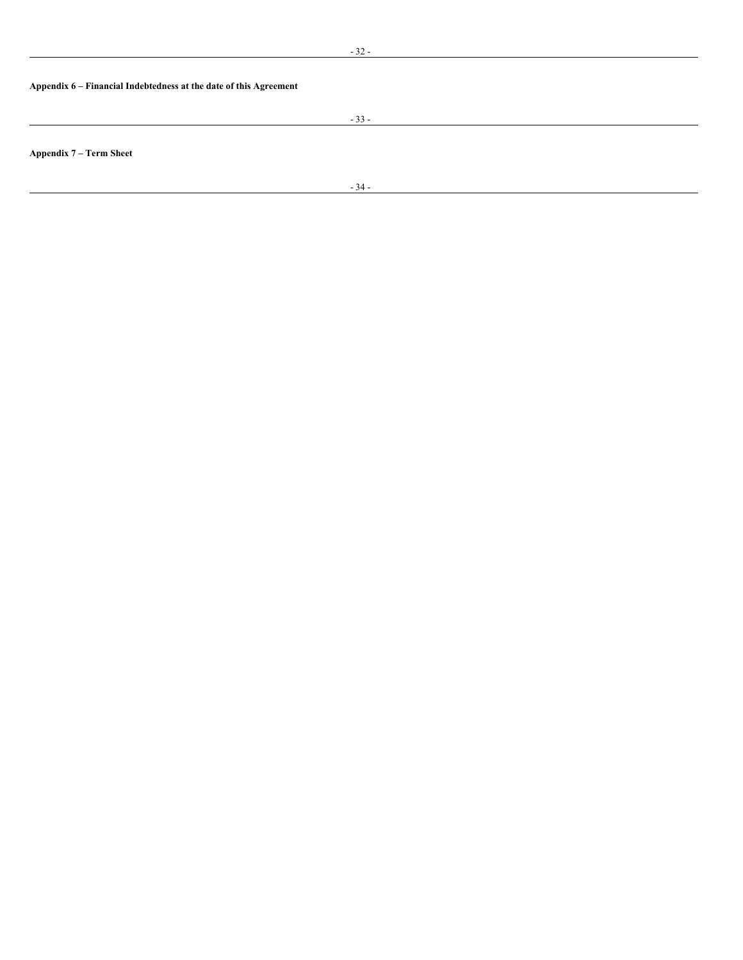# **Appendix 6 – Financial Indebtedness at the date of this Agreement**

- 33 -

**Appendix 7 – Term Sheet**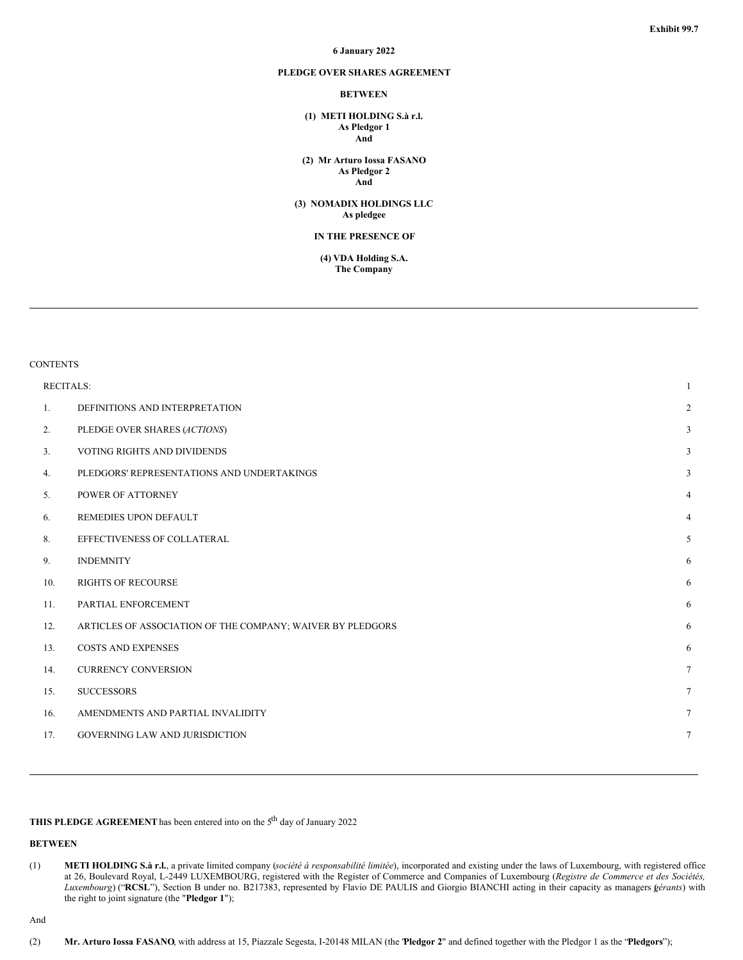#### **6 January 2022**

# **PLEDGE OVER SHARES AGREEMENT**

# **BETWEEN**

**(1) METI HOLDING S.à r.l. As Pledgor 1 And**

**(2) Mr Arturo Iossa FASANO As Pledgor 2 And**

**(3) NOMADIX HOLDINGS LLC As pledgee**

#### **IN THE PRESENCE OF**

**(4) VDA Holding S.A. The Company**

# **CONTENTS**

| <b>RECITALS:</b> |                                                            | $\mathbf{1}$    |
|------------------|------------------------------------------------------------|-----------------|
| 1.               | DEFINITIONS AND INTERPRETATION                             | $\overline{2}$  |
| 2.               | PLEDGE OVER SHARES (ACTIONS)                               | 3               |
| 3.               | VOTING RIGHTS AND DIVIDENDS                                | 3               |
| 4.               | PLEDGORS' REPRESENTATIONS AND UNDERTAKINGS                 | 3               |
| 5.               | POWER OF ATTORNEY                                          | $\overline{4}$  |
| 6.               | REMEDIES UPON DEFAULT                                      | $\overline{4}$  |
| 8.               | EFFECTIVENESS OF COLLATERAL                                | 5               |
| 9.               | <b>INDEMNITY</b>                                           | 6               |
| 10.              | <b>RIGHTS OF RECOURSE</b>                                  | 6               |
| 11.              | PARTIAL ENFORCEMENT                                        | 6               |
| 12.              | ARTICLES OF ASSOCIATION OF THE COMPANY; WAIVER BY PLEDGORS | 6               |
| 13.              | <b>COSTS AND EXPENSES</b>                                  | 6               |
| 14.              | <b>CURRENCY CONVERSION</b>                                 | $\tau$          |
| 15.              | <b>SUCCESSORS</b>                                          | $7\phantom{.0}$ |
| 16.              | AMENDMENTS AND PARTIAL INVALIDITY                          | $\tau$          |
| 17.              | <b>GOVERNING LAW AND JURISDICTION</b>                      | $7\phantom{.0}$ |

**THIS PLEDGE AGREEMENT** has been entered into on the 5<sup>th</sup> day of January 2022

#### **BETWEEN**

And

<sup>(1)</sup> **METI HOLDING S.à r.l.**, a private limited company (*société à responsabilité limitée*), incorporated and existing under the laws of Luxembourg, with registered office at 26, Boulevard Royal, L-2449 LUXEMBOURG, registered with the Register of Commerce and Companies of Luxembourg (*Registre de Commerce et des Sociétés, Luxembourg*) ("**RCSL**"), Section B under no. B217383, represented by Flavio DE PAULIS and Giorgio BIANCHI acting in their capacity as managers *g*( *érants*) with the right to joint signature (the "**Pledgor 1**");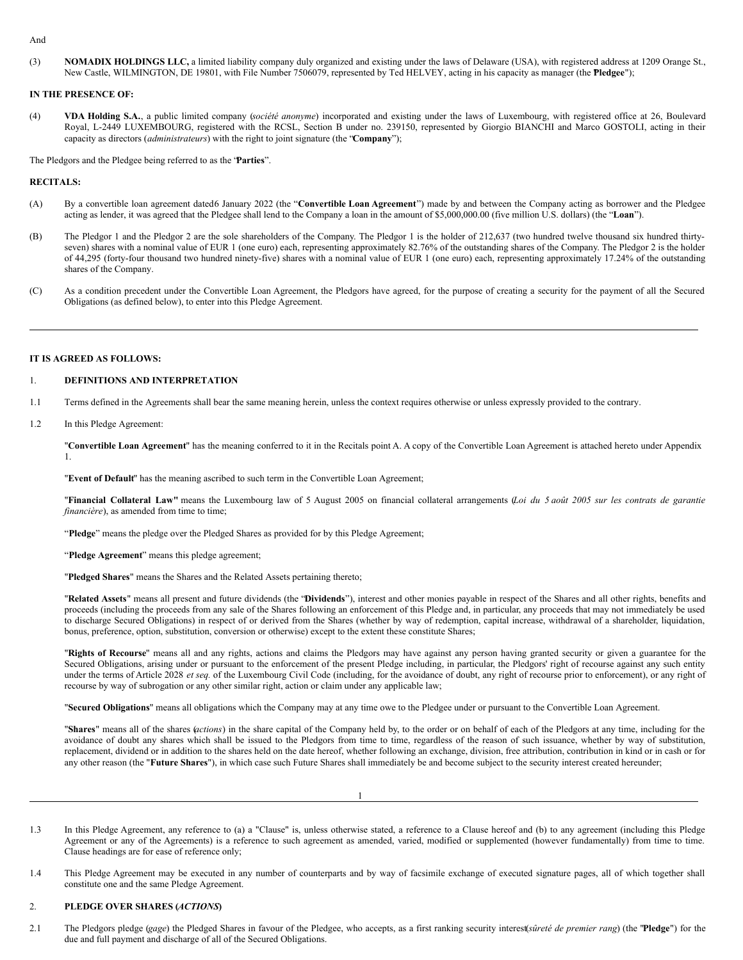#### And

(3) **NOMADIX HOLDINGS LLC,** a limited liability company duly organized and existing under the laws of Delaware (USA), with registered address at 1209 Orange St., New Castle, WILMINGTON, DE 19801, with File Number 7506079, represented by Ted HELVEY, acting in his capacity as manager (the **Pledgee**");

### **IN THE PRESENCE OF:**

(4) **VDA Holding S.A.**, a public limited company (*société anonyme*) incorporated and existing under the laws of Luxembourg, with registered office at 26, Boulevard Royal, L-2449 LUXEMBOURG, registered with the RCSL, Section B under no. 239150, represented by Giorgio BIANCHI and Marco GOSTOLI, acting in their capacity as directors (*administrateurs*) with the right to joint signature (the "**Company**");

The Pledgors and the Pledgee being referred to as the "**Parties**".

#### **RECITALS:**

- (A) By a convertible loan agreement dated6 January 2022 (the "**Convertible Loan Agreement**") made by and between the Company acting as borrower and the Pledgee acting as lender, it was agreed that the Pledgee shall lend to the Company a loan in the amount of \$5,000,000.00 (five million U.S. dollars) (the "**Loan**").
- (B) The Pledgor 1 and the Pledgor 2 are the sole shareholders of the Company. The Pledgor 1 is the holder of 212,637 (two hundred twelve thousand six hundred thirtyseven) shares with a nominal value of EUR 1 (one euro) each, representing approximately 82.76% of the outstanding shares of the Company. The Pledgor 2 is the holder of 44,295 (forty-four thousand two hundred ninety-five) shares with a nominal value of EUR 1 (one euro) each, representing approximately 17.24% of the outstanding shares of the Company.
- (C) As a condition precedent under the Convertible Loan Agreement, the Pledgors have agreed, for the purpose of creating a security for the payment of all the Secured Obligations (as defined below), to enter into this Pledge Agreement.

#### **IT IS AGREED AS FOLLOWS:**

# 1. **DEFINITIONS AND INTERPRETATION**

- 1.1 Terms defined in the Agreements shall bear the same meaning herein, unless the context requires otherwise or unless expressly provided to the contrary.
- 1.2 In this Pledge Agreement:

"**Convertible Loan Agreement**" has the meaning conferred to it in the Recitals point A. A copy of the Convertible Loan Agreement is attached hereto under Appendix 1.

"**Event of Default**" has the meaning ascribed to such term in the Convertible Loan Agreement;

"Financial Collateral Law" means the Luxembourg law of 5 August 2005 on financial collateral arrangements (Loi du 5 août 2005 sur les contrats de garantie *financière*), as amended from time to time;

"**Pledge**" means the pledge over the Pledged Shares as provided for by this Pledge Agreement;

"**Pledge Agreement**" means this pledge agreement;

"**Pledged Shares**" means the Shares and the Related Assets pertaining thereto;

"**Related Assets**" means all present and future dividends (the "**Dividends**"), interest and other monies payable in respect of the Shares and all other rights, benefits and proceeds (including the proceeds from any sale of the Shares following an enforcement of this Pledge and, in particular, any proceeds that may not immediately be used to discharge Secured Obligations) in respect of or derived from the Shares (whether by way of redemption, capital increase, withdrawal of a shareholder, liquidation, bonus, preference, option, substitution, conversion or otherwise) except to the extent these constitute Shares;

"Rights of Recourse" means all and any rights, actions and claims the Pledgors may have against any person having granted security or given a guarantee for the Secured Obligations, arising under or pursuant to the enforcement of the present Pledge including, in particular, the Pledgors' right of recourse against any such entity under the terms of Article 2028 *et seq.* of the Luxembourg Civil Code (including, for the avoidance of doubt, any right of recourse prior to enforcement), or any right of recourse by way of subrogation or any other similar right, action or claim under any applicable law;

"**Secured Obligations**" means all obligations which the Company may at any time owe to the Pledgee under or pursuant to the Convertible Loan Agreement.

"**Shares**" means all of the shares (*actions*) in the share capital of the Company held by, to the order or on behalf of each of the Pledgors at any time, including for the avoidance of doubt any shares which shall be issued to the Pledgors from time to time, regardless of the reason of such issuance, whether by way of substitution, replacement, dividend or in addition to the shares held on the date hereof, whether following an exchange, division, free attribution, contribution in kind or in cash or for any other reason (the "**Future Shares**"), in which case such Future Shares shall immediately be and become subject to the security interest created hereunder;

1.3 In this Pledge Agreement, any reference to (a) a "Clause" is, unless otherwise stated, a reference to a Clause hereof and (b) to any agreement (including this Pledge Agreement or any of the Agreements) is a reference to such agreement as amended, varied, modified or supplemented (however fundamentally) from time to time. Clause headings are for ease of reference only;

1

1.4 This Pledge Agreement may be executed in any number of counterparts and by way of facsimile exchange of executed signature pages, all of which together shall constitute one and the same Pledge Agreement.

# 2. **PLEDGE OVER SHARES (***ACTIONS***)**

2.1 The Pledgors pledge (*gage*) the Pledged Shares in favour of the Pledgee, who accepts, as a first ranking security interest(*sûreté de premier rang*) (the "**Pledge**") for the due and full payment and discharge of all of the Secured Obligations.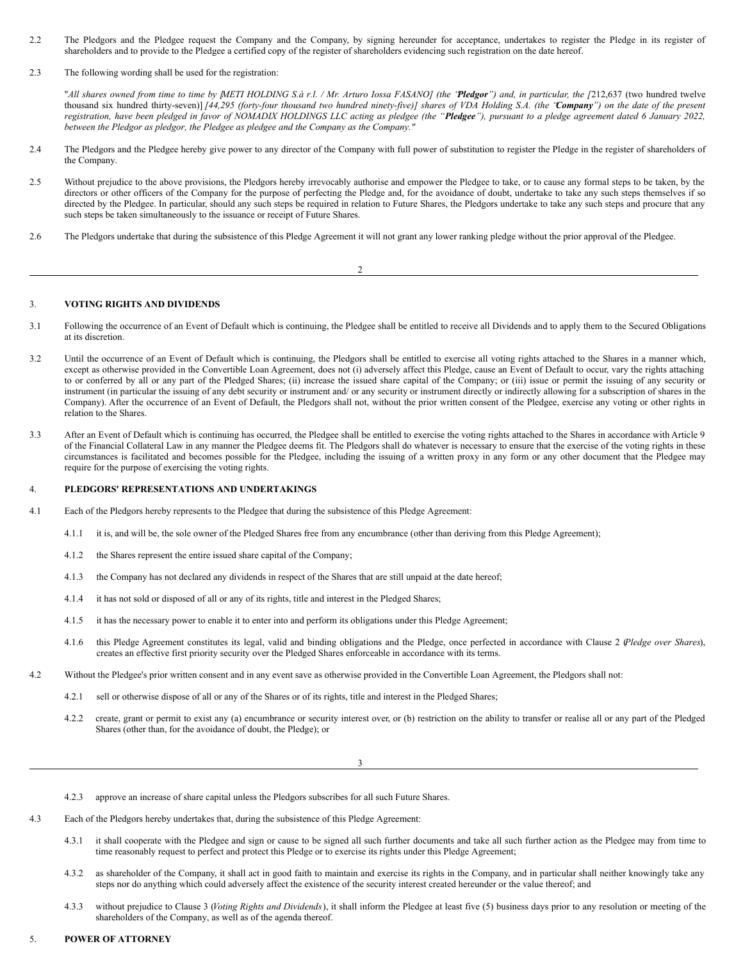- <span id="page-33-0"></span>2.2 The Pledgors and the Pledgee request the Company and the Company, by signing hereunder for acceptance, undertakes to register the Pledge in its register of shareholders and to provide to the Pledgee a certified copy of the register of shareholders evidencing such registration on the date hereof.
- 2.3 The following wording shall be used for the registration:

"All shares owned from time to time by METI HOLDING S.à r.l. / Mr. Arturo Iossa FASANOJ (the 'Pledgor") and, in particular, the [212,637 (two hundred twelve thousand six hundred thirty-seven)] [44,295 (forty-four thousand two hundred ninety-five)] shares of VDA Holding S.A. (the 'Company') on the date of the present registration, have been pledged in favor of NOMADIX HOLDINGS LLC acting as pledgee (the "Pledgee"), pursuant to a pledge agreement dated 6 January 2022, *between the Pledgor as pledgor, the Pledgee as pledgee and the Company as the Company."*

- 2.4 The Pledgors and the Pledgee hereby give power to any director of the Company with full power of substitution to register the Pledge in the register of shareholders of the Company.
- 2.5 Without prejudice to the above provisions, the Pledgors hereby irrevocably authorise and empower the Pledgee to take, or to cause any formal steps to be taken, by the directors or other officers of the Company for the purpose of perfecting the Pledge and, for the avoidance of doubt, undertake to take any such steps themselves if so directed by the Pledgee. In particular, should any such steps be required in relation to Future Shares, the Pledgors undertake to take any such steps and procure that any such steps be taken simultaneously to the issuance or receipt of Future Shares.
- 2.6 The Pledgors undertake that during the subsistence of this Pledge Agreement it will not grant any lower ranking pledge without the prior approval of the Pledgee.

# 2

#### 3. **VOTING RIGHTS AND DIVIDENDS**

- 3.1 Following the occurrence of an Event of Default which is continuing, the Pledgee shall be entitled to receive all Dividends and to apply them to the Secured Obligations at its discretion.
- 3.2 Until the occurrence of an Event of Default which is continuing, the Pledgors shall be entitled to exercise all voting rights attached to the Shares in a manner which, except as otherwise provided in the Convertible Loan Agreement, does not (i) adversely affect this Pledge, cause an Event of Default to occur, vary the rights attaching to or conferred by all or any part of the Pledged Shares; (ii) increase the issued share capital of the Company; or (iii) issue or permit the issuing of any security or instrument (in particular the issuing of any debt security or instrument and/ or any security or instrument directly or indirectly allowing for a subscription of shares in the Company). After the occurrence of an Event of Default, the Pledgors shall not, without the prior written consent of the Pledgee, exercise any voting or other rights in relation to the Shares.
- 3.3 After an Event of Default which is continuing has occurred, the Pledgee shall be entitled to exercise the voting rights attached to the Shares in accordance with Article 9 of the Financial Collateral Law in any manner the Pledgee deems fit. The Pledgors shall do whatever is necessary to ensure that the exercise of the voting rights in these circumstances is facilitated and becomes possible for the Pledgee, including the issuing of a written proxy in any form or any other document that the Pledgee may require for the purpose of exercising the voting rights.

#### 4. **PLEDGORS' REPRESENTATIONS AND UNDERTAKINGS**

- 4.1 Each of the Pledgors hereby represents to the Pledgee that during the subsistence of this Pledge Agreement:
	- 4.1.1 it is, and will be, the sole owner of the Pledged Shares free from any encumbrance (other than deriving from this Pledge Agreement);
	- 4.1.2 the Shares represent the entire issued share capital of the Company;
	- 4.1.3 the Company has not declared any dividends in respect of the Shares that are still unpaid at the date hereof;
	- 4.1.4 it has not sold or disposed of all or any of its rights, title and interest in the Pledged Shares;
	- 4.1.5 it has the necessary power to enable it to enter into and perform its obligations under this Pledge Agreement;
	- 4.1.6 this Pledge Agreement constitutes its legal, valid and binding obligations and the Pledge, once perfected in accordance with Clause 2 (*Pledge over Shares*), creates an effective first priority security over the Pledged Shares enforceable in accordance with its terms.
- 4.2 Without the Pledgee's prior written consent and in any event save as otherwise provided in the Convertible Loan Agreement, the Pledgors shall not:
	- 4.2.1 sell or otherwise dispose of all or any of the Shares or of its rights, title and interest in the Pledged Shares;
	- 4.2.2 create, grant or permit to exist any (a) encumbrance or security interest over, or (b) restriction on the ability to transfer or realise all or any part of the Pledged Shares (other than, for the avoidance of doubt, the Pledge); or

3

|  |  | 4.2.3 approve an increase of share capital unless the Pledgors subscribes for all such Future Shares. |
|--|--|-------------------------------------------------------------------------------------------------------|
|  |  |                                                                                                       |

- 4.3 Each of the Pledgors hereby undertakes that, during the subsistence of this Pledge Agreement:
	- 4.3.1 it shall cooperate with the Pledgee and sign or cause to be signed all such further documents and take all such further action as the Pledgee may from time to time reasonably request to perfect and protect this Pledge or to exercise its rights under this Pledge Agreement;
	- 4.3.2 as shareholder of the Company, it shall act in good faith to maintain and exercise its rights in the Company, and in particular shall neither knowingly take any steps nor do anything which could adversely affect the existence of the security interest created hereunder or the value thereof; and
	- 4.3.3 without prejudice to Clause 3 (*Voting Rights and Dividends*), it shall inform the Pledgee at least five (5) business days prior to any resolution or meeting of the shareholders of the Company, as well as of the agenda thereof.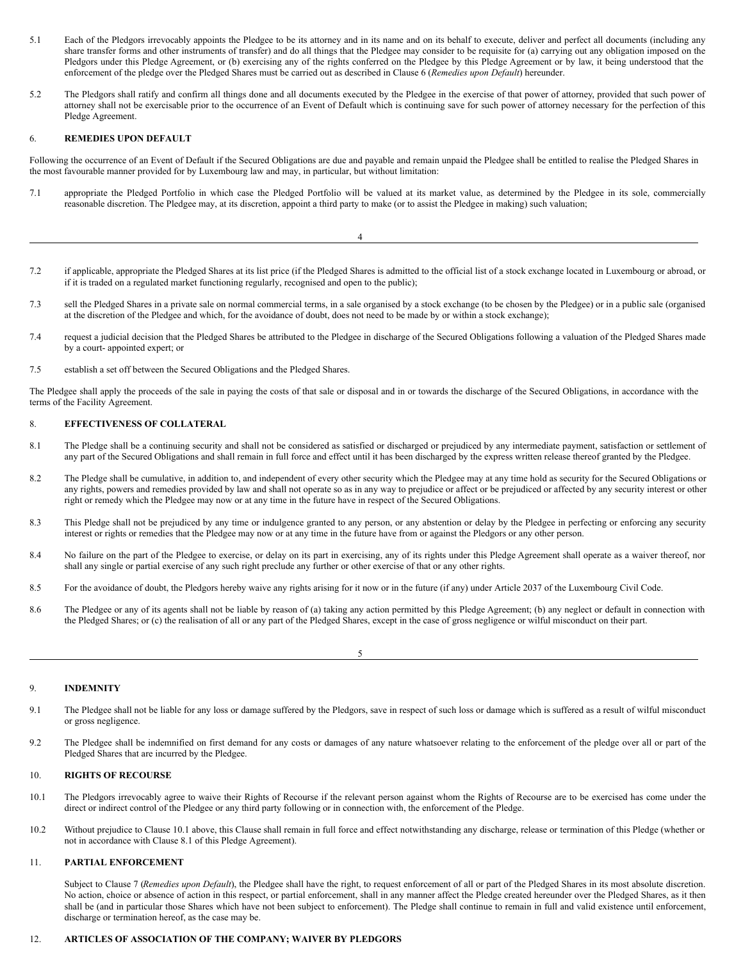- 5.1 Each of the Pledgors irrevocably appoints the Pledgee to be its attorney and in its name and on its behalf to execute, deliver and perfect all documents (including any share transfer forms and other instruments of transfer) and do all things that the Pledgee may consider to be requisite for (a) carrying out any obligation imposed on the Pledgors under this Pledge Agreement, or (b) exercising any of the rights conferred on the Pledgee by this Pledge Agreement or by law, it being understood that the enforcement of the pledge over the Pledged Shares must be carried out as described in Clause 6 (*Remedies upon Default*) hereunder.
- 5.2 The Pledgors shall ratify and confirm all things done and all documents executed by the Pledgee in the exercise of that power of attorney, provided that such power of attorney shall not be exercisable prior to the occurrence of an Event of Default which is continuing save for such power of attorney necessary for the perfection of this Pledge Agreement.

### 6. **REMEDIES UPON DEFAULT**

Following the occurrence of an Event of Default if the Secured Obligations are due and payable and remain unpaid the Pledgee shall be entitled to realise the Pledged Shares in the most favourable manner provided for by Luxembourg law and may, in particular, but without limitation:

7.1 appropriate the Pledged Portfolio in which case the Pledged Portfolio will be valued at its market value, as determined by the Pledgee in its sole, commercially reasonable discretion. The Pledgee may, at its discretion, appoint a third party to make (or to assist the Pledgee in making) such valuation;

- 7.2 if applicable, appropriate the Pledged Shares at its list price (if the Pledged Shares is admitted to the official list of a stock exchange located in Luxembourg or abroad, or if it is traded on a regulated market functioning regularly, recognised and open to the public);
- 7.3 sell the Pledged Shares in a private sale on normal commercial terms, in a sale organised by a stock exchange (to be chosen by the Pledgee) or in a public sale (organised at the discretion of the Pledgee and which, for the avoidance of doubt, does not need to be made by or within a stock exchange);
- 7.4 request a judicial decision that the Pledged Shares be attributed to the Pledgee in discharge of the Secured Obligations following a valuation of the Pledged Shares made by a court- appointed expert; or
- 7.5 establish a set off between the Secured Obligations and the Pledged Shares.

The Pledgee shall apply the proceeds of the sale in paying the costs of that sale or disposal and in or towards the discharge of the Secured Obligations, in accordance with the terms of the Facility Agreement.

#### 8. **EFFECTIVENESS OF COLLATERAL**

- 8.1 The Pledge shall be a continuing security and shall not be considered as satisfied or discharged or prejudiced by any intermediate payment, satisfaction or settlement of any part of the Secured Obligations and shall remain in full force and effect until it has been discharged by the express written release thereof granted by the Pledgee.
- 8.2 The Pledge shall be cumulative, in addition to, and independent of every other security which the Pledgee may at any time hold as security for the Secured Obligations or any rights, powers and remedies provided by law and shall not operate so as in any way to prejudice or affect or be prejudiced or affected by any security interest or other right or remedy which the Pledgee may now or at any time in the future have in respect of the Secured Obligations.
- 8.3 This Pledge shall not be prejudiced by any time or indulgence granted to any person, or any abstention or delay by the Pledgee in perfecting or enforcing any security interest or rights or remedies that the Pledgee may now or at any time in the future have from or against the Pledgors or any other person.
- 8.4 No failure on the part of the Pledgee to exercise, or delay on its part in exercising, any of its rights under this Pledge Agreement shall operate as a waiver thereof, nor shall any single or partial exercise of any such right preclude any further or other exercise of that or any other rights.
- 8.5 For the avoidance of doubt, the Pledgors hereby waive any rights arising for it now or in the future (if any) under Article 2037 of the Luxembourg Civil Code.
- 8.6 The Pledgee or any of its agents shall not be liable by reason of (a) taking any action permitted by this Pledge Agreement; (b) any neglect or default in connection with the Pledged Shares; or (c) the realisation of all or any part of the Pledged Shares, except in the case of gross negligence or wilful misconduct on their part.

5

# 9. **INDEMNITY**

- 9.1 The Pledgee shall not be liable for any loss or damage suffered by the Pledgors, save in respect of such loss or damage which is suffered as a result of wilful misconduct or gross negligence.
- 9.2 The Pledgee shall be indemnified on first demand for any costs or damages of any nature whatsoever relating to the enforcement of the pledge over all or part of the Pledged Shares that are incurred by the Pledgee.

# 10. **RIGHTS OF RECOURSE**

- 10.1 The Pledgors irrevocably agree to waive their Rights of Recourse if the relevant person against whom the Rights of Recourse are to be exercised has come under the direct or indirect control of the Pledgee or any third party following or in connection with, the enforcement of the Pledge.
- 10.2 Without prejudice to Clause 10.1 above, this Clause shall remain in full force and effect notwithstanding any discharge, release or termination of this Pledge (whether or not in accordance with Clause 8.1 of this Pledge Agreement).

# 11. **PARTIAL ENFORCEMENT**

Subject to Clause 7 (*Remedies upon Default*), the Pledgee shall have the right, to request enforcement of all or part of the Pledged Shares in its most absolute discretion. No action, choice or absence of action in this respect, or partial enforcement, shall in any manner affect the Pledge created hereunder over the Pledged Shares, as it then shall be (and in particular those Shares which have not been subject to enforcement). The Pledge shall continue to remain in full and valid existence until enforcement, discharge or termination hereof, as the case may be.

# 12. **ARTICLES OF ASSOCIATION OF THE COMPANY; WAIVER BY PLEDGORS**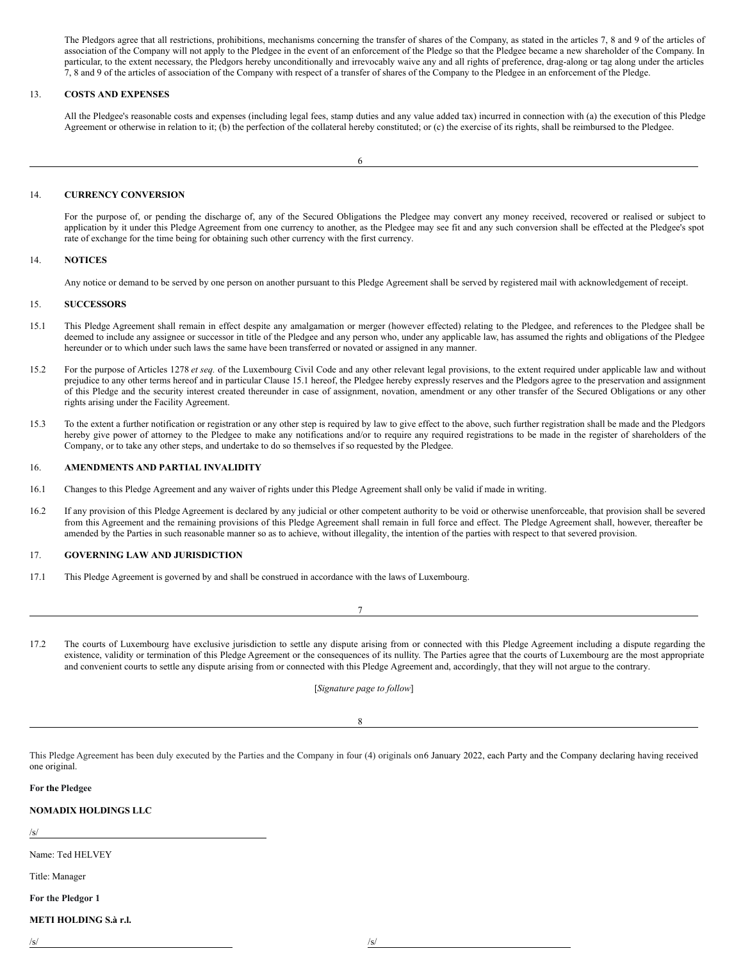The Pledgors agree that all restrictions, prohibitions, mechanisms concerning the transfer of shares of the Company, as stated in the articles 7, 8 and 9 of the articles of association of the Company will not apply to the Pledgee in the event of an enforcement of the Pledge so that the Pledgee became a new shareholder of the Company. In particular, to the extent necessary, the Pledgors hereby unconditionally and irrevocably waive any and all rights of preference, drag-along or tag along under the articles 7, 8 and 9 of the articles of association of the Company with respect of a transfer of shares of the Company to the Pledgee in an enforcement of the Pledge.

# 13. **COSTS AND EXPENSES**

All the Pledgee's reasonable costs and expenses (including legal fees, stamp duties and any value added tax) incurred in connection with (a) the execution of this Pledge Agreement or otherwise in relation to it; (b) the perfection of the collateral hereby constituted; or (c) the exercise of its rights, shall be reimbursed to the Pledgee.

# 14. **CURRENCY CONVERSION**

For the purpose of, or pending the discharge of, any of the Secured Obligations the Pledgee may convert any money received, recovered or realised or subject to application by it under this Pledge Agreement from one currency to another, as the Pledgee may see fit and any such conversion shall be effected at the Pledgee's spot rate of exchange for the time being for obtaining such other currency with the first currency.

# 14. **NOTICES**

Any notice or demand to be served by one person on another pursuant to this Pledge Agreement shall be served by registered mail with acknowledgement of receipt.

#### 15. **SUCCESSORS**

- 15.1 This Pledge Agreement shall remain in effect despite any amalgamation or merger (however effected) relating to the Pledgee, and references to the Pledgee shall be deemed to include any assignee or successor in title of the Pledgee and any person who, under any applicable law, has assumed the rights and obligations of the Pledgee hereunder or to which under such laws the same have been transferred or novated or assigned in any manner.
- 15.2 For the purpose of Articles 1278 *et seq.* of the Luxembourg Civil Code and any other relevant legal provisions, to the extent required under applicable law and without prejudice to any other terms hereof and in particular Clause 15.1 hereof, the Pledgee hereby expressly reserves and the Pledgors agree to the preservation and assignment of this Pledge and the security interest created thereunder in case of assignment, novation, amendment or any other transfer of the Secured Obligations or any other rights arising under the Facility Agreement.
- 15.3 To the extent a further notification or registration or any other step is required by law to give effect to the above, such further registration shall be made and the Pledgors hereby give power of attorney to the Pledgee to make any notifications and/or to require any required registrations to be made in the register of shareholders of the Company, or to take any other steps, and undertake to do so themselves if so requested by the Pledgee.

# 16. **AMENDMENTS AND PARTIAL INVALIDITY**

- 16.1 Changes to this Pledge Agreement and any waiver of rights under this Pledge Agreement shall only be valid if made in writing.
- 16.2 If any provision of this Pledge Agreement is declared by any judicial or other competent authority to be void or otherwise unenforceable, that provision shall be severed from this Agreement and the remaining provisions of this Pledge Agreement shall remain in full force and effect. The Pledge Agreement shall, however, thereafter be amended by the Parties in such reasonable manner so as to achieve, without illegality, the intention of the parties with respect to that severed provision.

# 17. **GOVERNING LAW AND JURISDICTION**

17.1 This Pledge Agreement is governed by and shall be construed in accordance with the laws of Luxembourg.

17.2 The courts of Luxembourg have exclusive jurisdiction to settle any dispute arising from or connected with this Pledge Agreement including a dispute regarding the existence, validity or termination of this Pledge Agreement or the consequences of its nullity. The Parties agree that the courts of Luxembourg are the most appropriate and convenient courts to settle any dispute arising from or connected with this Pledge Agreement and, accordingly, that they will not argue to the contrary.

7

[*Signature page to follow*]

8

This Pledge Agreement has been duly executed by the Parties and the Company in four (4) originals on6 January 2022, each Party and the Company declaring having received one original.

**For the Pledgee**

# **NOMADIX HOLDINGS LLC**

/s/

Name: Ted HELVEY

Title: Manager

**For the Pledgor 1**

# **METI HOLDING S.à r.l.**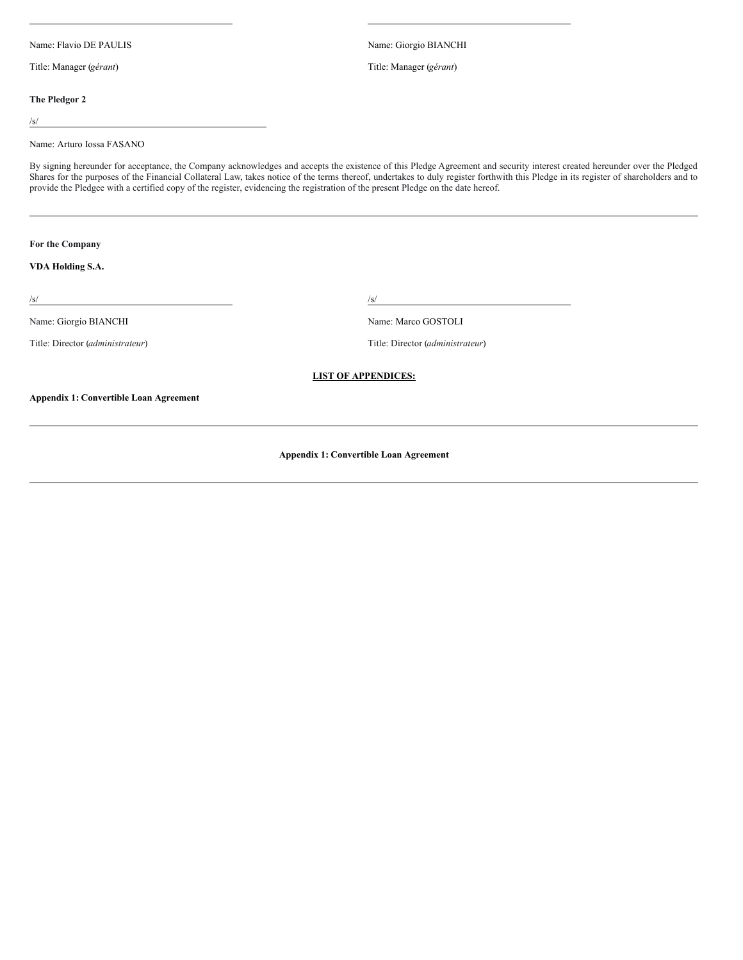Name: Flavio DE PAULIS Name: Giorgio BIANCHI

Title: Manager (*gérant*) Title: Manager (*gérant*)

# **The Pledgor 2**

/s/

### Name: Arturo Iossa FASANO

By signing hereunder for acceptance, the Company acknowledges and accepts the existence of this Pledge Agreement and security interest created hereunder over the Pledged Shares for the purposes of the Financial Collateral Law, takes notice of the terms thereof, undertakes to duly register forthwith this Pledge in its register of shareholders and to provide the Pledgee with a certified copy of the register, evidencing the registration of the present Pledge on the date hereof.

**For the Company**

# **VDA Holding S.A.**

 $\sqrt{s}$ /s/

Name: Giorgio BIANCHI Name: Marco GOSTOLI

Title: Director (*administrateur*) Title: Director (*administrateur*)

# **LIST OF APPENDICES:**

**Appendix 1: Convertible Loan Agreement**

**Appendix 1: Convertible Loan Agreement**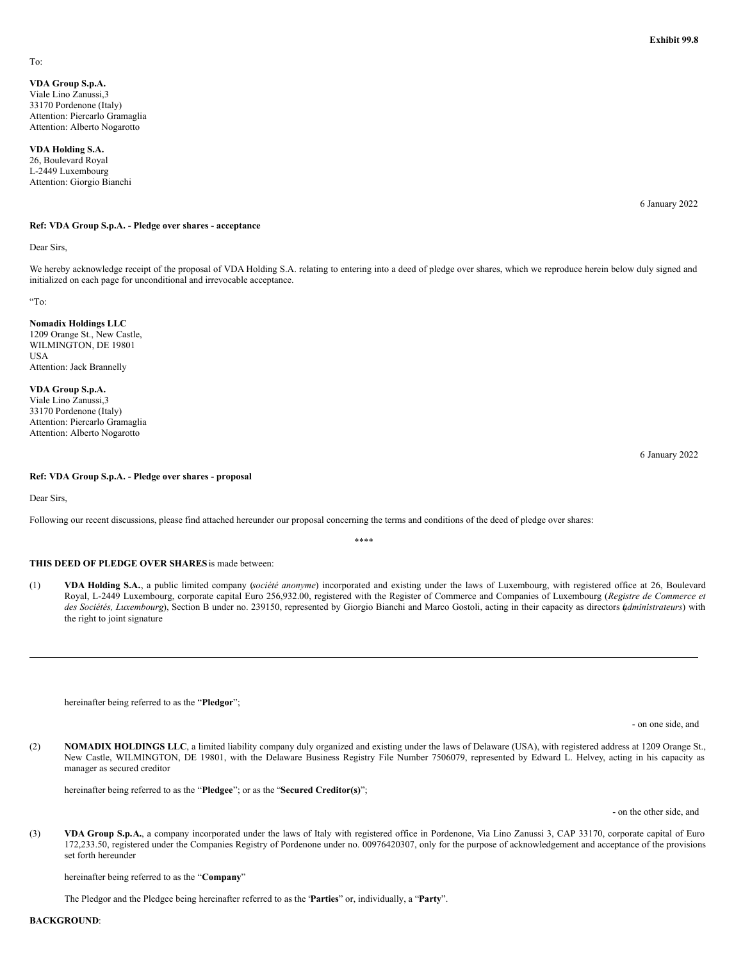# **VDA Group S.p.A.**

Viale Lino Zanussi,3 33170 Pordenone (Italy) Attention: Piercarlo Gramaglia Attention: Alberto Nogarotto

# **VDA Holding S.A.**

26, Boulevard Royal L-2449 Luxembourg Attention: Giorgio Bianchi

6 January 2022

#### **Ref: VDA Group S.p.A. - Pledge over shares - acceptance**

Dear Sirs,

We hereby acknowledge receipt of the proposal of VDA Holding S.A. relating to entering into a deed of pledge over shares, which we reproduce herein below duly signed and initialized on each page for unconditional and irrevocable acceptance.

"To:

# **Nomadix Holdings LLC**

1209 Orange St., New Castle, WILMINGTON, DE 19801 USA Attention: Jack Brannelly

#### **VDA Group S.p.A.**

Viale Lino Zanussi,3 33170 Pordenone (Italy) Attention: Piercarlo Gramaglia Attention: Alberto Nogarotto

#### **Ref: VDA Group S.p.A. - Pledge over shares - proposal**

Dear Sirs,

Following our recent discussions, please find attached hereunder our proposal concerning the terms and conditions of the deed of pledge over shares:

\*\*\*\*

# **THIS DEED OF PLEDGE OVER SHARES**is made between:

(1) **VDA Holding S.A.**, a public limited company (*société anonyme*) incorporated and existing under the laws of Luxembourg, with registered office at 26, Boulevard Royal, L-2449 Luxembourg, corporate capital Euro 256,932.00, registered with the Register of Commerce and Companies of Luxembourg (*Registre de Commerce et des Sociétés, Luxembourg*), Section B under no. 239150, represented by Giorgio Bianchi and Marco Gostoli, acting in their capacity as directors *a*( *dministrateurs*) with the right to joint signature

hereinafter being referred to as the "**Pledgor**";

- on one side, and

(2) **NOMADIX HOLDINGS LLC**, a limited liability company duly organized and existing under the laws of Delaware (USA), with registered address at 1209 Orange St., New Castle, WILMINGTON, DE 19801, with the Delaware Business Registry File Number 7506079, represented by Edward L. Helvey, acting in his capacity as manager as secured creditor

hereinafter being referred to as the "**Pledgee**"; or as the "**Secured Creditor(s)**";

- on the other side, and

(3) **VDA Group S.p.A.**, a company incorporated under the laws of Italy with registered office in Pordenone, Via Lino Zanussi 3, CAP 33170, corporate capital of Euro 172,233.50, registered under the Companies Registry of Pordenone under no. 00976420307, only for the purpose of acknowledgement and acceptance of the provisions set forth hereunder

hereinafter being referred to as the "**Company**"

The Pledgor and the Pledgee being hereinafter referred to as the "**Parties**" or, individually, a "**Party**".

**BACKGROUND**:

6 January 2022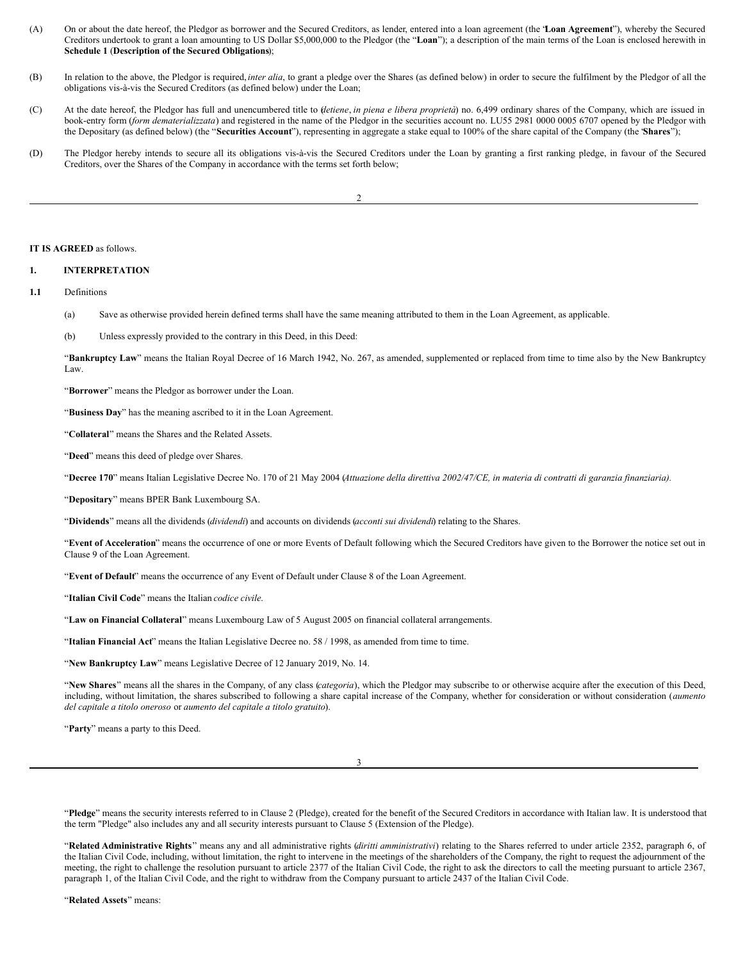- (A) On or about the date hereof, the Pledgor as borrower and the Secured Creditors, as lender, entered into a loan agreement (the "**Loan Agreement**"), whereby the Secured Creditors undertook to grant a loan amounting to US Dollar \$5,000,000 to the Pledgor (the "**Loan**"); a description of the main terms of the Loan is enclosed herewith in **Schedule 1** (**Description of the Secured Obligations**);
- (B) In relation to the above, the Pledgor is required,*inter alia*, to grant a pledge over the Shares (as defined below) in order to secure the fulfilment by the Pledgor of all the obligations vis-à-vis the Secured Creditors (as defined below) under the Loan;
- (C) At the date hereof, the Pledgor has full and unencumbered title to (*detiene*, *in piena e libera proprietà*) no. 6,499 ordinary shares of the Company, which are issued in book-entry form (*form dematerializzata*) and registered in the name of the Pledgor in the securities account no. LU55 2981 0000 0005 6707 opened by the Pledgor with the Depositary (as defined below) (the "**Securities Account**"), representing in aggregate a stake equal to 100% of the share capital of the Company (the "**Shares**");
- (D) The Pledgor hereby intends to secure all its obligations vis-à-vis the Secured Creditors under the Loan by granting a first ranking pledge, in favour of the Secured Creditors, over the Shares of the Company in accordance with the terms set forth below;

2

#### **IT IS AGREED** as follows.

# **1. INTERPRETATION**

**1.1** Definitions

- (a) Save as otherwise provided herein defined terms shall have the same meaning attributed to them in the Loan Agreement, as applicable.
- (b) Unless expressly provided to the contrary in this Deed, in this Deed:

"**Bankruptcy Law**" means the Italian Royal Decree of 16 March 1942, No. 267, as amended, supplemented or replaced from time to time also by the New Bankruptcy Law.

"**Borrower**" means the Pledgor as borrower under the Loan.

"**Business Day**" has the meaning ascribed to it in the Loan Agreement.

"**Collateral**" means the Shares and the Related Assets.

"**Deed**" means this deed of pledge over Shares.

"Decree 170" means Italian Legislative Decree No. 170 of 21 May 2004 (Attuazione della direttiva 2002/47/CE, in materia di contratti di garanzia finanziaria).

"**Depositary**" means BPER Bank Luxembourg SA.

"**Dividends**" means all the dividends (*dividendi*) and accounts on dividends (*acconti sui dividendi*) relating to the Shares.

"**Event of Acceleration**" means the occurrence of one or more Events of Default following which the Secured Creditors have given to the Borrower the notice set out in Clause 9 of the Loan Agreement.

"**Event of Default**" means the occurrence of any Event of Default under Clause 8 of the Loan Agreement.

"**Italian Civil Code**" means the Italian *codice civile*.

"**Law on Financial Collateral**" means Luxembourg Law of 5 August 2005 on financial collateral arrangements.

"**Italian Financial Act**" means the Italian Legislative Decree no. 58 / 1998, as amended from time to time.

"**New Bankruptcy Law**" means Legislative Decree of 12 January 2019, No. 14.

"**New Shares**" means all the shares in the Company, of any class (*categoria*), which the Pledgor may subscribe to or otherwise acquire after the execution of this Deed, including, without limitation, the shares subscribed to following a share capital increase of the Company, whether for consideration or without consideration (*aumento del capitale a titolo oneroso* or *aumento del capitale a titolo gratuito*).

"**Party**" means a party to this Deed.

3

"**Pledge**" means the security interests referred to in Clause 2 (Pledge), created for the benefit of the Secured Creditors in accordance with Italian law. It is understood that the term "Pledge" also includes any and all security interests pursuant to Clause 5 (Extension of the Pledge).

"**Related Administrative Rights**" means any and all administrative rights (*diritti amministrativi*) relating to the Shares referred to under article 2352, paragraph 6, of the Italian Civil Code, including, without limitation, the right to intervene in the meetings of the shareholders of the Company, the right to request the adjournment of the meeting, the right to challenge the resolution pursuant to article 2377 of the Italian Civil Code, the right to ask the directors to call the meeting pursuant to article 2367, paragraph 1, of the Italian Civil Code, and the right to withdraw from the Company pursuant to article 2437 of the Italian Civil Code.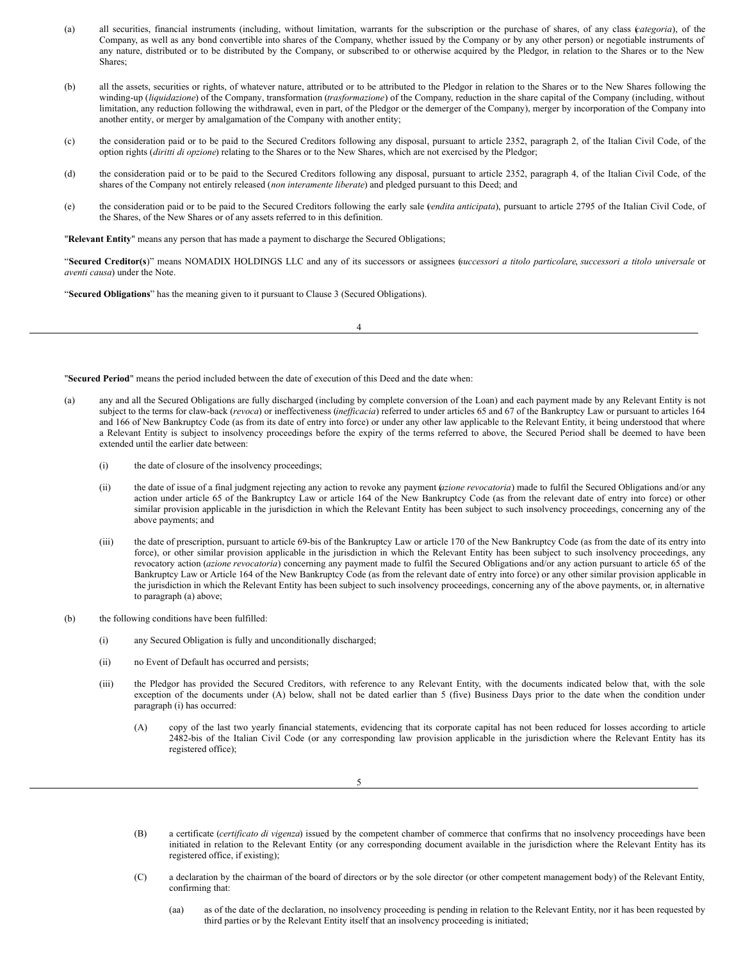- (a) all securities, financial instruments (including, without limitation, warrants for the subscription or the purchase of shares, of any class (*categoria*), of the Company, as well as any bond convertible into shares of the Company, whether issued by the Company or by any other person) or negotiable instruments of any nature, distributed or to be distributed by the Company, or subscribed to or otherwise acquired by the Pledgor, in relation to the Shares or to the New Shares;
- (b) all the assets, securities or rights, of whatever nature, attributed or to be attributed to the Pledgor in relation to the Shares or to the New Shares following the winding-up (*liquidazione*) of the Company, transformation (*trasformazione*) of the Company, reduction in the share capital of the Company (including, without limitation, any reduction following the withdrawal, even in part, of the Pledgor or the demerger of the Company), merger by incorporation of the Company into another entity, or merger by amalgamation of the Company with another entity;
- (c) the consideration paid or to be paid to the Secured Creditors following any disposal, pursuant to article 2352, paragraph 2, of the Italian Civil Code, of the option rights (*diritti di opzione*) relating to the Shares or to the New Shares, which are not exercised by the Pledgor;
- (d) the consideration paid or to be paid to the Secured Creditors following any disposal, pursuant to article 2352, paragraph 4, of the Italian Civil Code, of the shares of the Company not entirely released (*non interamente liberate*) and pledged pursuant to this Deed; and
- (e) the consideration paid or to be paid to the Secured Creditors following the early sale *v*(*endita anticipata*), pursuant to article 2795 of the Italian Civil Code, of the Shares, of the New Shares or of any assets referred to in this definition.

"**Relevant Entity**" means any person that has made a payment to discharge the Secured Obligations;

"Secured Creditor(s)" means NOMADIX HOLDINGS LLC and any of its successors or assignees (successori a titolo particolare, successori a titolo universale or *aventi causa*) under the Note.

"**Secured Obligations**" has the meaning given to it pursuant to Clause 3 (Secured Obligations).

4

"**Secured Period**" means the period included between the date of execution of this Deed and the date when:

- (a) any and all the Secured Obligations are fully discharged (including by complete conversion of the Loan) and each payment made by any Relevant Entity is not subject to the terms for claw-back (*revoca*) or ineffectiveness (*inef icacia*) referred to under articles 65 and 67 of the Bankruptcy Law or pursuant to articles 164 and 166 of New Bankruptcy Code (as from its date of entry into force) or under any other law applicable to the Relevant Entity, it being understood that where a Relevant Entity is subject to insolvency proceedings before the expiry of the terms referred to above, the Secured Period shall be deemed to have been extended until the earlier date between:
	- (i) the date of closure of the insolvency proceedings;
	- (ii) the date of issue of a final judgment rejecting any action to revoke any payment (*azione revocatoria*) made to fulfil the Secured Obligations and/or any action under article 65 of the Bankruptcy Law or article 164 of the New Bankruptcy Code (as from the relevant date of entry into force) or other similar provision applicable in the jurisdiction in which the Relevant Entity has been subject to such insolvency proceedings, concerning any of the above payments; and
	- (iii) the date of prescription, pursuant to article 69-bis of the Bankruptcy Law or article 170 of the New Bankruptcy Code (as from the date of its entry into force), or other similar provision applicable in the jurisdiction in which the Relevant Entity has been subject to such insolvency proceedings, any revocatory action (*azione revocatoria*) concerning any payment made to fulfil the Secured Obligations and/or any action pursuant to article 65 of the Bankruptcy Law or Article 164 of the New Bankruptcy Code (as from the relevant date of entry into force) or any other similar provision applicable in the jurisdiction in which the Relevant Entity has been subject to such insolvency proceedings, concerning any of the above payments, or, in alternative to paragraph (a) above;
- (b) the following conditions have been fulfilled:
	- (i) any Secured Obligation is fully and unconditionally discharged;
	- (ii) no Event of Default has occurred and persists;
	- (iii) the Pledgor has provided the Secured Creditors, with reference to any Relevant Entity, with the documents indicated below that, with the sole exception of the documents under (A) below, shall not be dated earlier than 5 (five) Business Days prior to the date when the condition under paragraph (i) has occurred:
		- (A) copy of the last two yearly financial statements, evidencing that its corporate capital has not been reduced for losses according to article 2482-bis of the Italian Civil Code (or any corresponding law provision applicable in the jurisdiction where the Relevant Entity has its registered office);

- (B) a certificate (*certificato di vigenza*) issued by the competent chamber of commerce that confirms that no insolvency proceedings have been initiated in relation to the Relevant Entity (or any corresponding document available in the jurisdiction where the Relevant Entity has its registered office, if existing);
- (C) a declaration by the chairman of the board of directors or by the sole director (or other competent management body) of the Relevant Entity, confirming that:
	- (aa) as of the date of the declaration, no insolvency proceeding is pending in relation to the Relevant Entity, nor it has been requested by third parties or by the Relevant Entity itself that an insolvency proceeding is initiated;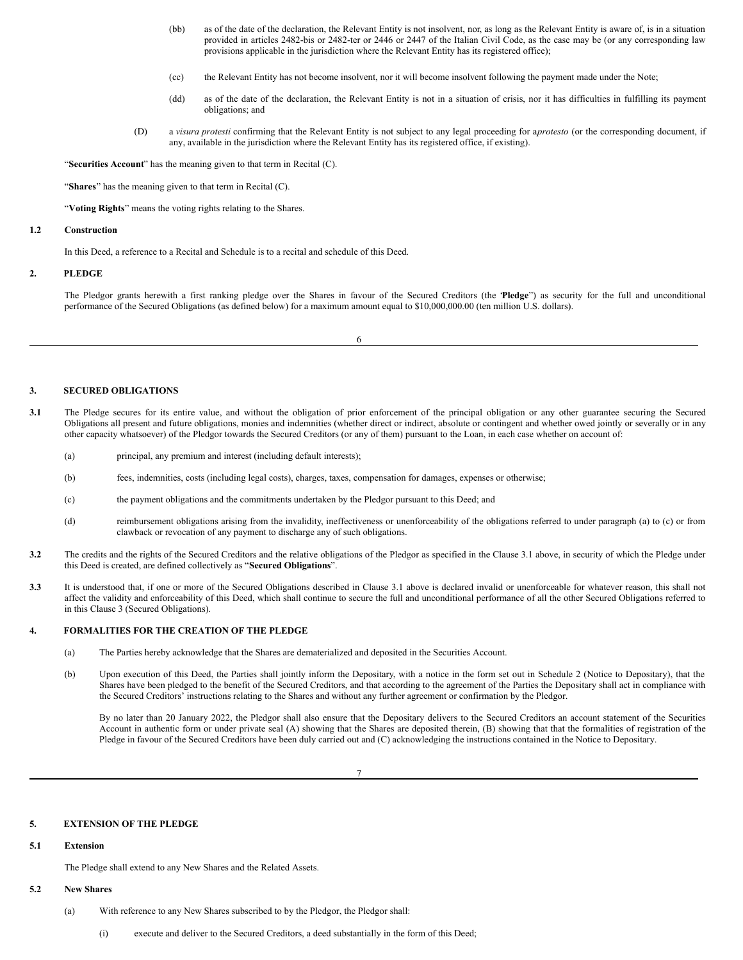- (bb) as of the date of the declaration, the Relevant Entity is not insolvent, nor, as long as the Relevant Entity is aware of, is in a situation provided in articles 2482-bis or 2482-ter or 2446 or 2447 of the Italian Civil Code, as the case may be (or any corresponding law provisions applicable in the jurisdiction where the Relevant Entity has its registered office);
- (cc) the Relevant Entity has not become insolvent, nor it will become insolvent following the payment made under the Note;
- (dd) as of the date of the declaration, the Relevant Entity is not in a situation of crisis, nor it has difficulties in fulfilling its payment obligations; and
- (D) a *visura protesti* confirming that the Relevant Entity is not subject to any legal proceeding for a*protesto* (or the corresponding document, if any, available in the jurisdiction where the Relevant Entity has its registered office, if existing).

"**Securities Account**" has the meaning given to that term in Recital (C).

"**Shares**" has the meaning given to that term in Recital (C).

"**Voting Rights**" means the voting rights relating to the Shares.

#### **1.2 Construction**

In this Deed, a reference to a Recital and Schedule is to a recital and schedule of this Deed.

# **2. PLEDGE**

The Pledgor grants herewith a first ranking pledge over the Shares in favour of the Secured Creditors (the "**Pledge**") as security for the full and unconditional performance of the Secured Obligations (as defined below) for a maximum amount equal to \$10,000,000.00 (ten million U.S. dollars).

6

#### **3. SECURED OBLIGATIONS**

- **3.1** The Pledge secures for its entire value, and without the obligation of prior enforcement of the principal obligation or any other guarantee securing the Secured Obligations all present and future obligations, monies and indemnities (whether direct or indirect, absolute or contingent and whether owed jointly or severally or in any other capacity whatsoever) of the Pledgor towards the Secured Creditors (or any of them) pursuant to the Loan, in each case whether on account of:
	- (a) principal, any premium and interest (including default interests);
	- (b) fees, indemnities, costs (including legal costs), charges, taxes, compensation for damages, expenses or otherwise;
	- (c) the payment obligations and the commitments undertaken by the Pledgor pursuant to this Deed; and
	- (d) reimbursement obligations arising from the invalidity, ineffectiveness or unenforceability of the obligations referred to under paragraph (a) to (c) or from clawback or revocation of any payment to discharge any of such obligations.
- **3.2** The credits and the rights of the Secured Creditors and the relative obligations of the Pledgor as specified in the Clause 3.1 above, in security of which the Pledge under this Deed is created, are defined collectively as "**Secured Obligations**".
- **3.3** It is understood that, if one or more of the Secured Obligations described in Clause 3.1 above is declared invalid or unenforceable for whatever reason, this shall not affect the validity and enforceability of this Deed, which shall continue to secure the full and unconditional performance of all the other Secured Obligations referred to in this Clause 3 (Secured Obligations).

### **4. FORMALITIES FOR THE CREATION OF THE PLEDGE**

- (a) The Parties hereby acknowledge that the Shares are dematerialized and deposited in the Securities Account.
- (b) Upon execution of this Deed, the Parties shall jointly inform the Depositary, with a notice in the form set out in Schedule 2 (Notice to Depositary), that the Shares have been pledged to the benefit of the Secured Creditors, and that according to the agreement of the Parties the Depositary shall act in compliance with the Secured Creditors' instructions relating to the Shares and without any further agreement or confirmation by the Pledgor.

By no later than 20 January 2022, the Pledgor shall also ensure that the Depositary delivers to the Secured Creditors an account statement of the Securities Account in authentic form or under private seal (A) showing that the Shares are deposited therein, (B) showing that that the formalities of registration of the Pledge in favour of the Secured Creditors have been duly carried out and (C) acknowledging the instructions contained in the Notice to Depositary.

7

#### **5. EXTENSION OF THE PLEDGE**

#### **5.1 Extension**

The Pledge shall extend to any New Shares and the Related Assets.

#### **5.2 New Shares**

- (a) With reference to any New Shares subscribed to by the Pledgor, the Pledgor shall:
	- (i) execute and deliver to the Secured Creditors, a deed substantially in the form of this Deed;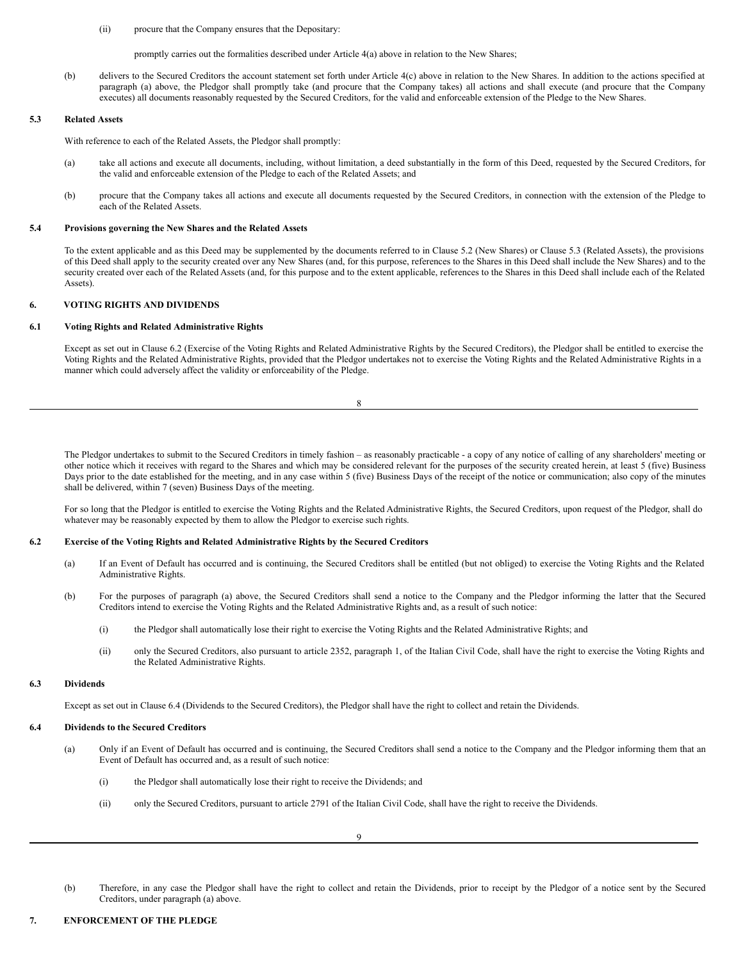(ii) procure that the Company ensures that the Depositary:

promptly carries out the formalities described under Article 4(a) above in relation to the New Shares;

(b) delivers to the Secured Creditors the account statement set forth under Article 4(c) above in relation to the New Shares. In addition to the actions specified at paragraph (a) above, the Pledgor shall promptly take (and procure that the Company takes) all actions and shall execute (and procure that the Company executes) all documents reasonably requested by the Secured Creditors, for the valid and enforceable extension of the Pledge to the New Shares.

# **5.3 Related Assets**

With reference to each of the Related Assets, the Pledgor shall promptly:

- (a) take all actions and execute all documents, including, without limitation, a deed substantially in the form of this Deed, requested by the Secured Creditors, for the valid and enforceable extension of the Pledge to each of the Related Assets; and
- (b) procure that the Company takes all actions and execute all documents requested by the Secured Creditors, in connection with the extension of the Pledge to each of the Related Assets.

#### **5.4 Provisions governing the New Shares and the Related Assets**

To the extent applicable and as this Deed may be supplemented by the documents referred to in Clause 5.2 (New Shares) or Clause 5.3 (Related Assets), the provisions of this Deed shall apply to the security created over any New Shares (and, for this purpose, references to the Shares in this Deed shall include the New Shares) and to the security created over each of the Related Assets (and, for this purpose and to the extent applicable, references to the Shares in this Deed shall include each of the Related Assets).

# **6. VOTING RIGHTS AND DIVIDENDS**

# **6.1 Voting Rights and Related Administrative Rights**

Except as set out in Clause 6.2 (Exercise of the Voting Rights and Related Administrative Rights by the Secured Creditors), the Pledgor shall be entitled to exercise the Voting Rights and the Related Administrative Rights, provided that the Pledgor undertakes not to exercise the Voting Rights and the Related Administrative Rights in a manner which could adversely affect the validity or enforceability of the Pledge.

8

The Pledgor undertakes to submit to the Secured Creditors in timely fashion – as reasonably practicable - a copy of any notice of calling of any shareholders' meeting or other notice which it receives with regard to the Shares and which may be considered relevant for the purposes of the security created herein, at least 5 (five) Business Days prior to the date established for the meeting, and in any case within 5 (five) Business Days of the receipt of the notice or communication; also copy of the minutes shall be delivered, within 7 (seven) Business Days of the meeting.

For so long that the Pledgor is entitled to exercise the Voting Rights and the Related Administrative Rights, the Secured Creditors, upon request of the Pledgor, shall do whatever may be reasonably expected by them to allow the Pledgor to exercise such rights.

### **6.2 Exercise of the Voting Rights and Related Administrative Rights by the Secured Creditors**

- (a) If an Event of Default has occurred and is continuing, the Secured Creditors shall be entitled (but not obliged) to exercise the Voting Rights and the Related Administrative Rights.
- (b) For the purposes of paragraph (a) above, the Secured Creditors shall send a notice to the Company and the Pledgor informing the latter that the Secured Creditors intend to exercise the Voting Rights and the Related Administrative Rights and, as a result of such notice:
	- (i) the Pledgor shall automatically lose their right to exercise the Voting Rights and the Related Administrative Rights; and
	- (ii) only the Secured Creditors, also pursuant to article 2352, paragraph 1, of the Italian Civil Code, shall have the right to exercise the Voting Rights and the Related Administrative Rights.

#### **6.3 Dividends**

Except as set out in Clause 6.4 (Dividends to the Secured Creditors), the Pledgor shall have the right to collect and retain the Dividends.

### **6.4 Dividends to the Secured Creditors**

- (a) Only if an Event of Default has occurred and is continuing, the Secured Creditors shall send a notice to the Company and the Pledgor informing them that an Event of Default has occurred and, as a result of such notice:
	- (i) the Pledgor shall automatically lose their right to receive the Dividends; and
	- (ii) only the Secured Creditors, pursuant to article 2791 of the Italian Civil Code, shall have the right to receive the Dividends.

(b) Therefore, in any case the Pledgor shall have the right to collect and retain the Dividends, prior to receipt by the Pledgor of a notice sent by the Secured Creditors, under paragraph (a) above.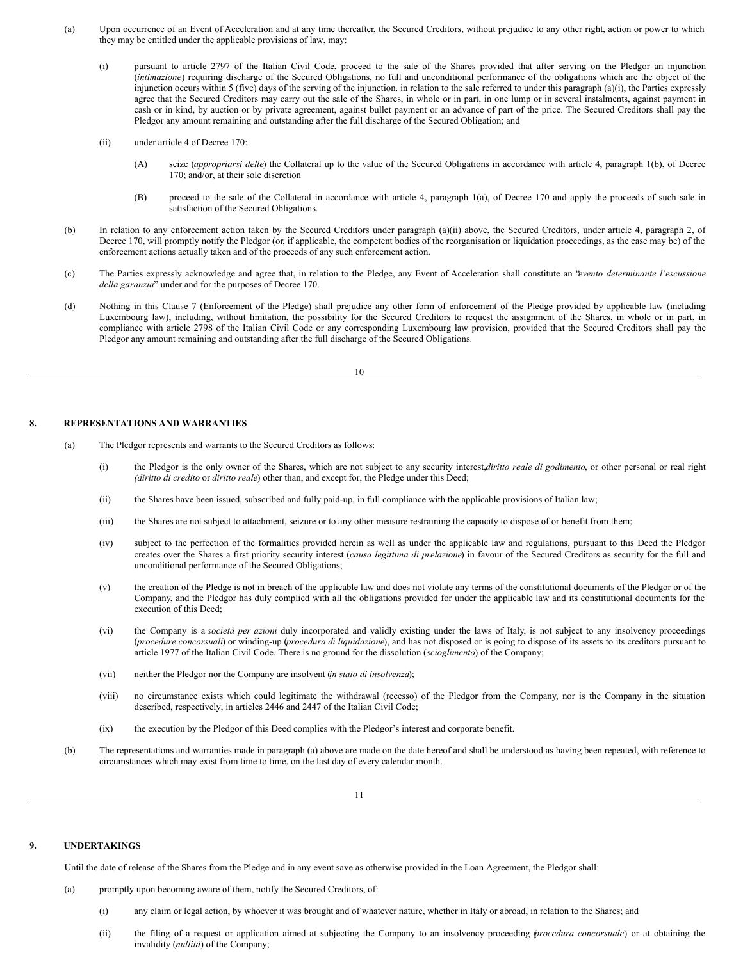- <span id="page-42-0"></span>(a) Upon occurrence of an Event of Acceleration and at any time thereafter, the Secured Creditors, without prejudice to any other right, action or power to which they may be entitled under the applicable provisions of law, may:
	- (i) pursuant to article 2797 of the Italian Civil Code, proceed to the sale of the Shares provided that after serving on the Pledgor an injunction (*intimazione*) requiring discharge of the Secured Obligations, no full and unconditional performance of the obligations which are the object of the injunction occurs within 5 (five) days of the serving of the injunction. in relation to the sale referred to under this paragraph (a)(i), the Parties expressly agree that the Secured Creditors may carry out the sale of the Shares, in whole or in part, in one lump or in several instalments, against payment in cash or in kind, by auction or by private agreement, against bullet payment or an advance of part of the price. The Secured Creditors shall pay the Pledgor any amount remaining and outstanding after the full discharge of the Secured Obligation; and
	- (ii) under article 4 of Decree 170:
		- (A) seize (*appropriarsi delle*) the Collateral up to the value of the Secured Obligations in accordance with article 4, paragraph 1(b), of Decree 170; and/or, at their sole discretion
		- (B) proceed to the sale of the Collateral in accordance with article 4, paragraph 1(a), of Decree 170 and apply the proceeds of such sale in satisfaction of the Secured Obligations.
- (b) In relation to any enforcement action taken by the Secured Creditors under paragraph (a)(ii) above, the Secured Creditors, under article 4, paragraph 2, of Decree 170, will promptly notify the Pledgor (or, if applicable, the competent bodies of the reorganisation or liquidation proceedings, as the case may be) of the enforcement actions actually taken and of the proceeds of any such enforcement action.
- (c) The Parties expressly acknowledge and agree that, in relation to the Pledge, any Event of Acceleration shall constitute an "*evento determinante l'escussione della garanzia*" under and for the purposes of Decree 170.
- (d) Nothing in this Clause 7 (Enforcement of the Pledge) shall prejudice any other form of enforcement of the Pledge provided by applicable law (including Luxembourg law), including, without limitation, the possibility for the Secured Creditors to request the assignment of the Shares, in whole or in part, in compliance with article 2798 of the Italian Civil Code or any corresponding Luxembourg law provision, provided that the Secured Creditors shall pay the Pledgor any amount remaining and outstanding after the full discharge of the Secured Obligations.

10

#### **8. REPRESENTATIONS AND WARRANTIES**

- (a) The Pledgor represents and warrants to the Secured Creditors as follows:
	- (i) the Pledgor is the only owner of the Shares, which are not subject to any security interest,*diritto reale di godimento*, or other personal or real right *(diritto di credito* or *diritto reale*) other than, and except for, the Pledge under this Deed;
	- (ii) the Shares have been issued, subscribed and fully paid-up, in full compliance with the applicable provisions of Italian law;
	- (iii) the Shares are not subject to attachment, seizure or to any other measure restraining the capacity to dispose of or benefit from them;
	- (iv) subject to the perfection of the formalities provided herein as well as under the applicable law and regulations, pursuant to this Deed the Pledgor creates over the Shares a first priority security interest (*causa legittima di prelazione*) in favour of the Secured Creditors as security for the full and unconditional performance of the Secured Obligations;
	- (v) the creation of the Pledge is not in breach of the applicable law and does not violate any terms of the constitutional documents of the Pledgor or of the Company, and the Pledgor has duly complied with all the obligations provided for under the applicable law and its constitutional documents for the execution of this Deed;
	- (vi) the Company is a *società per azioni* duly incorporated and validly existing under the laws of Italy, is not subject to any insolvency proceedings (*procedure concorsuali*) or winding-up (*procedura di liquidazione*), and has not disposed or is going to dispose of its assets to its creditors pursuant to article 1977 of the Italian Civil Code. There is no ground for the dissolution (*scioglimento*) of the Company;
	- (vii) neither the Pledgor nor the Company are insolvent (*in stato di insolvenza*);
	- (viii) no circumstance exists which could legitimate the withdrawal (recesso) of the Pledgor from the Company, nor is the Company in the situation described, respectively, in articles 2446 and 2447 of the Italian Civil Code;
	- (ix) the execution by the Pledgor of this Deed complies with the Pledgor's interest and corporate benefit.
- (b) The representations and warranties made in paragraph (a) above are made on the date hereof and shall be understood as having been repeated, with reference to circumstances which may exist from time to time, on the last day of every calendar month.

# **9. UNDERTAKINGS**

Until the date of release of the Shares from the Pledge and in any event save as otherwise provided in the Loan Agreement, the Pledgor shall:

- (a) promptly upon becoming aware of them, notify the Secured Creditors, of:
	- (i) any claim or legal action, by whoever it was brought and of whatever nature, whether in Italy or abroad, in relation to the Shares; and
	- (ii) the filing of a request or application aimed at subjecting the Company to an insolvency proceeding (*procedura concorsuale*) or at obtaining the invalidity (*nullità*) of the Company;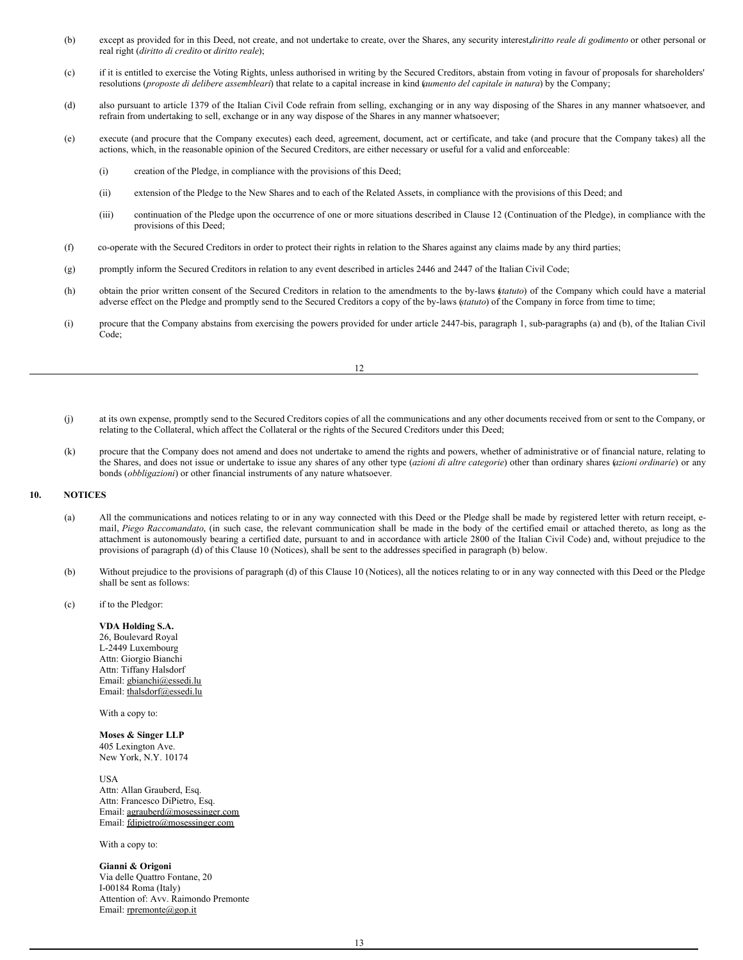- (b) except as provided for in this Deed, not create, and not undertake to create, over the Shares, any security interest,*diritto reale di godimento* or other personal or real right (*diritto di credito* or *diritto reale*);
- (c) if it is entitled to exercise the Voting Rights, unless authorised in writing by the Secured Creditors, abstain from voting in favour of proposals for shareholders' resolutions (*proposte di delibere assembleari*) that relate to a capital increase in kind (*aumento del capitale in natura*) by the Company;
- (d) also pursuant to article 1379 of the Italian Civil Code refrain from selling, exchanging or in any way disposing of the Shares in any manner whatsoever, and refrain from undertaking to sell, exchange or in any way dispose of the Shares in any manner whatsoever;
- (e) execute (and procure that the Company executes) each deed, agreement, document, act or certificate, and take (and procure that the Company takes) all the actions, which, in the reasonable opinion of the Secured Creditors, are either necessary or useful for a valid and enforceable:
	- (i) creation of the Pledge, in compliance with the provisions of this Deed;
	- (ii) extension of the Pledge to the New Shares and to each of the Related Assets, in compliance with the provisions of this Deed; and
	- (iii) continuation of the Pledge upon the occurrence of one or more situations described in Clause 12 (Continuation of the Pledge), in compliance with the provisions of this Deed;
- (f) co-operate with the Secured Creditors in order to protect their rights in relation to the Shares against any claims made by any third parties;
- (g) promptly inform the Secured Creditors in relation to any event described in articles 2446 and 2447 of the Italian Civil Code;
- (h) obtain the prior written consent of the Secured Creditors in relation to the amendments to the by-laws (*statuto*) of the Company which could have a material adverse effect on the Pledge and promptly send to the Secured Creditors a copy of the by-laws (*statuto*) of the Company in force from time to time;
- (i) procure that the Company abstains from exercising the powers provided for under article 2447-bis, paragraph 1, sub-paragraphs (a) and (b), of the Italian Civil Code;

- (j) at its own expense, promptly send to the Secured Creditors copies of all the communications and any other documents received from or sent to the Company, or relating to the Collateral, which affect the Collateral or the rights of the Secured Creditors under this Deed;
- (k) procure that the Company does not amend and does not undertake to amend the rights and powers, whether of administrative or of financial nature, relating to the Shares, and does not issue or undertake to issue any shares of any other type (*azioni di altre categorie*) other than ordinary shares (*azioni ordinarie*) or any bonds (*obbligazioni*) or other financial instruments of any nature whatsoever.

### **10. NOTICES**

- (a) All the communications and notices relating to or in any way connected with this Deed or the Pledge shall be made by registered letter with return receipt, email, *Piego Raccomandato*, (in such case, the relevant communication shall be made in the body of the certified email or attached thereto, as long as the attachment is autonomously bearing a certified date, pursuant to and in accordance with article 2800 of the Italian Civil Code) and, without prejudice to the provisions of paragraph (d) of this Clause 10 (Notices), shall be sent to the addresses specified in paragraph (b) below.
- (b) Without prejudice to the provisions of paragraph (d) of this Clause 10 (Notices), all the notices relating to or in any way connected with this Deed or the Pledge shall be sent as follows:
- (c) if to the Pledgor:

**VDA Holding S.A.** 26, Boulevard Royal L-2449 Luxembourg Attn: Giorgio Bianchi Attn: Tiffany Halsdorf Email: gbianchi@essedi.lu Email: thalsdorf@essedi.lu

With a copy to:

**Moses & Singer LLP** 405 Lexington Ave. New York, N.Y. 10174

USA Attn: Allan Grauberd, Esq. Attn: Francesco DiPietro, Esq. Email: agrauberd@mosessinger.com Email: fdipietro@mosessinger.com

With a copy to:

**Gianni & Origoni** Via delle Quattro Fontane, 20 I-00184 Roma (Italy) Attention of: Avv. Raimondo Premonte Email: rpremonte@gop.it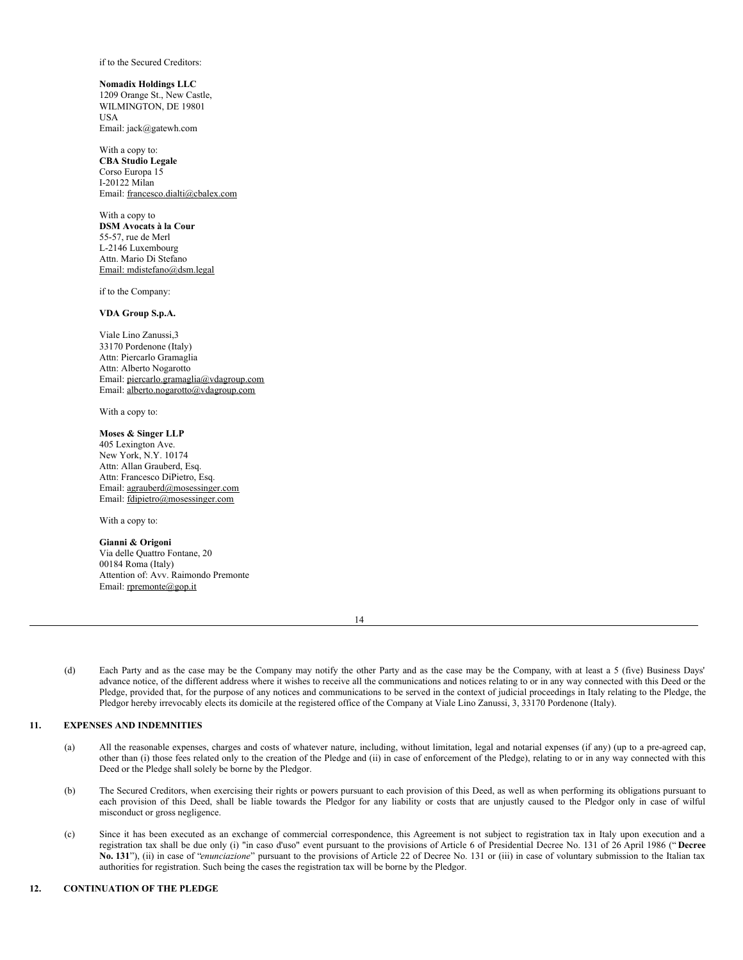if to the Secured Creditors:

**Nomadix Holdings LLC** 1209 Orange St., New Castle, WILMINGTON, DE 19801 **USA** Email: jack@gatewh.com

With a copy to: **CBA Studio Legale** Corso Europa 15 I-20122 Milan Email: francesco.dialti@cbalex.com

With a copy to **DSM Avocats à la Cour** 55-57, rue de Merl L-2146 Luxembourg Attn. Mario Di Stefano Email: mdistefano@dsm.legal

if to the Company:

# **VDA Group S.p.A.**

Viale Lino Zanussi,3 33170 Pordenone (Italy) Attn: Piercarlo Gramaglia Attn: Alberto Nogarotto Email: piercarlo.gramaglia@vdagroup.com Email: alberto.nogarotto@vdagroup.com

With a copy to:

# **Moses & Singer LLP**

405 Lexington Ave. New York, N.Y. 10174 Attn: Allan Grauberd, Esq. Attn: Francesco DiPietro, Esq. Email: agrauberd@mosessinger.com Email: fdipietro@mosessinger.com

With a copy to:

#### **Gianni & Origoni**

Via delle Quattro Fontane, 20 00184 Roma (Italy) Attention of: Avv. Raimondo Premonte Email: rpremonte@gop.it

(d) Each Party and as the case may be the Company may notify the other Party and as the case may be the Company, with at least a 5 (five) Business Days' advance notice, of the different address where it wishes to receive all the communications and notices relating to or in any way connected with this Deed or the Pledge, provided that, for the purpose of any notices and communications to be served in the context of judicial proceedings in Italy relating to the Pledge, the Pledgor hereby irrevocably elects its domicile at the registered office of the Company at Viale Lino Zanussi, 3, 33170 Pordenone (Italy).

# **11. EXPENSES AND INDEMNITIES**

- (a) All the reasonable expenses, charges and costs of whatever nature, including, without limitation, legal and notarial expenses (if any) (up to a pre-agreed cap, other than (i) those fees related only to the creation of the Pledge and (ii) in case of enforcement of the Pledge), relating to or in any way connected with this Deed or the Pledge shall solely be borne by the Pledgor.
- (b) The Secured Creditors, when exercising their rights or powers pursuant to each provision of this Deed, as well as when performing its obligations pursuant to each provision of this Deed, shall be liable towards the Pledgor for any liability or costs that are unjustly caused to the Pledgor only in case of wilful misconduct or gross negligence.
- (c) Since it has been executed as an exchange of commercial correspondence, this Agreement is not subject to registration tax in Italy upon execution and a registration tax shall be due only (i) "in caso d'uso" event pursuant to the provisions of Article 6 of Presidential Decree No. 131 of 26 April 1986 (" **Decree No. 131**"), (ii) in case of "*enunciazione*" pursuant to the provisions of Article 22 of Decree No. 131 or (iii) in case of voluntary submission to the Italian tax authorities for registration. Such being the cases the registration tax will be borne by the Pledgor.

#### **12. CONTINUATION OF THE PLEDGE**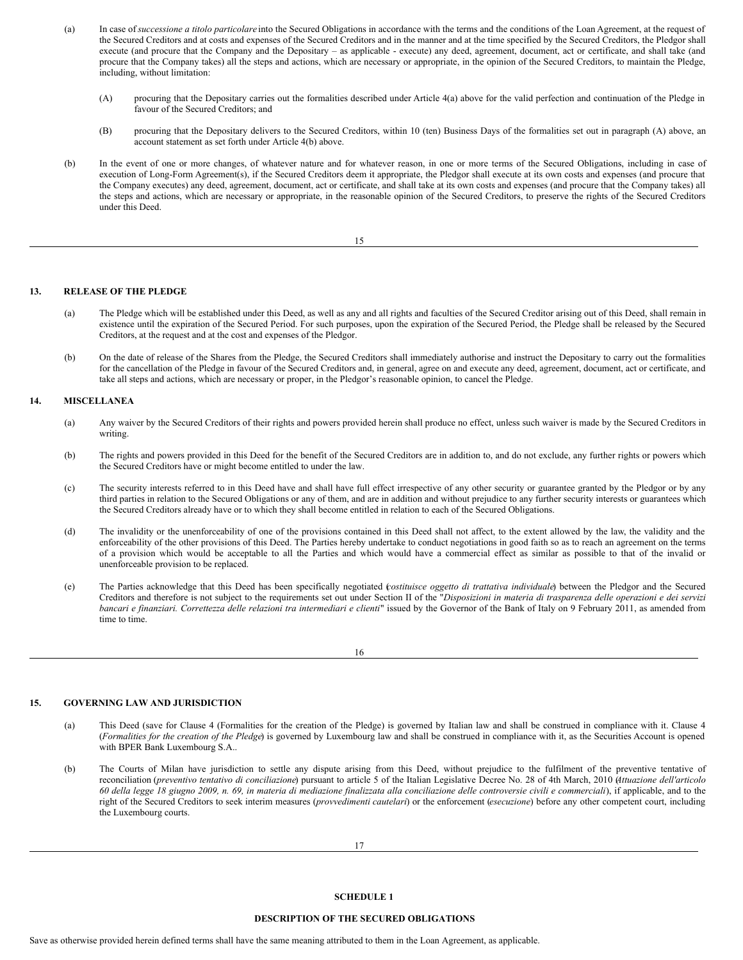- (a) In case of *successione a titolo particolare* into the Secured Obligations in accordance with the terms and the conditions of the Loan Agreement, at the request of the Secured Creditors and at costs and expenses of the Secured Creditors and in the manner and at the time specified by the Secured Creditors, the Pledgor shall execute (and procure that the Company and the Depositary – as applicable - execute) any deed, agreement, document, act or certificate, and shall take (and procure that the Company takes) all the steps and actions, which are necessary or appropriate, in the opinion of the Secured Creditors, to maintain the Pledge, including, without limitation:
	- (A) procuring that the Depositary carries out the formalities described under Article 4(a) above for the valid perfection and continuation of the Pledge in favour of the Secured Creditors; and
	- (B) procuring that the Depositary delivers to the Secured Creditors, within 10 (ten) Business Days of the formalities set out in paragraph (A) above, an account statement as set forth under Article 4(b) above.
- (b) In the event of one or more changes, of whatever nature and for whatever reason, in one or more terms of the Secured Obligations, including in case of execution of Long-Form Agreement(s), if the Secured Creditors deem it appropriate, the Pledgor shall execute at its own costs and expenses (and procure that the Company executes) any deed, agreement, document, act or certificate, and shall take at its own costs and expenses (and procure that the Company takes) all the steps and actions, which are necessary or appropriate, in the reasonable opinion of the Secured Creditors, to preserve the rights of the Secured Creditors under this Deed.

15

# **13. RELEASE OF THE PLEDGE**

- (a) The Pledge which will be established under this Deed, as well as any and all rights and faculties of the Secured Creditor arising out of this Deed, shall remain in existence until the expiration of the Secured Period. For such purposes, upon the expiration of the Secured Period, the Pledge shall be released by the Secured Creditors, at the request and at the cost and expenses of the Pledgor.
- (b) On the date of release of the Shares from the Pledge, the Secured Creditors shall immediately authorise and instruct the Depositary to carry out the formalities for the cancellation of the Pledge in favour of the Secured Creditors and, in general, agree on and execute any deed, agreement, document, act or certificate, and take all steps and actions, which are necessary or proper, in the Pledgor's reasonable opinion, to cancel the Pledge.

# **14. MISCELLANEA**

- (a) Any waiver by the Secured Creditors of their rights and powers provided herein shall produce no effect, unless such waiver is made by the Secured Creditors in writing.
- (b) The rights and powers provided in this Deed for the benefit of the Secured Creditors are in addition to, and do not exclude, any further rights or powers which the Secured Creditors have or might become entitled to under the law.
- (c) The security interests referred to in this Deed have and shall have full effect irrespective of any other security or guarantee granted by the Pledgor or by any third parties in relation to the Secured Obligations or any of them, and are in addition and without prejudice to any further security interests or guarantees which the Secured Creditors already have or to which they shall become entitled in relation to each of the Secured Obligations.
- (d) The invalidity or the unenforceability of one of the provisions contained in this Deed shall not affect, to the extent allowed by the law, the validity and the enforceability of the other provisions of this Deed. The Parties hereby undertake to conduct negotiations in good faith so as to reach an agreement on the terms of a provision which would be acceptable to all the Parties and which would have a commercial effect as similar as possible to that of the invalid or unenforceable provision to be replaced.
- (e) The Parties acknowledge that this Deed has been specifically negotiated (*costituisce oggetto di trattativa individuale*) between the Pledgor and the Secured Creditors and therefore is not subject to the requirements set out under Section II of the "Disposizioni in materia di trasparenza delle operazioni e dei servizi bancari e finanziari. Correttezza delle relazioni tra intermediari e clienti" issued by the Governor of the Bank of Italy on 9 February 2011, as amended from time to time.

16

# **15. GOVERNING LAW AND JURISDICTION**

- (a) This Deed (save for Clause 4 (Formalities for the creation of the Pledge) is governed by Italian law and shall be construed in compliance with it. Clause 4 (*Formalities for the creation of the Pledge*) is governed by Luxembourg law and shall be construed in compliance with it, as the Securities Account is opened with BPER Bank Luxembourg S.A..
- (b) The Courts of Milan have jurisdiction to settle any dispute arising from this Deed, without prejudice to the fulfilment of the preventive tentative of reconciliation (*preventivo tentativo di conciliazione*) pursuant to article 5 of the Italian Legislative Decree No. 28 of 4th March, 2010 (*Attuazione dell'articolo* 60 della legge 18 giugno 2009, n. 69, in materia di mediazione finalizzata alla conciliazione delle controversie civili e commerciali), if applicable, and to the right of the Secured Creditors to seek interim measures (*provvedimenti cautelari*) or the enforcement (*esecuzione*) before any other competent court, including the Luxembourg courts.

### **SCHEDULE 1**

# **DESCRIPTION OF THE SECURED OBLIGATIONS**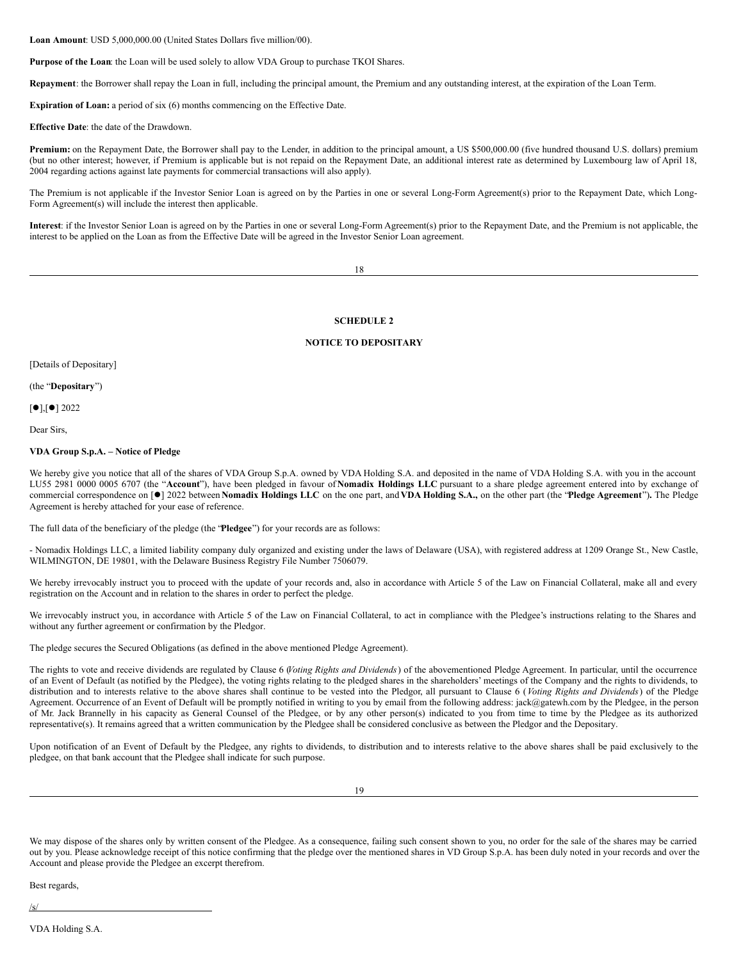**Loan Amount**: USD 5,000,000.00 (United States Dollars five million/00).

**Purpose of the Loan**: the Loan will be used solely to allow VDA Group to purchase TKOI Shares.

**Repayment**: the Borrower shall repay the Loan in full, including the principal amount, the Premium and any outstanding interest, at the expiration of the Loan Term.

**Expiration of Loan:** a period of six (6) months commencing on the Effective Date.

**Effective Date**: the date of the Drawdown.

**Premium:** on the Repayment Date, the Borrower shall pay to the Lender, in addition to the principal amount, a US \$500,000.00 (five hundred thousand U.S. dollars) premium (but no other interest; however, if Premium is applicable but is not repaid on the Repayment Date, an additional interest rate as determined by Luxembourg law of April 18, 2004 regarding actions against late payments for commercial transactions will also apply).

The Premium is not applicable if the Investor Senior Loan is agreed on by the Parties in one or several Long-Form Agreement(s) prior to the Repayment Date, which Long-Form Agreement(s) will include the interest then applicable.

**Interest**: if the Investor Senior Loan is agreed on by the Parties in one or several Long-Form Agreement(s) prior to the Repayment Date, and the Premium is not applicable, the interest to be applied on the Loan as from the Effective Date will be agreed in the Investor Senior Loan agreement.

18

# **SCHEDULE 2**

### **NOTICE TO DEPOSITARY**

[Details of Depositary]

(the "**Depositary**")

 $[•]$ , $[•]$  2022

Dear Sirs,

# **VDA Group S.p.A. – Notice of Pledge**

We hereby give you notice that all of the shares of VDA Group S.p.A. owned by VDA Holding S.A. and deposited in the name of VDA Holding S.A. with you in the account LU55 2981 0000 0005 6707 (the "**Account**"), have been pledged in favour of **Nomadix Holdings LLC** pursuant to a share pledge agreement entered into by exchange of commercial correspondence on [l] 2022 between **Nomadix Holdings LLC** on the one part, and **VDA Holding S.A.,** on the other part (the "**Pledge Agreement**")**.** The Pledge Agreement is hereby attached for your ease of reference.

The full data of the beneficiary of the pledge (the "**Pledgee**") for your records are as follows:

- Nomadix Holdings LLC, a limited liability company duly organized and existing under the laws of Delaware (USA), with registered address at 1209 Orange St., New Castle, WILMINGTON, DE 19801, with the Delaware Business Registry File Number 7506079.

We hereby irrevocably instruct you to proceed with the update of your records and, also in accordance with Article 5 of the Law on Financial Collateral, make all and every registration on the Account and in relation to the shares in order to perfect the pledge.

We irrevocably instruct you, in accordance with Article 5 of the Law on Financial Collateral, to act in compliance with the Pledgee's instructions relating to the Shares and without any further agreement or confirmation by the Pledgor.

The pledge secures the Secured Obligations (as defined in the above mentioned Pledge Agreement).

The rights to vote and receive dividends are regulated by Clause 6 (*Voting Rights and Dividends*) of the abovementioned Pledge Agreement. In particular, until the occurrence of an Event of Default (as notified by the Pledgee), the voting rights relating to the pledged shares in the shareholders' meetings of the Company and the rights to dividends, to distribution and to interests relative to the above shares shall continue to be vested into the Pledgor, all pursuant to Clause 6 (*Voting Rights and Dividends*) of the Pledge Agreement. Occurrence of an Event of Default will be promptly notified in writing to you by email from the following address: jack@gatewh.com by the Pledgee, in the person of Mr. Jack Brannelly in his capacity as General Counsel of the Pledgee, or by any other person(s) indicated to you from time to time by the Pledgee as its authorized representative(s). It remains agreed that a written communication by the Pledgee shall be considered conclusive as between the Pledgor and the Depositary.

Upon notification of an Event of Default by the Pledgee, any rights to dividends, to distribution and to interests relative to the above shares shall be paid exclusively to the pledgee, on that bank account that the Pledgee shall indicate for such purpose.

We may dispose of the shares only by written consent of the Pledgee. As a consequence, failing such consent shown to you, no order for the sale of the shares may be carried out by you. Please acknowledge receipt of this notice confirming that the pledge over the mentioned shares in VD Group S.p.A. has been duly noted in your records and over the Account and please provide the Pledgee an excerpt therefrom.

Best regards,

/s/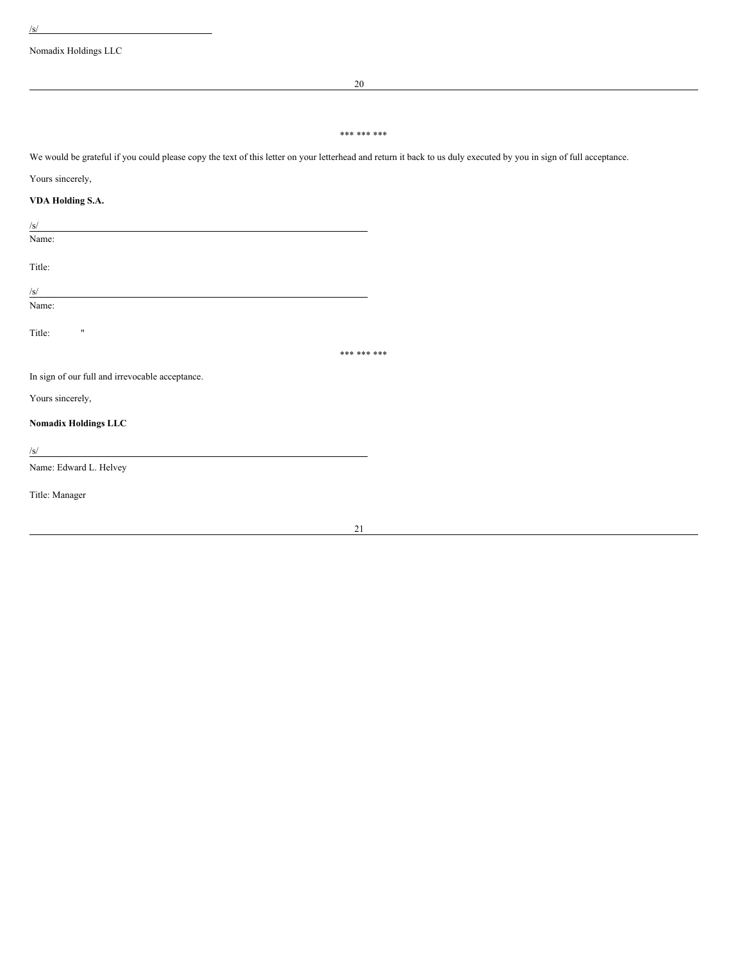Nomadix Holdings LLC

20

# \*\*\* \*\*\* \*\*\*

We would be grateful if you could please copy the text of this letter on your letterhead and return it back to us duly executed by you in sign of full acceptance.

# Yours sincerely,

# **VDA Holding S.A.**

/s/

Name:

Title:

 $/S/$ Name:

Title: "

\*\*\* \*\*\* \*\*\*

In sign of our full and irrevocable acceptance.

Yours sincerely,

# **Nomadix Holdings LLC**

 $\frac{1}{s}$ 

Name: Edward L. Helvey

Title: Manager

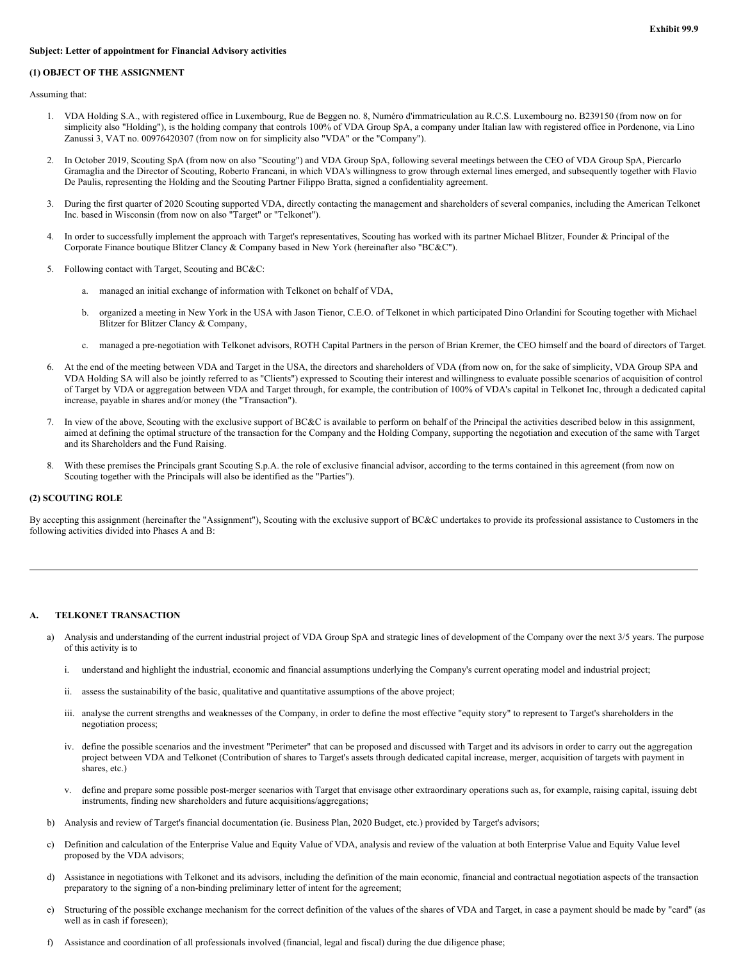# **Subject: Letter of appointment for Financial Advisory activities**

# **(1) OBJECT OF THE ASSIGNMENT**

Assuming that:

- 1. VDA Holding S.A., with registered office in Luxembourg, Rue de Beggen no. 8, Numéro d'immatriculation au R.C.S. Luxembourg no. B239150 (from now on for simplicity also "Holding"), is the holding company that controls 100% of VDA Group SpA, a company under Italian law with registered office in Pordenone, via Lino Zanussi 3, VAT no. 00976420307 (from now on for simplicity also "VDA" or the "Company").
- 2. In October 2019, Scouting SpA (from now on also "Scouting") and VDA Group SpA, following several meetings between the CEO of VDA Group SpA, Piercarlo Gramaglia and the Director of Scouting, Roberto Francani, in which VDA's willingness to grow through external lines emerged, and subsequently together with Flavio De Paulis, representing the Holding and the Scouting Partner Filippo Bratta, signed a confidentiality agreement.
- 3. During the first quarter of 2020 Scouting supported VDA, directly contacting the management and shareholders of several companies, including the American Telkonet Inc. based in Wisconsin (from now on also "Target" or "Telkonet").
- 4. In order to successfully implement the approach with Target's representatives, Scouting has worked with its partner Michael Blitzer, Founder & Principal of the Corporate Finance boutique Blitzer Clancy & Company based in New York (hereinafter also "BC&C").
- 5. Following contact with Target, Scouting and BC&C:
	- a. managed an initial exchange of information with Telkonet on behalf of VDA,
	- b. organized a meeting in New York in the USA with Jason Tienor, C.E.O. of Telkonet in which participated Dino Orlandini for Scouting together with Michael Blitzer for Blitzer Clancy & Company,
	- c. managed a pre-negotiation with Telkonet advisors, ROTH Capital Partners in the person of Brian Kremer, the CEO himself and the board of directors of Target.
- 6. At the end of the meeting between VDA and Target in the USA, the directors and shareholders of VDA (from now on, for the sake of simplicity, VDA Group SPA and VDA Holding SA will also be jointly referred to as "Clients") expressed to Scouting their interest and willingness to evaluate possible scenarios of acquisition of control of Target by VDA or aggregation between VDA and Target through, for example, the contribution of 100% of VDA's capital in Telkonet Inc, through a dedicated capital increase, payable in shares and/or money (the "Transaction").
- 7. In view of the above, Scouting with the exclusive support of BC&C is available to perform on behalf of the Principal the activities described below in this assignment, aimed at defining the optimal structure of the transaction for the Company and the Holding Company, supporting the negotiation and execution of the same with Target and its Shareholders and the Fund Raising.
- 8. With these premises the Principals grant Scouting S.p.A. the role of exclusive financial advisor, according to the terms contained in this agreement (from now on Scouting together with the Principals will also be identified as the "Parties").

# **(2) SCOUTING ROLE**

By accepting this assignment (hereinafter the "Assignment"), Scouting with the exclusive support of BC&C undertakes to provide its professional assistance to Customers in the following activities divided into Phases A and B:

# **A. TELKONET TRANSACTION**

- a) Analysis and understanding of the current industrial project of VDA Group SpA and strategic lines of development of the Company over the next 3/5 years. The purpose of this activity is to
	- i. understand and highlight the industrial, economic and financial assumptions underlying the Company's current operating model and industrial project;
	- ii. assess the sustainability of the basic, qualitative and quantitative assumptions of the above project;
	- iii. analyse the current strengths and weaknesses of the Company, in order to define the most effective "equity story" to represent to Target's shareholders in the negotiation process;
	- iv. define the possible scenarios and the investment "Perimeter" that can be proposed and discussed with Target and its advisors in order to carry out the aggregation project between VDA and Telkonet (Contribution of shares to Target's assets through dedicated capital increase, merger, acquisition of targets with payment in shares, etc.)
	- v. define and prepare some possible post-merger scenarios with Target that envisage other extraordinary operations such as, for example, raising capital, issuing debt instruments, finding new shareholders and future acquisitions/aggregations;
- b) Analysis and review of Target's financial documentation (ie. Business Plan, 2020 Budget, etc.) provided by Target's advisors;
- c) Definition and calculation of the Enterprise Value and Equity Value of VDA, analysis and review of the valuation at both Enterprise Value and Equity Value level proposed by the VDA advisors;
- d) Assistance in negotiations with Telkonet and its advisors, including the definition of the main economic, financial and contractual negotiation aspects of the transaction preparatory to the signing of a non-binding preliminary letter of intent for the agreement;
- e) Structuring of the possible exchange mechanism for the correct definition of the values of the shares of VDA and Target, in case a payment should be made by "card" (as well as in cash if foreseen);
- f) Assistance and coordination of all professionals involved (financial, legal and fiscal) during the due diligence phase;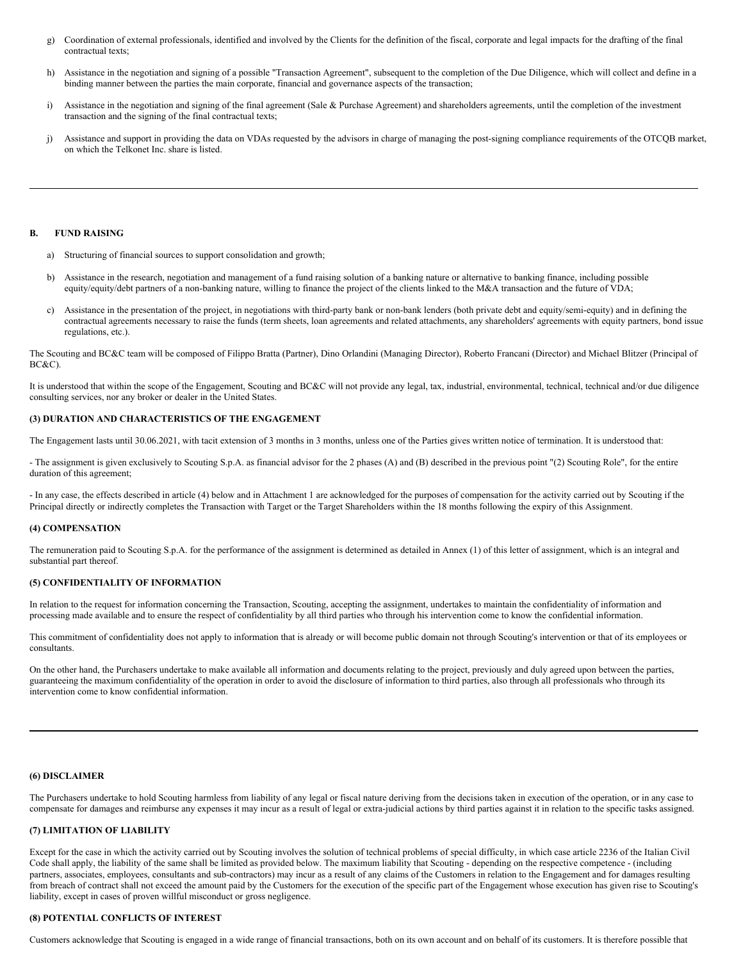- <span id="page-49-0"></span>g) Coordination of external professionals, identified and involved by the Clients for the definition of the fiscal, corporate and legal impacts for the drafting of the final contractual texts;
- h) Assistance in the negotiation and signing of a possible "Transaction Agreement", subsequent to the completion of the Due Diligence, which will collect and define in a binding manner between the parties the main corporate, financial and governance aspects of the transaction;
- i) Assistance in the negotiation and signing of the final agreement (Sale & Purchase Agreement) and shareholders agreements, until the completion of the investment transaction and the signing of the final contractual texts;
- j) Assistance and support in providing the data on VDAs requested by the advisors in charge of managing the post-signing compliance requirements of the OTCQB market, on which the Telkonet Inc. share is listed.

#### **B. FUND RAISING**

- a) Structuring of financial sources to support consolidation and growth;
- b) Assistance in the research, negotiation and management of a fund raising solution of a banking nature or alternative to banking finance, including possible equity/equity/debt partners of a non-banking nature, willing to finance the project of the clients linked to the M&A transaction and the future of VDA;
- c) Assistance in the presentation of the project, in negotiations with third-party bank or non-bank lenders (both private debt and equity/semi-equity) and in defining the contractual agreements necessary to raise the funds (term sheets, loan agreements and related attachments, any shareholders' agreements with equity partners, bond issue regulations, etc.).

The Scouting and BC&C team will be composed of Filippo Bratta (Partner), Dino Orlandini (Managing Director), Roberto Francani (Director) and Michael Blitzer (Principal of BC&C).

It is understood that within the scope of the Engagement, Scouting and BC&C will not provide any legal, tax, industrial, environmental, technical, technical and/or due diligence consulting services, nor any broker or dealer in the United States.

# **(3) DURATION AND CHARACTERISTICS OF THE ENGAGEMENT**

The Engagement lasts until 30.06.2021, with tacit extension of 3 months in 3 months, unless one of the Parties gives written notice of termination. It is understood that:

- The assignment is given exclusively to Scouting S.p.A. as financial advisor for the 2 phases (A) and (B) described in the previous point "(2) Scouting Role", for the entire duration of this agreement;

- In any case, the effects described in article (4) below and in Attachment 1 are acknowledged for the purposes of compensation for the activity carried out by Scouting if the Principal directly or indirectly completes the Transaction with Target or the Target Shareholders within the 18 months following the expiry of this Assignment.

#### **(4) COMPENSATION**

The remuneration paid to Scouting S.p.A. for the performance of the assignment is determined as detailed in Annex (1) of this letter of assignment, which is an integral and substantial part thereof.

# **(5) CONFIDENTIALITY OF INFORMATION**

In relation to the request for information concerning the Transaction, Scouting, accepting the assignment, undertakes to maintain the confidentiality of information and processing made available and to ensure the respect of confidentiality by all third parties who through his intervention come to know the confidential information.

This commitment of confidentiality does not apply to information that is already or will become public domain not through Scouting's intervention or that of its employees or consultants.

On the other hand, the Purchasers undertake to make available all information and documents relating to the project, previously and duly agreed upon between the parties, guaranteeing the maximum confidentiality of the operation in order to avoid the disclosure of information to third parties, also through all professionals who through its intervention come to know confidential information.

#### **(6) DISCLAIMER**

The Purchasers undertake to hold Scouting harmless from liability of any legal or fiscal nature deriving from the decisions taken in execution of the operation, or in any case to compensate for damages and reimburse any expenses it may incur as a result of legal or extra-judicial actions by third parties against it in relation to the specific tasks assigned.

# **(7) LIMITATION OF LIABILITY**

Except for the case in which the activity carried out by Scouting involves the solution of technical problems of special difficulty, in which case article 2236 of the Italian Civil Code shall apply, the liability of the same shall be limited as provided below. The maximum liability that Scouting - depending on the respective competence - (including partners, associates, employees, consultants and sub-contractors) may incur as a result of any claims of the Customers in relation to the Engagement and for damages resulting from breach of contract shall not exceed the amount paid by the Customers for the execution of the specific part of the Engagement whose execution has given rise to Scouting's liability, except in cases of proven willful misconduct or gross negligence.

# **(8) POTENTIAL CONFLICTS OF INTEREST**

Customers acknowledge that Scouting is engaged in a wide range of financial transactions, both on its own account and on behalf of its customers. It is therefore possible that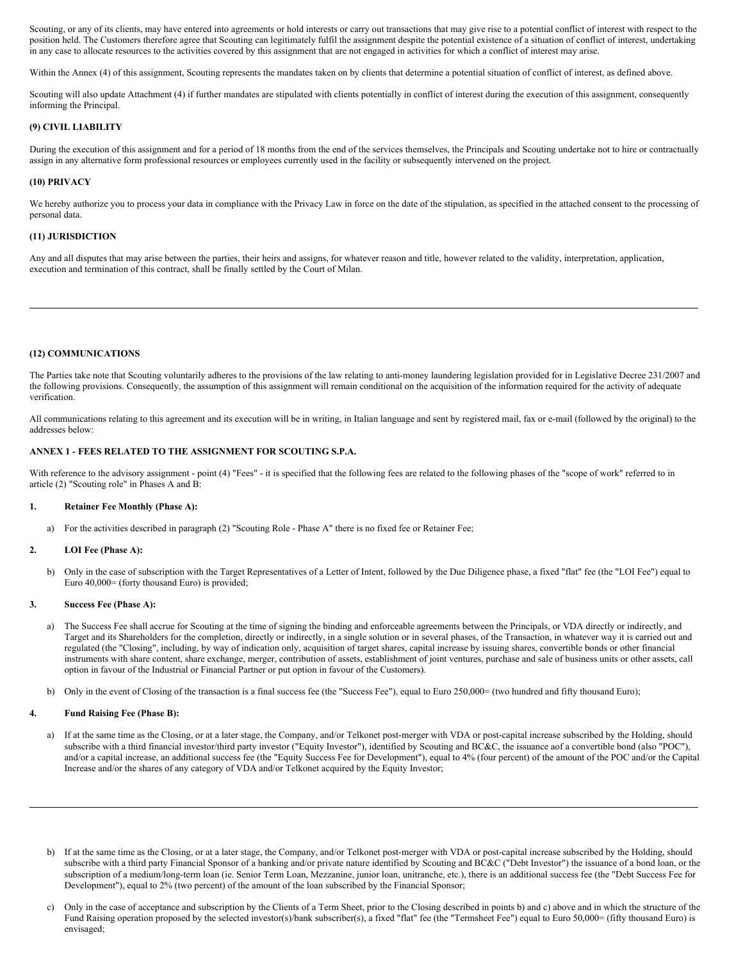Scouting, or any of its clients, may have entered into agreements or hold interests or carry out transactions that may give rise to a potential conflict of interest with respect to the position held. The Customers therefore agree that Scouting can legitimately fulfil the assignment despite the potential existence of a situation of conflict of interest, undertaking in any case to allocate resources to the activities covered by this assignment that are not engaged in activities for which a conflict of interest may arise.

Within the Annex (4) of this assignment, Scouting represents the mandates taken on by clients that determine a potential situation of conflict of interest, as defined above.

Scouting will also update Attachment (4) if further mandates are stipulated with clients potentially in conflict of interest during the execution of this assignment, consequently informing the Principal.

# **(9) CIVIL LIABILITY**

During the execution of this assignment and for a period of 18 months from the end of the services themselves, the Principals and Scouting undertake not to hire or contractually assign in any alternative form professional resources or employees currently used in the facility or subsequently intervened on the project.

#### **(10) PRIVACY**

We hereby authorize you to process your data in compliance with the Privacy Law in force on the date of the stipulation, as specified in the attached consent to the processing of personal data.

# **(11) JURISDICTION**

Any and all disputes that may arise between the parties, their heirs and assigns, for whatever reason and title, however related to the validity, interpretation, application, execution and termination of this contract, shall be finally settled by the Court of Milan.

### **(12) COMMUNICATIONS**

The Parties take note that Scouting voluntarily adheres to the provisions of the law relating to anti-money laundering legislation provided for in Legislative Decree 231/2007 and the following provisions. Consequently, the assumption of this assignment will remain conditional on the acquisition of the information required for the activity of adequate verification.

All communications relating to this agreement and its execution will be in writing, in Italian language and sent by registered mail, fax or e-mail (followed by the original) to the addresses below:

# **ANNEX 1 - FEES RELATED TO THE ASSIGNMENT FOR SCOUTING S.P.A.**

With reference to the advisory assignment - point (4) "Fees" - it is specified that the following fees are related to the following phases of the "scope of work" referred to in article (2) "Scouting role" in Phases A and B:

# **1. Retainer Fee Monthly (Phase A):**

a) For the activities described in paragraph (2) "Scouting Role - Phase A" there is no fixed fee or Retainer Fee;

#### **2. LOI Fee (Phase A):**

b) Only in the case of subscription with the Target Representatives of a Letter of Intent, followed by the Due Diligence phase, a fixed "flat" fee (the "LOI Fee") equal to Euro 40,000= (forty thousand Euro) is provided;

#### **3. Success Fee (Phase A):**

- a) The Success Fee shall accrue for Scouting at the time of signing the binding and enforceable agreements between the Principals, or VDA directly or indirectly, and Target and its Shareholders for the completion, directly or indirectly, in a single solution or in several phases, of the Transaction, in whatever way it is carried out and regulated (the "Closing", including, by way of indication only, acquisition of target shares, capital increase by issuing shares, convertible bonds or other financial instruments with share content, share exchange, merger, contribution of assets, establishment of joint ventures, purchase and sale of business units or other assets, call option in favour of the Industrial or Financial Partner or put option in favour of the Customers).
- b) Only in the event of Closing of the transaction is a final success fee (the "Success Fee"), equal to Euro 250,000= (two hundred and fifty thousand Euro);

### **4. Fund Raising Fee (Phase B):**

- a) If at the same time as the Closing, or at a later stage, the Company, and/or Telkonet post-merger with VDA or post-capital increase subscribed by the Holding, should subscribe with a third financial investor/third party investor ("Equity Investor"), identified by Scouting and BC&C, the issuance aof a convertible bond (also "POC"), and/or a capital increase, an additional success fee (the "Equity Success Fee for Development"), equal to 4% (four percent) of the amount of the POC and/or the Capital Increase and/or the shares of any category of VDA and/or Telkonet acquired by the Equity Investor;
- b) If at the same time as the Closing, or at a later stage, the Company, and/or Telkonet post-merger with VDA or post-capital increase subscribed by the Holding, should subscribe with a third party Financial Sponsor of a banking and/or private nature identified by Scouting and BC&C ("Debt Investor") the issuance of a bond loan, or the subscription of a medium/long-term loan (ie. Senior Term Loan, Mezzanine, junior loan, unitranche, etc.), there is an additional success fee (the "Debt Success Fee for Development"), equal to 2% (two percent) of the amount of the loan subscribed by the Financial Sponsor;
- c) Only in the case of acceptance and subscription by the Clients of a Term Sheet, prior to the Closing described in points b) and c) above and in which the structure of the Fund Raising operation proposed by the selected investor(s)/bank subscriber(s), a fixed "flat" fee (the "Termsheet Fee") equal to Euro 50,000= (fifty thousand Euro) is envisaged;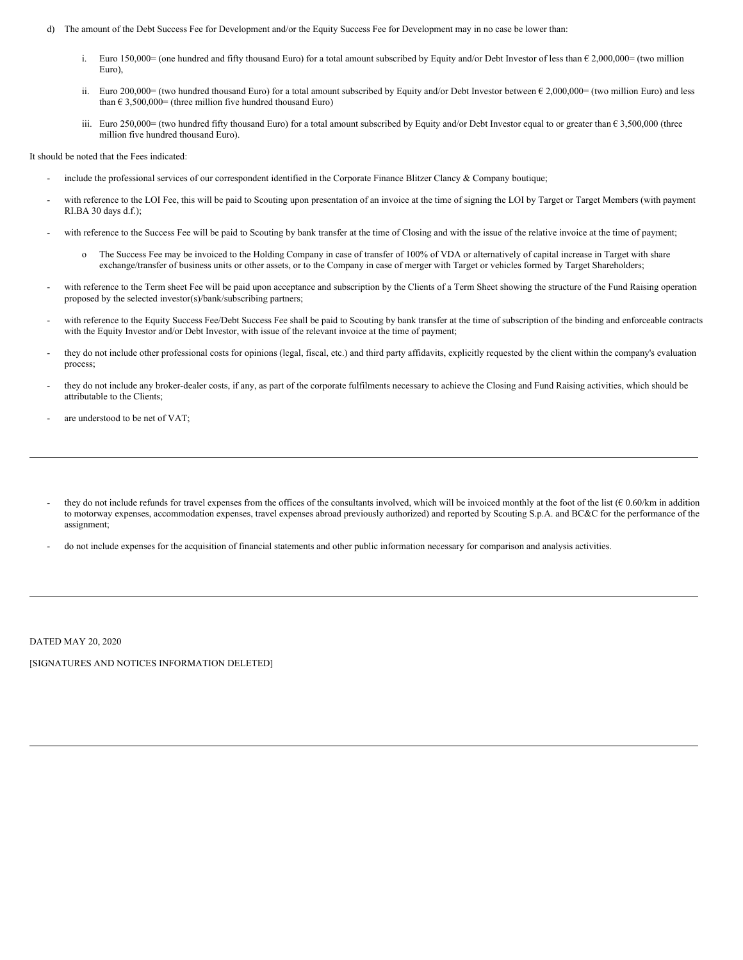- d) The amount of the Debt Success Fee for Development and/or the Equity Success Fee for Development may in no case be lower than:
	- i. Euro 150,000= (one hundred and fifty thousand Euro) for a total amount subscribed by Equity and/or Debt Investor of less than € 2,000,000= (two million Euro),
	- ii. Euro 200,000= (two hundred thousand Euro) for a total amount subscribed by Equity and/or Debt Investor between  $\epsilon$  2,000,000= (two million Euro) and less than  $\epsilon$  3,500,000= (three million five hundred thousand Euro)
	- iii. Euro 250,000= (two hundred fifty thousand Euro) for a total amount subscribed by Equity and/or Debt Investor equal to or greater than  $\epsilon$  3,500,000 (three million five hundred thousand Euro).

It should be noted that the Fees indicated:

- include the professional services of our correspondent identified in the Corporate Finance Blitzer Clancy & Company boutique;
- with reference to the LOI Fee, this will be paid to Scouting upon presentation of an invoice at the time of signing the LOI by Target or Target Members (with payment RI.BA 30 days d.f.);
- with reference to the Success Fee will be paid to Scouting by bank transfer at the time of Closing and with the issue of the relative invoice at the time of payment;
	- o The Success Fee may be invoiced to the Holding Company in case of transfer of 100% of VDA or alternatively of capital increase in Target with share exchange/transfer of business units or other assets, or to the Company in case of merger with Target or vehicles formed by Target Shareholders;
- with reference to the Term sheet Fee will be paid upon acceptance and subscription by the Clients of a Term Sheet showing the structure of the Fund Raising operation proposed by the selected investor(s)/bank/subscribing partners;
- with reference to the Equity Success Fee/Debt Success Fee shall be paid to Scouting by bank transfer at the time of subscription of the binding and enforceable contracts with the Equity Investor and/or Debt Investor, with issue of the relevant invoice at the time of payment;
- they do not include other professional costs for opinions (legal, fiscal, etc.) and third party affidavits, explicitly requested by the client within the company's evaluation process;
- they do not include any broker-dealer costs, if any, as part of the corporate fulfilments necessary to achieve the Closing and Fund Raising activities, which should be attributable to the Clients;
- are understood to be net of VAT;
- they do not include refunds for travel expenses from the offices of the consultants involved, which will be invoiced monthly at the foot of the list  $(6.06/km)$  in addition to motorway expenses, accommodation expenses, travel expenses abroad previously authorized) and reported by Scouting S.p.A. and BC&C for the performance of the assignment;
- do not include expenses for the acquisition of financial statements and other public information necessary for comparison and analysis activities.

DATED MAY 20, 2020

[SIGNATURES AND NOTICES INFORMATION DELETED]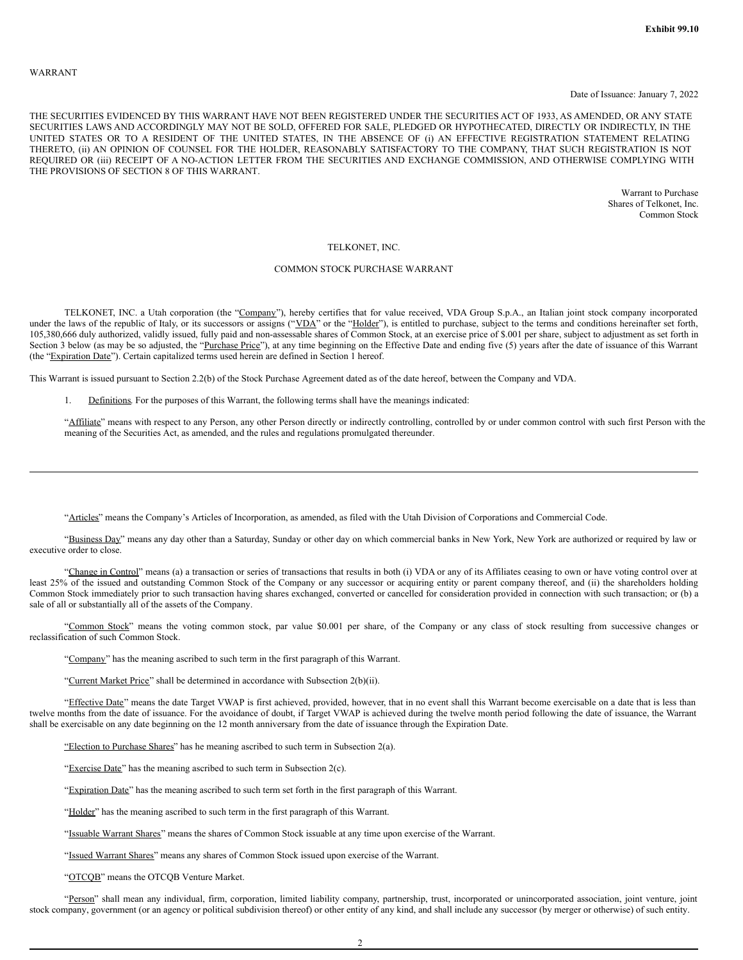#### WARRANT

#### Date of Issuance: January 7, 2022

THE SECURITIES EVIDENCED BY THIS WARRANT HAVE NOT BEEN REGISTERED UNDER THE SECURITIES ACT OF 1933, AS AMENDED, OR ANY STATE SECURITIES LAWS AND ACCORDINGLY MAY NOT BE SOLD, OFFERED FOR SALE, PLEDGED OR HYPOTHECATED, DIRECTLY OR INDIRECTLY, IN THE UNITED STATES OR TO A RESIDENT OF THE UNITED STATES, IN THE ABSENCE OF (i) AN EFFECTIVE REGISTRATION STATEMENT RELATING THERETO, (ii) AN OPINION OF COUNSEL FOR THE HOLDER, REASONABLY SATISFACTORY TO THE COMPANY, THAT SUCH REGISTRATION IS NOT REQUIRED OR (iii) RECEIPT OF A NO-ACTION LETTER FROM THE SECURITIES AND EXCHANGE COMMISSION, AND OTHERWISE COMPLYING WITH THE PROVISIONS OF SECTION 8 OF THIS WARRANT.

> Warrant to Purchase Shares of Telkonet, Inc. Common Stock

# TELKONET, INC.

### COMMON STOCK PURCHASE WARRANT

TELKONET, INC. a Utah corporation (the "Company"), hereby certifies that for value received, VDA Group S.p.A., an Italian joint stock company incorporated under the laws of the republic of Italy, or its successors or assigns ("VDA" or the "Holder"), is entitled to purchase, subject to the terms and conditions hereinafter set forth, 105,380,666 duly authorized, validly issued, fully paid and non-assessable shares of Common Stock, at an exercise price of \$.001 per share, subject to adjustment as set forth in Section 3 below (as may be so adjusted, the "Purchase Price"), at any time beginning on the Effective Date and ending five (5) years after the date of issuance of this Warrant (the "Expiration Date"). Certain capitalized terms used herein are defined in Section 1 hereof.

This Warrant is issued pursuant to Section 2.2(b) of the Stock Purchase Agreement dated as of the date hereof, between the Company and VDA.

1. Definitions. For the purposes of this Warrant, the following terms shall have the meanings indicated:

"Affiliate" means with respect to any Person, any other Person directly or indirectly controlling, controlled by or under common control with such first Person with the meaning of the Securities Act, as amended, and the rules and regulations promulgated thereunder.

"Articles" means the Company's Articles of Incorporation, as amended, as filed with the Utah Division of Corporations and Commercial Code.

"Business Day" means any day other than a Saturday, Sunday or other day on which commercial banks in New York, New York are authorized or required by law or executive order to close.

"Change in Control" means (a) a transaction or series of transactions that results in both (i) VDA or any of its Affiliates ceasing to own or have voting control over at least 25% of the issued and outstanding Common Stock of the Company or any successor or acquiring entity or parent company thereof, and (ii) the shareholders holding Common Stock immediately prior to such transaction having shares exchanged, converted or cancelled for consideration provided in connection with such transaction; or (b) a sale of all or substantially all of the assets of the Company.

"Common Stock" means the voting common stock, par value \$0.001 per share, of the Company or any class of stock resulting from successive changes or reclassification of such Common Stock.

"Company" has the meaning ascribed to such term in the first paragraph of this Warrant.

"Current Market Price" shall be determined in accordance with Subsection 2(b)(ii).

"Effective Date" means the date Target VWAP is first achieved, provided, however, that in no event shall this Warrant become exercisable on a date that is less than twelve months from the date of issuance. For the avoidance of doubt, if Target VWAP is achieved during the twelve month period following the date of issuance, the Warrant shall be exercisable on any date beginning on the 12 month anniversary from the date of issuance through the Expiration Date.

"Election to Purchase Shares" has he meaning ascribed to such term in Subsection  $2(a)$ .

"Exercise Date" has the meaning ascribed to such term in Subsection 2(c).

"Expiration Date" has the meaning ascribed to such term set forth in the first paragraph of this Warrant.

"Holder" has the meaning ascribed to such term in the first paragraph of this Warrant.

"Issuable Warrant Shares" means the shares of Common Stock issuable at any time upon exercise of the Warrant.

"Issued Warrant Shares" means any shares of Common Stock issued upon exercise of the Warrant.

"OTCQB" means the OTCQB Venture Market.

"Person" shall mean any individual, firm, corporation, limited liability company, partnership, trust, incorporated or unincorporated association, joint venture, joint stock company, government (or an agency or political subdivision thereof) or other entity of any kind, and shall include any successor (by merger or otherwise) of such entity.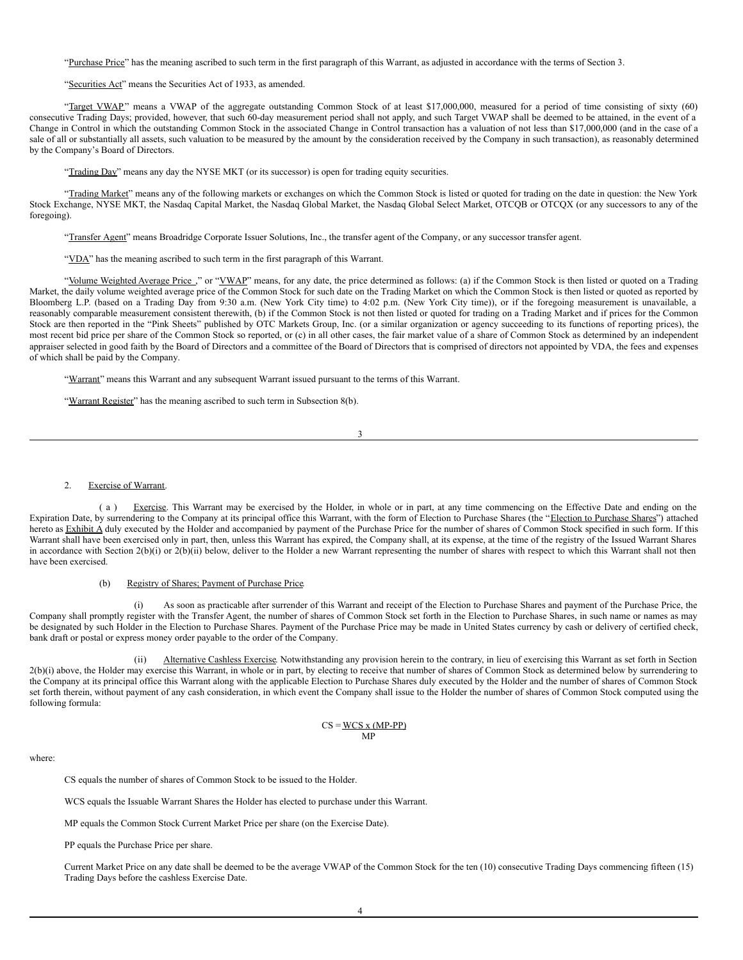"Purchase Price" has the meaning ascribed to such term in the first paragraph of this Warrant, as adjusted in accordance with the terms of Section 3.

"Securities Act" means the Securities Act of 1933, as amended.

"Target VWAP" means a VWAP of the aggregate outstanding Common Stock of at least \$17,000,000, measured for a period of time consisting of sixty (60) consecutive Trading Days; provided, however, that such 60-day measurement period shall not apply, and such Target VWAP shall be deemed to be attained, in the event of a Change in Control in which the outstanding Common Stock in the associated Change in Control transaction has a valuation of not less than \$17,000,000 (and in the case of a sale of all or substantially all assets, such valuation to be measured by the amount by the consideration received by the Company in such transaction), as reasonably determined by the Company's Board of Directors.

"Trading Day" means any day the NYSE MKT (or its successor) is open for trading equity securities.

"Trading Market" means any of the following markets or exchanges on which the Common Stock is listed or quoted for trading on the date in question: the New York Stock Exchange, NYSE MKT, the Nasdaq Capital Market, the Nasdaq Global Market, the Nasdaq Global Select Market, OTCQB or OTCQX (or any successors to any of the foregoing).

"Transfer Agent" means Broadridge Corporate Issuer Solutions, Inc., the transfer agent of the Company, or any successor transfer agent.

"VDA" has the meaning ascribed to such term in the first paragraph of this Warrant.

"Volume Weighted Average Price ," or "VWAP" means, for any date, the price determined as follows: (a) if the Common Stock is then listed or quoted on a Trading Market, the daily volume weighted average price of the Common Stock for such date on the Trading Market on which the Common Stock is then listed or quoted as reported by Bloomberg L.P. (based on a Trading Day from 9:30 a.m. (New York City time) to 4:02 p.m. (New York City time)), or if the foregoing measurement is unavailable, a reasonably comparable measurement consistent therewith, (b) if the Common Stock is not then listed or quoted for trading on a Trading Market and if prices for the Common Stock are then reported in the "Pink Sheets" published by OTC Markets Group, Inc. (or a similar organization or agency succeeding to its functions of reporting prices), the most recent bid price per share of the Common Stock so reported, or (c) in all other cases, the fair market value of a share of Common Stock as determined by an independent appraiser selected in good faith by the Board of Directors and a committee of the Board of Directors that is comprised of directors not appointed by VDA, the fees and expenses of which shall be paid by the Company.

"Warrant" means this Warrant and any subsequent Warrant issued pursuant to the terms of this Warrant.

"Warrant Register" has the meaning ascribed to such term in Subsection 8(b).

3

#### 2. Exercise of Warrant.

(a) Exercise. This Warrant may be exercised by the Holder, in whole or in part, at any time commencing on the Effective Date and ending on the Expiration Date, by surrendering to the Company at its principal office this Warrant, with the form of Election to Purchase Shares (the "Election to Purchase Shares") attached hereto as Exhibit A duly executed by the Holder and accompanied by payment of the Purchase Price for the number of shares of Common Stock specified in such form. If this Warrant shall have been exercised only in part, then, unless this Warrant has expired, the Company shall, at its expense, at the time of the registry of the Issued Warrant Shares in accordance with Section 2(b)(i) or 2(b)(ii) below, deliver to the Holder a new Warrant representing the number of shares with respect to which this Warrant shall not then have been exercised.

# (b) Registry of Shares; Payment of Purchase Price.

As soon as practicable after surrender of this Warrant and receipt of the Election to Purchase Shares and payment of the Purchase Price, the Company shall promptly register with the Transfer Agent, the number of shares of Common Stock set forth in the Election to Purchase Shares, in such name or names as may be designated by such Holder in the Election to Purchase Shares. Payment of the Purchase Price may be made in United States currency by cash or delivery of certified check, bank draft or postal or express money order payable to the order of the Company.

(ii) Alternative Cashless Exercise. Notwithstanding any provision herein to the contrary, in lieu of exercising this Warrant as set forth in Section 2(b)(i) above, the Holder may exercise this Warrant, in whole or in part, by electing to receive that number of shares of Common Stock as determined below by surrendering to the Company at its principal office this Warrant along with the applicable Election to Purchase Shares duly executed by the Holder and the number of shares of Common Stock set forth therein, without payment of any cash consideration, in which event the Company shall issue to the Holder the number of shares of Common Stock computed using the following formula:

#### $CS = WCS x (MP-PP)$ MP

where:

CS equals the number of shares of Common Stock to be issued to the Holder.

WCS equals the Issuable Warrant Shares the Holder has elected to purchase under this Warrant.

MP equals the Common Stock Current Market Price per share (on the Exercise Date).

PP equals the Purchase Price per share.

Current Market Price on any date shall be deemed to be the average VWAP of the Common Stock for the ten (10) consecutive Trading Days commencing fifteen (15) Trading Days before the cashless Exercise Date.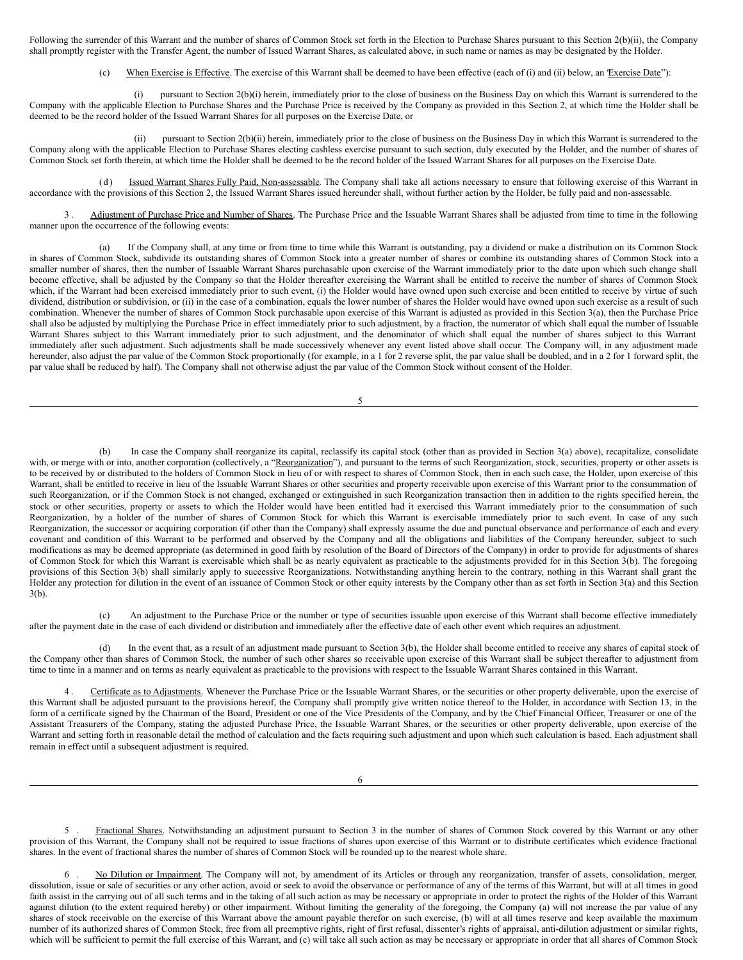Following the surrender of this Warrant and the number of shares of Common Stock set forth in the Election to Purchase Shares pursuant to this Section 2(b)(ii), the Company shall promptly register with the Transfer Agent, the number of Issued Warrant Shares, as calculated above, in such name or names as may be designated by the Holder.

When Exercise is Effective. The exercise of this Warrant shall be deemed to have been effective (each of (i) and (ii) below, an Exercise Date"):

pursuant to Section 2(b)(i) herein, immediately prior to the close of business on the Business Day on which this Warrant is surrendered to the Company with the applicable Election to Purchase Shares and the Purchase Price is received by the Company as provided in this Section 2, at which time the Holder shall be deemed to be the record holder of the Issued Warrant Shares for all purposes on the Exercise Date, or

(ii) pursuant to Section 2(b)(ii) herein, immediately prior to the close of business on the Business Day in which this Warrant is surrendered to the Company along with the applicable Election to Purchase Shares electing cashless exercise pursuant to such section, duly executed by the Holder, and the number of shares of Common Stock set forth therein, at which time the Holder shall be deemed to be the record holder of the Issued Warrant Shares for all purposes on the Exercise Date.

Issued Warrant Shares Fully Paid, Non-assessable. The Company shall take all actions necessary to ensure that following exercise of this Warrant in accordance with the provisions of this Section 2, the Issued Warrant Shares issued hereunder shall, without further action by the Holder, be fully paid and non-assessable.

3. Adjustment of Purchase Price and Number of Shares. The Purchase Price and the Issuable Warrant Shares shall be adjusted from time to time in the following manner upon the occurrence of the following events:

(a) If the Company shall, at any time or from time to time while this Warrant is outstanding, pay a dividend or make a distribution on its Common Stock in shares of Common Stock, subdivide its outstanding shares of Common Stock into a greater number of shares or combine its outstanding shares of Common Stock into a smaller number of shares, then the number of Issuable Warrant Shares purchasable upon exercise of the Warrant immediately prior to the date upon which such change shall become effective, shall be adjusted by the Company so that the Holder thereafter exercising the Warrant shall be entitled to receive the number of shares of Common Stock which, if the Warrant had been exercised immediately prior to such event, (i) the Holder would have owned upon such exercise and been entitled to receive by virtue of such dividend, distribution or subdivision, or (ii) in the case of a combination, equals the lower number of shares the Holder would have owned upon such exercise as a result of such combination. Whenever the number of shares of Common Stock purchasable upon exercise of this Warrant is adjusted as provided in this Section 3(a), then the Purchase Price shall also be adjusted by multiplying the Purchase Price in effect immediately prior to such adjustment, by a fraction, the numerator of which shall equal the number of Issuable Warrant Shares subject to this Warrant immediately prior to such adjustment, and the denominator of which shall equal the number of shares subject to this Warrant immediately after such adjustment. Such adjustments shall be made successively whenever any event listed above shall occur. The Company will, in any adjustment made hereunder, also adjust the par value of the Common Stock proportionally (for example, in a 1 for 2 reverse split, the par value shall be doubled, and in a 2 for 1 forward split, the par value shall be reduced by half). The Company shall not otherwise adjust the par value of the Common Stock without consent of the Holder.

5

In case the Company shall reorganize its capital, reclassify its capital stock (other than as provided in Section 3(a) above), recapitalize, consolidate with, or merge with or into, another corporation (collectively, a "Reorganization"), and pursuant to the terms of such Reorganization, stock, securities, property or other assets is to be received by or distributed to the holders of Common Stock in lieu of or with respect to shares of Common Stock, then in each such case, the Holder, upon exercise of this Warrant, shall be entitled to receive in lieu of the Issuable Warrant Shares or other securities and property receivable upon exercise of this Warrant prior to the consummation of such Reorganization, or if the Common Stock is not changed, exchanged or extinguished in such Reorganization transaction then in addition to the rights specified herein, the stock or other securities, property or assets to which the Holder would have been entitled had it exercised this Warrant immediately prior to the consummation of such Reorganization, by a holder of the number of shares of Common Stock for which this Warrant is exercisable immediately prior to such event. In case of any such Reorganization, the successor or acquiring corporation (if other than the Company) shall expressly assume the due and punctual observance and performance of each and every covenant and condition of this Warrant to be performed and observed by the Company and all the obligations and liabilities of the Company hereunder, subject to such modifications as may be deemed appropriate (as determined in good faith by resolution of the Board of Directors of the Company) in order to provide for adjustments of shares of Common Stock for which this Warrant is exercisable which shall be as nearly equivalent as practicable to the adjustments provided for in this Section 3(b). The foregoing provisions of this Section 3(b) shall similarly apply to successive Reorganizations. Notwithstanding anything herein to the contrary, nothing in this Warrant shall grant the Holder any protection for dilution in the event of an issuance of Common Stock or other equity interests by the Company other than as set forth in Section 3(a) and this Section 3(b).

(c) An adjustment to the Purchase Price or the number or type of securities issuable upon exercise of this Warrant shall become effective immediately after the payment date in the case of each dividend or distribution and immediately after the effective date of each other event which requires an adjustment.

(d) In the event that, as a result of an adjustment made pursuant to Section 3(b), the Holder shall become entitled to receive any shares of capital stock of the Company other than shares of Common Stock, the number of such other shares so receivable upon exercise of this Warrant shall be subject thereafter to adjustment from time to time in a manner and on terms as nearly equivalent as practicable to the provisions with respect to the Issuable Warrant Shares contained in this Warrant.

4 . Certificate as to Adjustments. Whenever the Purchase Price or the Issuable Warrant Shares, or the securities or other property deliverable, upon the exercise of this Warrant shall be adjusted pursuant to the provisions hereof, the Company shall promptly give written notice thereof to the Holder, in accordance with Section 13, in the form of a certificate signed by the Chairman of the Board, President or one of the Vice Presidents of the Company, and by the Chief Financial Officer, Treasurer or one of the Assistant Treasurers of the Company, stating the adjusted Purchase Price, the Issuable Warrant Shares, or the securities or other property deliverable, upon exercise of the Warrant and setting forth in reasonable detail the method of calculation and the facts requiring such adjustment and upon which such calculation is based. Each adjustment shall remain in effect until a subsequent adjustment is required.

Fractional Shares. Notwithstanding an adjustment pursuant to Section 3 in the number of shares of Common Stock covered by this Warrant or any other provision of this Warrant, the Company shall not be required to issue fractions of shares upon exercise of this Warrant or to distribute certificates which evidence fractional shares. In the event of fractional shares the number of shares of Common Stock will be rounded up to the nearest whole share.

6 . No Dilution or Impairment. The Company will not, by amendment of its Articles or through any reorganization, transfer of assets, consolidation, merger, dissolution, issue or sale of securities or any other action, avoid or seek to avoid the observance or performance of any of the terms of this Warrant, but will at all times in good faith assist in the carrying out of all such terms and in the taking of all such action as may be necessary or appropriate in order to protect the rights of the Holder of this Warrant against dilution (to the extent required hereby) or other impairment. Without limiting the generality of the foregoing, the Company (a) will not increase the par value of any shares of stock receivable on the exercise of this Warrant above the amount payable therefor on such exercise, (b) will at all times reserve and keep available the maximum number of its authorized shares of Common Stock, free from all preemptive rights, right of first refusal, dissenter's rights of appraisal, anti-dilution adjustment or similar rights, which will be sufficient to permit the full exercise of this Warrant, and (c) will take all such action as may be necessary or appropriate in order that all shares of Common Stock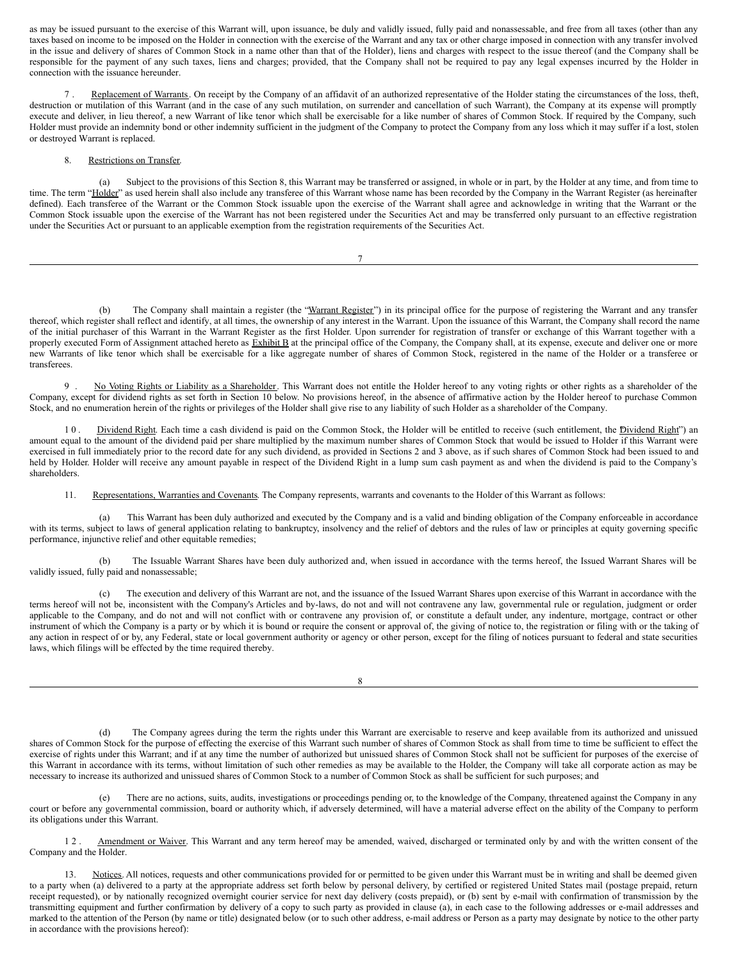<span id="page-55-0"></span>as may be issued pursuant to the exercise of this Warrant will, upon issuance, be duly and validly issued, fully paid and nonassessable, and free from all taxes (other than any taxes based on income to be imposed on the Holder in connection with the exercise of the Warrant and any tax or other charge imposed in connection with any transfer involved in the issue and delivery of shares of Common Stock in a name other than that of the Holder), liens and charges with respect to the issue thereof (and the Company shall be responsible for the payment of any such taxes, liens and charges; provided, that the Company shall not be required to pay any legal expenses incurred by the Holder in connection with the issuance hereunder.

Replacement of Warrants. On receipt by the Company of an affidavit of an authorized representative of the Holder stating the circumstances of the loss, theft, destruction or mutilation of this Warrant (and in the case of any such mutilation, on surrender and cancellation of such Warrant), the Company at its expense will promptly execute and deliver, in lieu thereof, a new Warrant of like tenor which shall be exercisable for a like number of shares of Common Stock. If required by the Company, such Holder must provide an indemnity bond or other indemnity sufficient in the judgment of the Company to protect the Company from any loss which it may suffer if a lost, stolen or destroyed Warrant is replaced.

# 8. Restrictions on Transfer.

(a) Subject to the provisions of this Section 8, this Warrant may be transferred or assigned, in whole or in part, by the Holder at any time, and from time to time. The term "Holder" as used herein shall also include any transferee of this Warrant whose name has been recorded by the Company in the Warrant Register (as hereinafter defined). Each transferee of the Warrant or the Common Stock issuable upon the exercise of the Warrant shall agree and acknowledge in writing that the Warrant or the Common Stock issuable upon the exercise of the Warrant has not been registered under the Securities Act and may be transferred only pursuant to an effective registration under the Securities Act or pursuant to an applicable exemption from the registration requirements of the Securities Act.

(b) The Company shall maintain a register (the "Warrant Register") in its principal office for the purpose of registering the Warrant and any transfer thereof, which register shall reflect and identify, at all times, the ownership of any interest in the Warrant. Upon the issuance of this Warrant, the Company shall record the name of the initial purchaser of this Warrant in the Warrant Register as the first Holder. Upon surrender for registration of transfer or exchange of this Warrant together with a properly executed Form of Assignment attached hereto as Exhibit B at the principal office of the Company, the Company shall, at its expense, execute and deliver one or more new Warrants of like tenor which shall be exercisable for a like aggregate number of shares of Common Stock, registered in the name of the Holder or a transferee or transferees.

9 . No Voting Rights or Liability as a Shareholder. This Warrant does not entitle the Holder hereof to any voting rights or other rights as a shareholder of the Company, except for dividend rights as set forth in Section 10 below. No provisions hereof, in the absence of affirmative action by the Holder hereof to purchase Common Stock, and no enumeration herein of the rights or privileges of the Holder shall give rise to any liability of such Holder as a shareholder of the Company.

10. Dividend Right. Each time a cash dividend is paid on the Common Stock, the Holder will be entitled to receive (such entitlement, the Dividend Right") an amount equal to the amount of the dividend paid per share multiplied by the maximum number shares of Common Stock that would be issued to Holder if this Warrant were exercised in full immediately prior to the record date for any such dividend, as provided in Sections 2 and 3 above, as if such shares of Common Stock had been issued to and held by Holder. Holder will receive any amount payable in respect of the Dividend Right in a lump sum cash payment as and when the dividend is paid to the Company's shareholders.

11. Representations, Warranties and Covenants. The Company represents, warrants and covenants to the Holder of this Warrant as follows:

(a) This Warrant has been duly authorized and executed by the Company and is a valid and binding obligation of the Company enforceable in accordance with its terms, subject to laws of general application relating to bankruptcy, insolvency and the relief of debtors and the rules of law or principles at equity governing specific performance, injunctive relief and other equitable remedies;

(b) The Issuable Warrant Shares have been duly authorized and, when issued in accordance with the terms hereof, the Issued Warrant Shares will be validly issued, fully paid and nonassessable;

(c) The execution and delivery of this Warrant are not, and the issuance of the Issued Warrant Shares upon exercise of this Warrant in accordance with the terms hereof will not be, inconsistent with the Company's Articles and by-laws, do not and will not contravene any law, governmental rule or regulation, judgment or order applicable to the Company, and do not and will not conflict with or contravene any provision of, or constitute a default under, any indenture, mortgage, contract or other instrument of which the Company is a party or by which it is bound or require the consent or approval of, the giving of notice to, the registration or filing with or the taking of any action in respect of or by, any Federal, state or local government authority or agency or other person, except for the filing of notices pursuant to federal and state securities laws, which filings will be effected by the time required thereby.

8

The Company agrees during the term the rights under this Warrant are exercisable to reserve and keep available from its authorized and unissued shares of Common Stock for the purpose of effecting the exercise of this Warrant such number of shares of Common Stock as shall from time to time be sufficient to effect the exercise of rights under this Warrant; and if at any time the number of authorized but unissued shares of Common Stock shall not be sufficient for purposes of the exercise of this Warrant in accordance with its terms, without limitation of such other remedies as may be available to the Holder, the Company will take all corporate action as may be necessary to increase its authorized and unissued shares of Common Stock to a number of Common Stock as shall be sufficient for such purposes; and

(e) There are no actions, suits, audits, investigations or proceedings pending or, to the knowledge of the Company, threatened against the Company in any court or before any governmental commission, board or authority which, if adversely determined, will have a material adverse effect on the ability of the Company to perform its obligations under this Warrant.

1 2 . Amendment or Waiver. This Warrant and any term hereof may be amended, waived, discharged or terminated only by and with the written consent of the Company and the Holder.

13. Notices. All notices, requests and other communications provided for or permitted to be given under this Warrant must be in writing and shall be deemed given to a party when (a) delivered to a party at the appropriate address set forth below by personal delivery, by certified or registered United States mail (postage prepaid, return receipt requested), or by nationally recognized overnight courier service for next day delivery (costs prepaid), or (b) sent by e-mail with confirmation of transmission by the transmitting equipment and further confirmation by delivery of a copy to such party as provided in clause (a), in each case to the following addresses or e-mail addresses and marked to the attention of the Person (by name or title) designated below (or to such other address, e-mail address or Person as a party may designate by notice to the other party in accordance with the provisions hereof):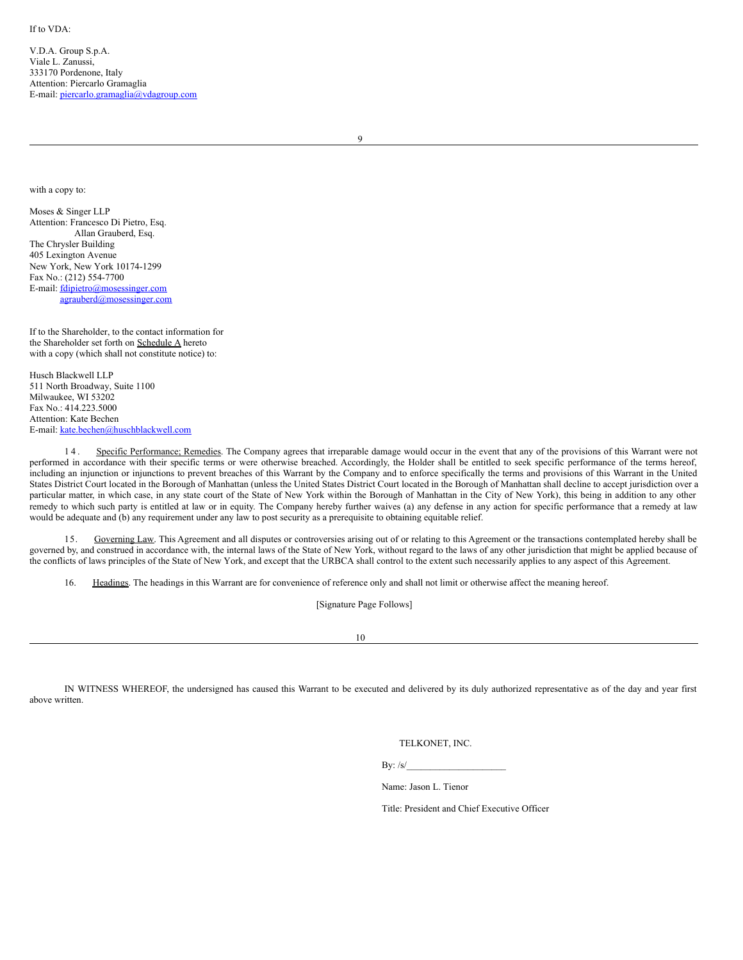V.D.A. Group S.p.A. Viale L. Zanussi, 333170 Pordenone, Italy Attention: Piercarlo Gramaglia E-mail: piercarlo.gramaglia@vdagroup.com

9

with a copy to:

Moses & Singer LLP Attention: Francesco Di Pietro, Esq. Allan Grauberd, Esq. The Chrysler Building 405 Lexington Avenue New York, New York 10174-1299 Fax No.: (212) 554-7700 E-mail: fdipietro@mosessinger.com agrauberd@mosessinger.com

If to the Shareholder, to the contact information for the Shareholder set forth on Schedule A hereto with a copy (which shall not constitute notice) to:

Husch Blackwell LLP 511 North Broadway, Suite 1100 Milwaukee, WI 53202  $Fax No: 414.223.5000$ Attention: Kate Bechen E-mail: kate.bechen@huschblackwell.com

14. Specific Performance; Remedies. The Company agrees that irreparable damage would occur in the event that any of the provisions of this Warrant were not performed in accordance with their specific terms or were otherwise breached. Accordingly, the Holder shall be entitled to seek specific performance of the terms hereof, including an injunction or injunctions to prevent breaches of this Warrant by the Company and to enforce specifically the terms and provisions of this Warrant in the United States District Court located in the Borough of Manhattan (unless the United States District Court located in the Borough of Manhattan shall decline to accept jurisdiction over a particular matter, in which case, in any state court of the State of New York within the Borough of Manhattan in the City of New York), this being in addition to any other remedy to which such party is entitled at law or in equity. The Company hereby further waives (a) any defense in any action for specific performance that a remedy at law would be adequate and (b) any requirement under any law to post security as a prerequisite to obtaining equitable relief.

15. Governing Law. This Agreement and all disputes or controversies arising out of or relating to this Agreement or the transactions contemplated hereby shall be governed by, and construed in accordance with, the internal laws of the State of New York, without regard to the laws of any other jurisdiction that might be applied because of the conflicts of laws principles of the State of New York, and except that the URBCA shall control to the extent such necessarily applies to any aspect of this Agreement.

16. Headings. The headings in this Warrant are for convenience of reference only and shall not limit or otherwise affect the meaning hereof.

[Signature Page Follows]

10

IN WITNESS WHEREOF, the undersigned has caused this Warrant to be executed and delivered by its duly authorized representative as of the day and year first above written.

TELKONET, INC.

By:  $/s/$ 

Name: Jason L. Tienor

Title: President and Chief Executive Officer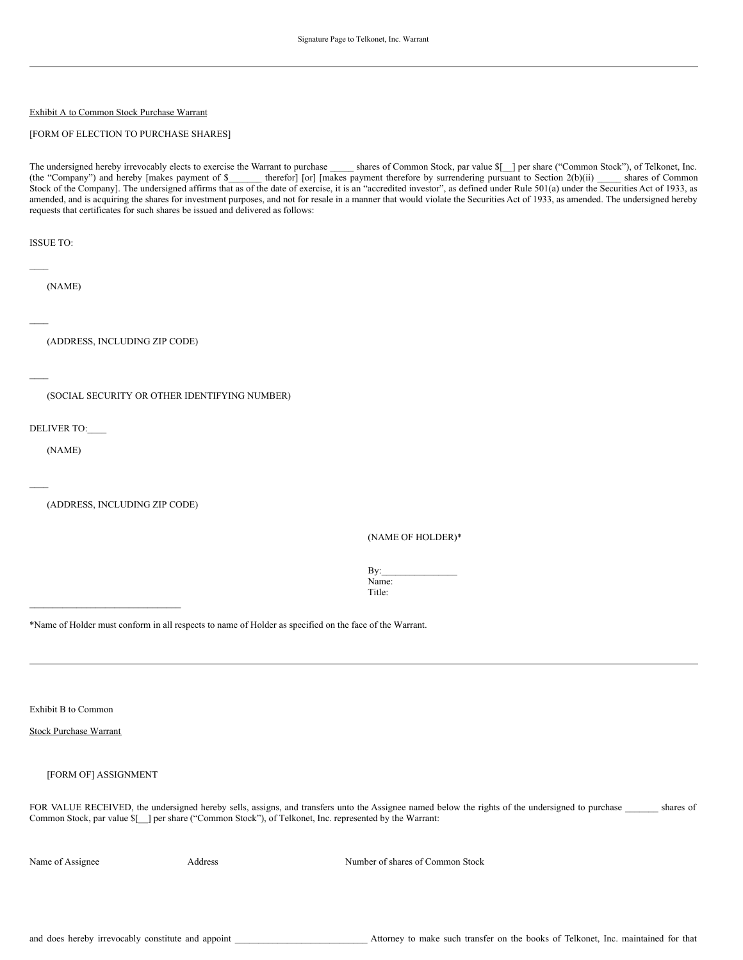# Exhibit A to Common Stock Purchase Warrant

# [FORM OF ELECTION TO PURCHASE SHARES]

The undersigned hereby irrevocably elects to exercise the Warrant to purchase shares of Common Stock, par value  $\{\}$  per share ("Common Stock"), of Telkonet, Inc. (the "Company") and hereby [makes payment of  $\$$  therefor] [or] [makes payment therefore by surrendering pursuant to Section 2(b)(ii) shares of Common Stock of the Company]. The undersigned affirms that as of the date of exercise, it is an "accredited investor", as defined under Rule 501(a) under the Securities Act of 1933, as amended, and is acquiring the shares for investment purposes, and not for resale in a manner that would violate the Securities Act of 1933, as amended. The undersigned hereby requests that certificates for such shares be issued and delivered as follows:

ISSUE TO:

(NAME)

 $\mathcal{L}_\mathcal{L}$ 

 $\mathcal{L}_\mathcal{L}$ 

(ADDRESS, INCLUDING ZIP CODE)

 $\mathcal{L}_\mathcal{L}$ 

 $\mathcal{L}_\mathcal{L}$ 

(SOCIAL SECURITY OR OTHER IDENTIFYING NUMBER)

DELIVER TO:\_\_\_\_

(NAME)

(ADDRESS, INCLUDING ZIP CODE)

 $\mathcal{L}_\text{max}$ 

(NAME OF HOLDER)\*

By: Name: Title:

\*Name of Holder must conform in all respects to name of Holder as specified on the face of the Warrant.

Exhibit B to Common

# Stock Purchase Warrant

# [FORM OF] ASSIGNMENT

FOR VALUE RECEIVED, the undersigned hereby sells, assigns, and transfers unto the Assignee named below the rights of the undersigned to purchase \_\_\_\_\_\_\_ shares of Common Stock, par value \$[\_\_] per share ("Common Stock"), of Telkonet, Inc. represented by the Warrant:

Name of Assignee Address Address Address Number of shares of Common Stock